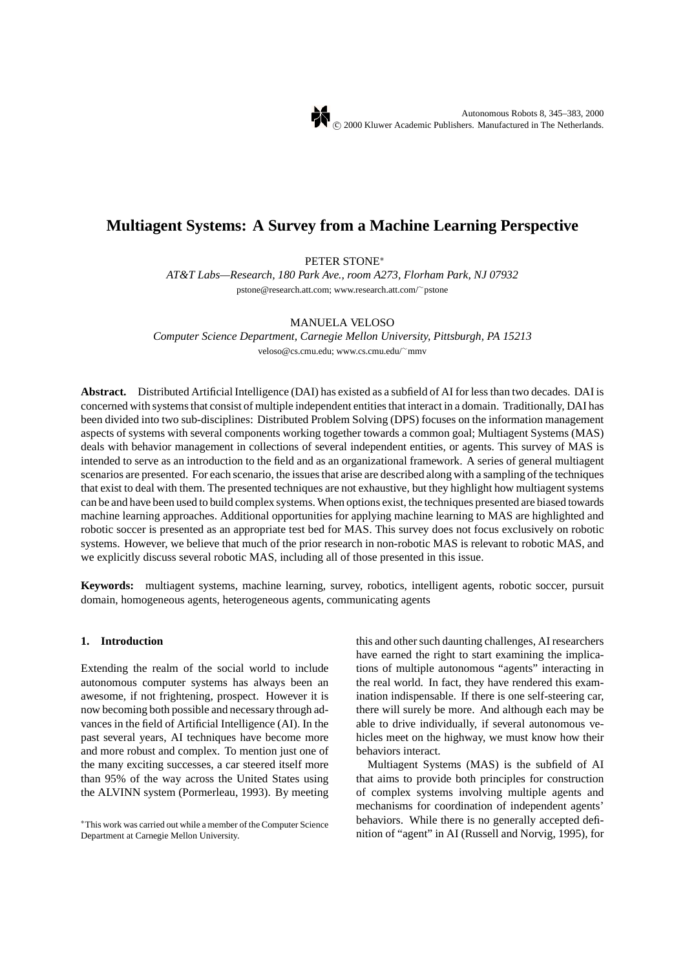# **Multiagent Systems: A Survey from a Machine Learning Perspective**

PETER STONE<sup>∗</sup>

*AT&T Labs—Research, 180 Park Ave., room A273, Florham Park, NJ 07932* pstone@research.att.com; www.research.att.com/∼pstone

MANUELA VELOSO

*Computer Science Department, Carnegie Mellon University, Pittsburgh, PA 15213* veloso@cs.cmu.edu; www.cs.cmu.edu/∼mmv

**Abstract.** Distributed Artificial Intelligence (DAI) has existed as a subfield of AI for less than two decades. DAI is concerned with systems that consist of multiple independent entities that interact in a domain. Traditionally, DAI has been divided into two sub-disciplines: Distributed Problem Solving (DPS) focuses on the information management aspects of systems with several components working together towards a common goal; Multiagent Systems (MAS) deals with behavior management in collections of several independent entities, or agents. This survey of MAS is intended to serve as an introduction to the field and as an organizational framework. A series of general multiagent scenarios are presented. For each scenario, the issues that arise are described along with a sampling of the techniques that exist to deal with them. The presented techniques are not exhaustive, but they highlight how multiagent systems can be and have been used to build complex systems. When options exist, the techniques presented are biased towards machine learning approaches. Additional opportunities for applying machine learning to MAS are highlighted and robotic soccer is presented as an appropriate test bed for MAS. This survey does not focus exclusively on robotic systems. However, we believe that much of the prior research in non-robotic MAS is relevant to robotic MAS, and we explicitly discuss several robotic MAS, including all of those presented in this issue.

**Keywords:** multiagent systems, machine learning, survey, robotics, intelligent agents, robotic soccer, pursuit domain, homogeneous agents, heterogeneous agents, communicating agents

## **1. Introduction**

Extending the realm of the social world to include autonomous computer systems has always been an awesome, if not frightening, prospect. However it is now becoming both possible and necessary through advances in the field of Artificial Intelligence (AI). In the past several years, AI techniques have become more and more robust and complex. To mention just one of the many exciting successes, a car steered itself more than 95% of the way across the United States using the ALVINN system (Pormerleau, 1993). By meeting

this and other such daunting challenges, AI researchers have earned the right to start examining the implications of multiple autonomous "agents" interacting in the real world. In fact, they have rendered this examination indispensable. If there is one self-steering car, there will surely be more. And although each may be able to drive individually, if several autonomous vehicles meet on the highway, we must know how their behaviors interact.

Multiagent Systems (MAS) is the subfield of AI that aims to provide both principles for construction of complex systems involving multiple agents and mechanisms for coordination of independent agents' behaviors. While there is no generally accepted definition of "agent" in AI (Russell and Norvig, 1995), for

<sup>∗</sup>This work was carried out while a member of the Computer Science Department at Carnegie Mellon University.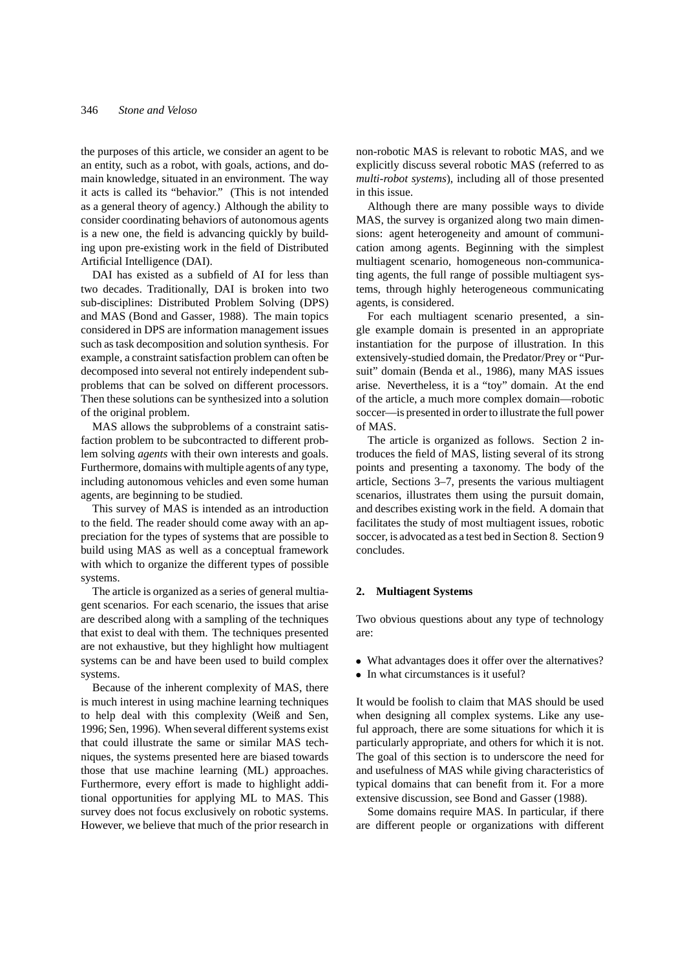the purposes of this article, we consider an agent to be an entity, such as a robot, with goals, actions, and domain knowledge, situated in an environment. The way it acts is called its "behavior." (This is not intended as a general theory of agency.) Although the ability to consider coordinating behaviors of autonomous agents is a new one, the field is advancing quickly by building upon pre-existing work in the field of Distributed Artificial Intelligence (DAI).

DAI has existed as a subfield of AI for less than two decades. Traditionally, DAI is broken into two sub-disciplines: Distributed Problem Solving (DPS) and MAS (Bond and Gasser, 1988). The main topics considered in DPS are information management issues such as task decomposition and solution synthesis. For example, a constraint satisfaction problem can often be decomposed into several not entirely independent subproblems that can be solved on different processors. Then these solutions can be synthesized into a solution of the original problem.

MAS allows the subproblems of a constraint satisfaction problem to be subcontracted to different problem solving *agents* with their own interests and goals. Furthermore, domains with multiple agents of any type, including autonomous vehicles and even some human agents, are beginning to be studied.

This survey of MAS is intended as an introduction to the field. The reader should come away with an appreciation for the types of systems that are possible to build using MAS as well as a conceptual framework with which to organize the different types of possible systems.

The article is organized as a series of general multiagent scenarios. For each scenario, the issues that arise are described along with a sampling of the techniques that exist to deal with them. The techniques presented are not exhaustive, but they highlight how multiagent systems can be and have been used to build complex systems.

Because of the inherent complexity of MAS, there is much interest in using machine learning techniques to help deal with this complexity (Weiß and Sen, 1996; Sen, 1996). When several different systems exist that could illustrate the same or similar MAS techniques, the systems presented here are biased towards those that use machine learning (ML) approaches. Furthermore, every effort is made to highlight additional opportunities for applying ML to MAS. This survey does not focus exclusively on robotic systems. However, we believe that much of the prior research in

non-robotic MAS is relevant to robotic MAS, and we explicitly discuss several robotic MAS (referred to as *multi-robot systems*), including all of those presented in this issue.

Although there are many possible ways to divide MAS, the survey is organized along two main dimensions: agent heterogeneity and amount of communication among agents. Beginning with the simplest multiagent scenario, homogeneous non-communicating agents, the full range of possible multiagent systems, through highly heterogeneous communicating agents, is considered.

For each multiagent scenario presented, a single example domain is presented in an appropriate instantiation for the purpose of illustration. In this extensively-studied domain, the Predator/Prey or "Pursuit" domain (Benda et al., 1986), many MAS issues arise. Nevertheless, it is a "toy" domain. At the end of the article, a much more complex domain—robotic soccer—is presented in order to illustrate the full power of MAS.

The article is organized as follows. Section 2 introduces the field of MAS, listing several of its strong points and presenting a taxonomy. The body of the article, Sections 3–7, presents the various multiagent scenarios, illustrates them using the pursuit domain, and describes existing work in the field. A domain that facilitates the study of most multiagent issues, robotic soccer, is advocated as a test bed in Section 8. Section 9 concludes.

## **2. Multiagent Systems**

Two obvious questions about any type of technology are:

- What advantages does it offer over the alternatives?
- In what circumstances is it useful?

It would be foolish to claim that MAS should be used when designing all complex systems. Like any useful approach, there are some situations for which it is particularly appropriate, and others for which it is not. The goal of this section is to underscore the need for and usefulness of MAS while giving characteristics of typical domains that can benefit from it. For a more extensive discussion, see Bond and Gasser (1988).

Some domains require MAS. In particular, if there are different people or organizations with different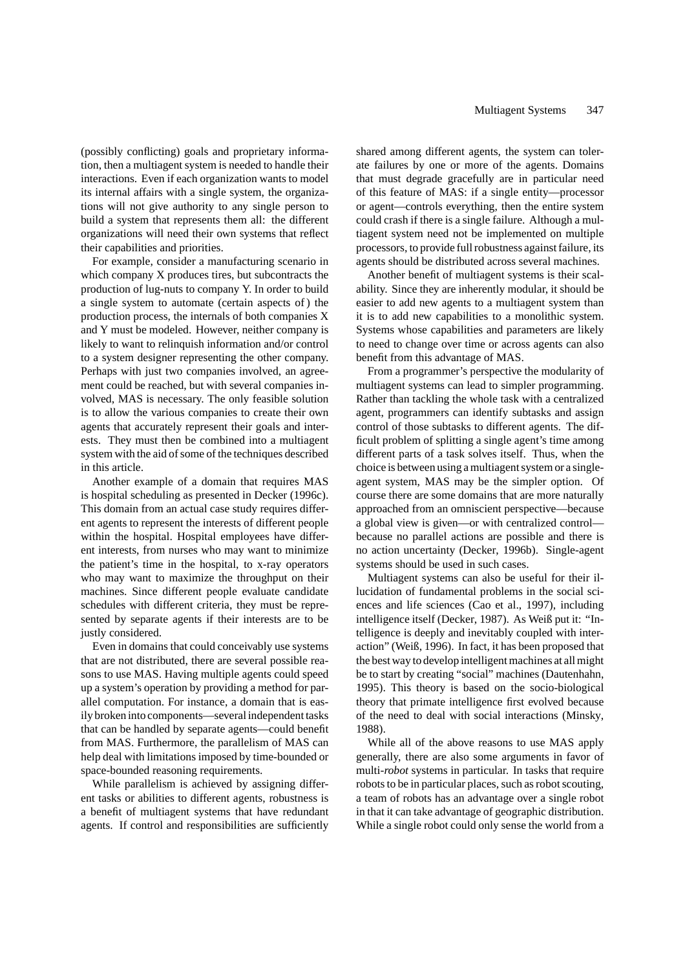(possibly conflicting) goals and proprietary information, then a multiagent system is needed to handle their interactions. Even if each organization wants to model its internal affairs with a single system, the organizations will not give authority to any single person to build a system that represents them all: the different organizations will need their own systems that reflect their capabilities and priorities.

For example, consider a manufacturing scenario in which company X produces tires, but subcontracts the production of lug-nuts to company Y. In order to build a single system to automate (certain aspects of ) the production process, the internals of both companies X and Y must be modeled. However, neither company is likely to want to relinquish information and/or control to a system designer representing the other company. Perhaps with just two companies involved, an agreement could be reached, but with several companies involved, MAS is necessary. The only feasible solution is to allow the various companies to create their own agents that accurately represent their goals and interests. They must then be combined into a multiagent system with the aid of some of the techniques described in this article.

Another example of a domain that requires MAS is hospital scheduling as presented in Decker (1996c). This domain from an actual case study requires different agents to represent the interests of different people within the hospital. Hospital employees have different interests, from nurses who may want to minimize the patient's time in the hospital, to x-ray operators who may want to maximize the throughput on their machines. Since different people evaluate candidate schedules with different criteria, they must be represented by separate agents if their interests are to be justly considered.

Even in domains that could conceivably use systems that are not distributed, there are several possible reasons to use MAS. Having multiple agents could speed up a system's operation by providing a method for parallel computation. For instance, a domain that is easily broken into components—several independent tasks that can be handled by separate agents—could benefit from MAS. Furthermore, the parallelism of MAS can help deal with limitations imposed by time-bounded or space-bounded reasoning requirements.

While parallelism is achieved by assigning different tasks or abilities to different agents, robustness is a benefit of multiagent systems that have redundant agents. If control and responsibilities are sufficiently shared among different agents, the system can tolerate failures by one or more of the agents. Domains that must degrade gracefully are in particular need of this feature of MAS: if a single entity—processor or agent—controls everything, then the entire system could crash if there is a single failure. Although a multiagent system need not be implemented on multiple processors, to provide full robustness against failure, its agents should be distributed across several machines.

Another benefit of multiagent systems is their scalability. Since they are inherently modular, it should be easier to add new agents to a multiagent system than it is to add new capabilities to a monolithic system. Systems whose capabilities and parameters are likely to need to change over time or across agents can also benefit from this advantage of MAS.

From a programmer's perspective the modularity of multiagent systems can lead to simpler programming. Rather than tackling the whole task with a centralized agent, programmers can identify subtasks and assign control of those subtasks to different agents. The difficult problem of splitting a single agent's time among different parts of a task solves itself. Thus, when the choice is between using a multiagent system or a singleagent system, MAS may be the simpler option. Of course there are some domains that are more naturally approached from an omniscient perspective—because a global view is given—or with centralized control because no parallel actions are possible and there is no action uncertainty (Decker, 1996b). Single-agent systems should be used in such cases.

Multiagent systems can also be useful for their illucidation of fundamental problems in the social sciences and life sciences (Cao et al., 1997), including intelligence itself (Decker, 1987). As Weiß put it: "Intelligence is deeply and inevitably coupled with interaction" (Weiß, 1996). In fact, it has been proposed that the best way to develop intelligent machines at all might be to start by creating "social" machines (Dautenhahn, 1995). This theory is based on the socio-biological theory that primate intelligence first evolved because of the need to deal with social interactions (Minsky, 1988).

While all of the above reasons to use MAS apply generally, there are also some arguments in favor of multi-*robot* systems in particular. In tasks that require robots to be in particular places, such as robot scouting, a team of robots has an advantage over a single robot in that it can take advantage of geographic distribution. While a single robot could only sense the world from a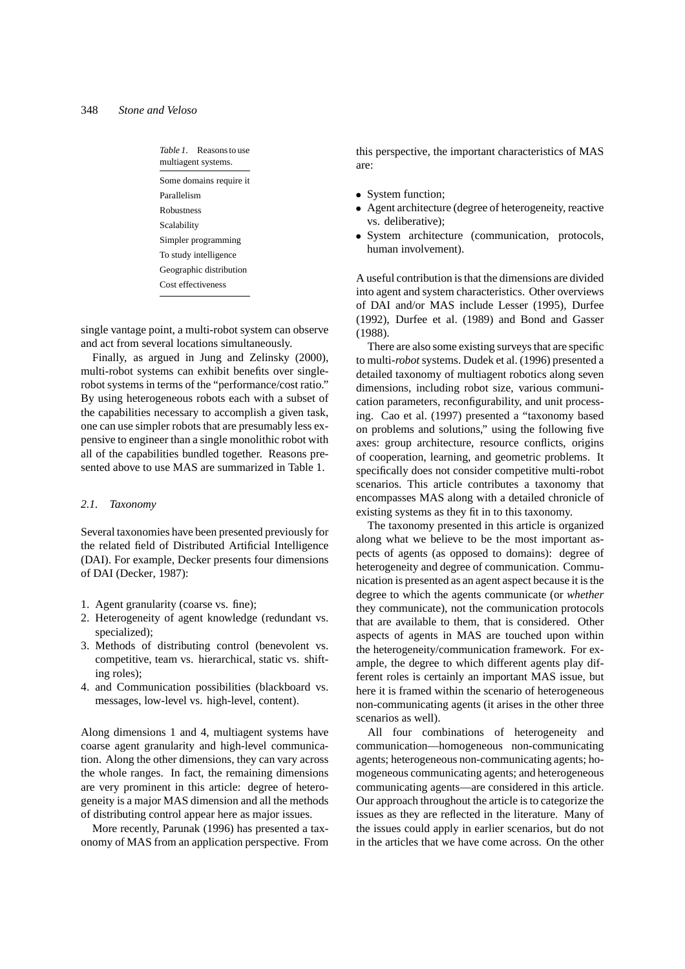*Table 1*. Reasons to use multiagent systems. Some domains require it Parallelism Robustness Scalability Simpler programming To study intelligence Geographic distribution Cost effectiveness

single vantage point, a multi-robot system can observe and act from several locations simultaneously.

Finally, as argued in Jung and Zelinsky (2000), multi-robot systems can exhibit benefits over singlerobot systems in terms of the "performance/cost ratio." By using heterogeneous robots each with a subset of the capabilities necessary to accomplish a given task, one can use simpler robots that are presumably less expensive to engineer than a single monolithic robot with all of the capabilities bundled together. Reasons presented above to use MAS are summarized in Table 1.

## *2.1. Taxonomy*

Several taxonomies have been presented previously for the related field of Distributed Artificial Intelligence (DAI). For example, Decker presents four dimensions of DAI (Decker, 1987):

- 1. Agent granularity (coarse vs. fine);
- 2. Heterogeneity of agent knowledge (redundant vs. specialized);
- 3. Methods of distributing control (benevolent vs. competitive, team vs. hierarchical, static vs. shifting roles);
- 4. and Communication possibilities (blackboard vs. messages, low-level vs. high-level, content).

Along dimensions 1 and 4, multiagent systems have coarse agent granularity and high-level communication. Along the other dimensions, they can vary across the whole ranges. In fact, the remaining dimensions are very prominent in this article: degree of heterogeneity is a major MAS dimension and all the methods of distributing control appear here as major issues.

More recently, Parunak (1996) has presented a taxonomy of MAS from an application perspective. From

this perspective, the important characteristics of MAS are:

- System function;
- Agent architecture (degree of heterogeneity, reactive vs. deliberative);
- System architecture (communication, protocols, human involvement).

A useful contribution is that the dimensions are divided into agent and system characteristics. Other overviews of DAI and/or MAS include Lesser (1995), Durfee (1992), Durfee et al. (1989) and Bond and Gasser (1988).

There are also some existing surveys that are specific to multi-*robot*systems. Dudek et al. (1996) presented a detailed taxonomy of multiagent robotics along seven dimensions, including robot size, various communication parameters, reconfigurability, and unit processing. Cao et al. (1997) presented a "taxonomy based on problems and solutions," using the following five axes: group architecture, resource conflicts, origins of cooperation, learning, and geometric problems. It specifically does not consider competitive multi-robot scenarios. This article contributes a taxonomy that encompasses MAS along with a detailed chronicle of existing systems as they fit in to this taxonomy.

The taxonomy presented in this article is organized along what we believe to be the most important aspects of agents (as opposed to domains): degree of heterogeneity and degree of communication. Communication is presented as an agent aspect because it is the degree to which the agents communicate (or *whether* they communicate), not the communication protocols that are available to them, that is considered. Other aspects of agents in MAS are touched upon within the heterogeneity/communication framework. For example, the degree to which different agents play different roles is certainly an important MAS issue, but here it is framed within the scenario of heterogeneous non-communicating agents (it arises in the other three scenarios as well).

All four combinations of heterogeneity and communication—homogeneous non-communicating agents; heterogeneous non-communicating agents; homogeneous communicating agents; and heterogeneous communicating agents—are considered in this article. Our approach throughout the article is to categorize the issues as they are reflected in the literature. Many of the issues could apply in earlier scenarios, but do not in the articles that we have come across. On the other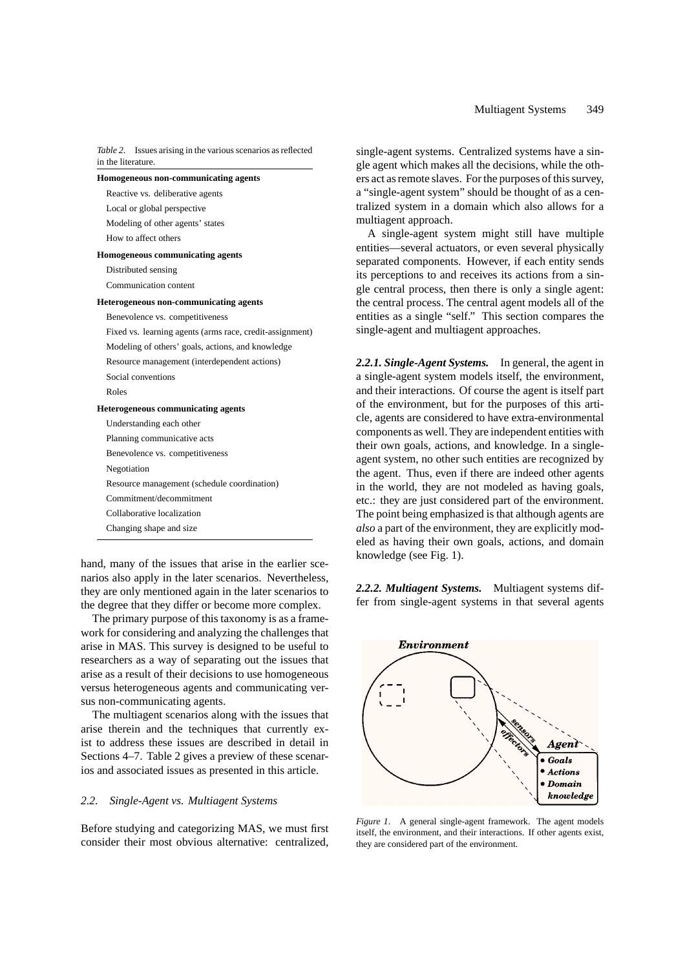*Table 2*. Issues arising in the various scenarios as reflected in the literature.

| Homogeneous non-communicating agents                     |
|----------------------------------------------------------|
| Reactive vs. deliberative agents                         |
| Local or global perspective                              |
| Modeling of other agents' states                         |
| How to affect others                                     |
| Homogeneous communicating agents                         |
| Distributed sensing                                      |
| Communication content                                    |
| Heterogeneous non-communicating agents                   |
| Benevolence vs. competitiveness                          |
| Fixed vs. learning agents (arms race, credit-assignment) |
| Modeling of others' goals, actions, and knowledge        |
| Resource management (interdependent actions)             |
| Social conventions                                       |
| Roles                                                    |
| <b>Heterogeneous communicating agents</b>                |
| Understanding each other                                 |
| Planning communicative acts                              |
| Benevolence vs. competitiveness                          |
| Negotiation                                              |
| Resource management (schedule coordination)              |
| Commitment/decommitment                                  |
| Collaborative localization                               |
| Changing shape and size                                  |
|                                                          |

hand, many of the issues that arise in the earlier scenarios also apply in the later scenarios. Nevertheless, they are only mentioned again in the later scenarios to the degree that they differ or become more complex.

The primary purpose of this taxonomy is as a framework for considering and analyzing the challenges that arise in MAS. This survey is designed to be useful to researchers as a way of separating out the issues that arise as a result of their decisions to use homogeneous versus heterogeneous agents and communicating versus non-communicating agents.

The multiagent scenarios along with the issues that arise therein and the techniques that currently exist to address these issues are described in detail in Sections 4–7. Table 2 gives a preview of these scenarios and associated issues as presented in this article.

### *2.2. Single-Agent vs. Multiagent Systems*

Before studying and categorizing MAS, we must first consider their most obvious alternative: centralized,

single-agent systems. Centralized systems have a single agent which makes all the decisions, while the others act as remote slaves. For the purposes of this survey, a "single-agent system" should be thought of as a centralized system in a domain which also allows for a multiagent approach.

A single-agent system might still have multiple entities—several actuators, or even several physically separated components. However, if each entity sends its perceptions to and receives its actions from a single central process, then there is only a single agent: the central process. The central agent models all of the entities as a single "self." This section compares the single-agent and multiagent approaches.

*2.2.1. Single-Agent Systems.* In general, the agent in a single-agent system models itself, the environment, and their interactions. Of course the agent is itself part of the environment, but for the purposes of this article, agents are considered to have extra-environmental components as well. They are independent entities with their own goals, actions, and knowledge. In a singleagent system, no other such entities are recognized by the agent. Thus, even if there are indeed other agents in the world, they are not modeled as having goals, etc.: they are just considered part of the environment. The point being emphasized is that although agents are *also* a part of the environment, they are explicitly modeled as having their own goals, actions, and domain knowledge (see Fig. 1).

*2.2.2. Multiagent Systems.* Multiagent systems differ from single-agent systems in that several agents



*Figure 1*. A general single-agent framework. The agent models itself, the environment, and their interactions. If other agents exist, they are considered part of the environment.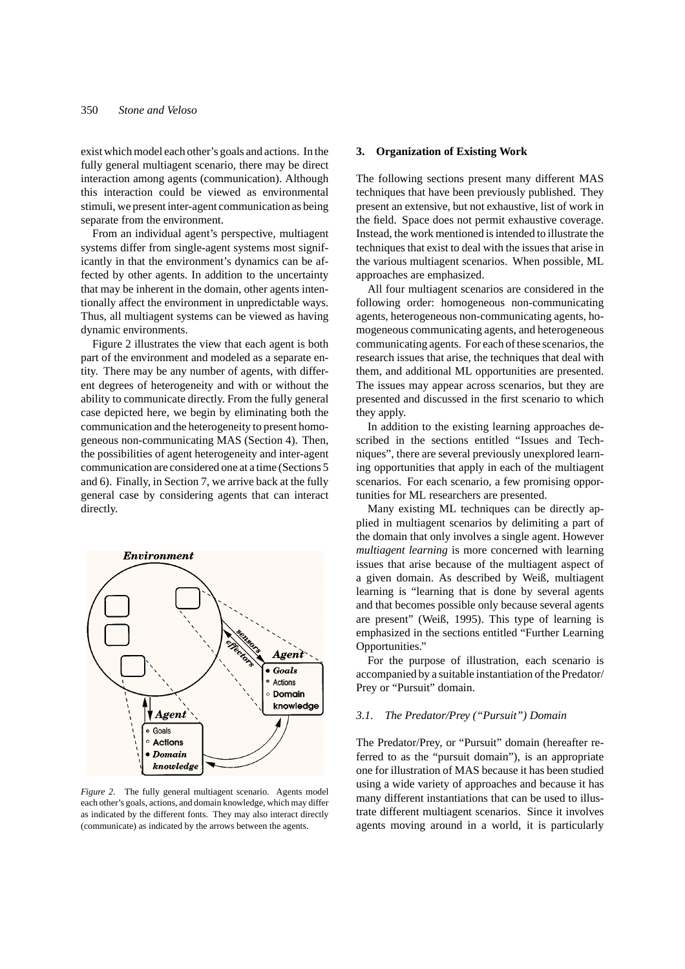exist which model each other's goals and actions. In the fully general multiagent scenario, there may be direct interaction among agents (communication). Although this interaction could be viewed as environmental stimuli, we present inter-agent communication as being separate from the environment.

From an individual agent's perspective, multiagent systems differ from single-agent systems most significantly in that the environment's dynamics can be affected by other agents. In addition to the uncertainty that may be inherent in the domain, other agents intentionally affect the environment in unpredictable ways. Thus, all multiagent systems can be viewed as having dynamic environments.

Figure 2 illustrates the view that each agent is both part of the environment and modeled as a separate entity. There may be any number of agents, with different degrees of heterogeneity and with or without the ability to communicate directly. From the fully general case depicted here, we begin by eliminating both the communication and the heterogeneity to present homogeneous non-communicating MAS (Section 4). Then, the possibilities of agent heterogeneity and inter-agent communication are considered one at a time (Sections 5 and 6). Finally, in Section 7, we arrive back at the fully general case by considering agents that can interact directly.



*Figure 2*. The fully general multiagent scenario. Agents model each other's goals, actions, and domain knowledge, which may differ as indicated by the different fonts. They may also interact directly (communicate) as indicated by the arrows between the agents.

## **3. Organization of Existing Work**

The following sections present many different MAS techniques that have been previously published. They present an extensive, but not exhaustive, list of work in the field. Space does not permit exhaustive coverage. Instead, the work mentioned is intended to illustrate the techniques that exist to deal with the issues that arise in the various multiagent scenarios. When possible, ML approaches are emphasized.

All four multiagent scenarios are considered in the following order: homogeneous non-communicating agents, heterogeneous non-communicating agents, homogeneous communicating agents, and heterogeneous communicating agents. For each of these scenarios, the research issues that arise, the techniques that deal with them, and additional ML opportunities are presented. The issues may appear across scenarios, but they are presented and discussed in the first scenario to which they apply.

In addition to the existing learning approaches described in the sections entitled "Issues and Techniques", there are several previously unexplored learning opportunities that apply in each of the multiagent scenarios. For each scenario, a few promising opportunities for ML researchers are presented.

Many existing ML techniques can be directly applied in multiagent scenarios by delimiting a part of the domain that only involves a single agent. However *multiagent learning* is more concerned with learning issues that arise because of the multiagent aspect of a given domain. As described by Weiß, multiagent learning is "learning that is done by several agents and that becomes possible only because several agents are present" (Weiß, 1995). This type of learning is emphasized in the sections entitled "Further Learning Opportunities."

For the purpose of illustration, each scenario is accompanied by a suitable instantiation of the Predator/ Prey or "Pursuit" domain.

### *3.1. The Predator/Prey ("Pursuit") Domain*

The Predator/Prey, or "Pursuit" domain (hereafter referred to as the "pursuit domain"), is an appropriate one for illustration of MAS because it has been studied using a wide variety of approaches and because it has many different instantiations that can be used to illustrate different multiagent scenarios. Since it involves agents moving around in a world, it is particularly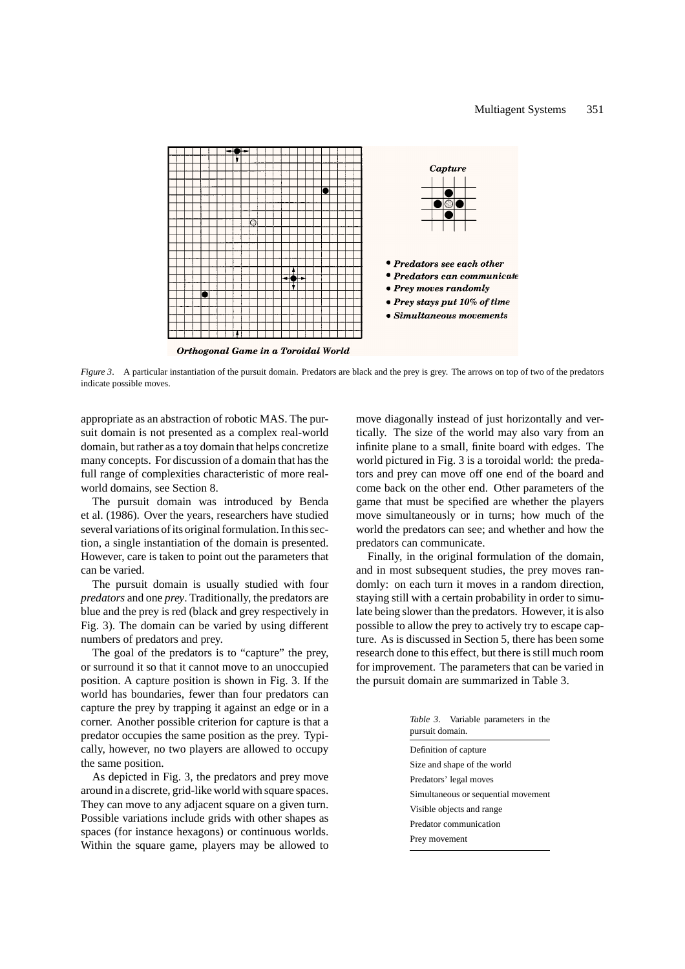

*Figure 3*. A particular instantiation of the pursuit domain. Predators are black and the prey is grey. The arrows on top of two of the predators indicate possible moves.

appropriate as an abstraction of robotic MAS. The pursuit domain is not presented as a complex real-world domain, but rather as a toy domain that helps concretize many concepts. For discussion of a domain that has the full range of complexities characteristic of more realworld domains, see Section 8.

The pursuit domain was introduced by Benda et al. (1986). Over the years, researchers have studied several variations of its original formulation. In this section, a single instantiation of the domain is presented. However, care is taken to point out the parameters that can be varied.

The pursuit domain is usually studied with four *predators* and one *prey*. Traditionally, the predators are blue and the prey is red (black and grey respectively in Fig. 3). The domain can be varied by using different numbers of predators and prey.

The goal of the predators is to "capture" the prey, or surround it so that it cannot move to an unoccupied position. A capture position is shown in Fig. 3. If the world has boundaries, fewer than four predators can capture the prey by trapping it against an edge or in a corner. Another possible criterion for capture is that a predator occupies the same position as the prey. Typically, however, no two players are allowed to occupy the same position.

As depicted in Fig. 3, the predators and prey move around in a discrete, grid-like world with square spaces. They can move to any adjacent square on a given turn. Possible variations include grids with other shapes as spaces (for instance hexagons) or continuous worlds. Within the square game, players may be allowed to

move diagonally instead of just horizontally and vertically. The size of the world may also vary from an infinite plane to a small, finite board with edges. The world pictured in Fig. 3 is a toroidal world: the predators and prey can move off one end of the board and come back on the other end. Other parameters of the game that must be specified are whether the players move simultaneously or in turns; how much of the world the predators can see; and whether and how the predators can communicate.

Finally, in the original formulation of the domain, and in most subsequent studies, the prey moves randomly: on each turn it moves in a random direction, staying still with a certain probability in order to simulate being slower than the predators. However, it is also possible to allow the prey to actively try to escape capture. As is discussed in Section 5, there has been some research done to this effect, but there is still much room for improvement. The parameters that can be varied in the pursuit domain are summarized in Table 3.

| Table 3. Variable parameters in the<br>pursuit domain. |  |  |
|--------------------------------------------------------|--|--|
| Definition of capture                                  |  |  |
| Size and shape of the world                            |  |  |
| Predators' legal moves                                 |  |  |
| Simultaneous or sequential movement                    |  |  |
| Visible objects and range                              |  |  |
| Predator communication                                 |  |  |
| Prey movement                                          |  |  |
|                                                        |  |  |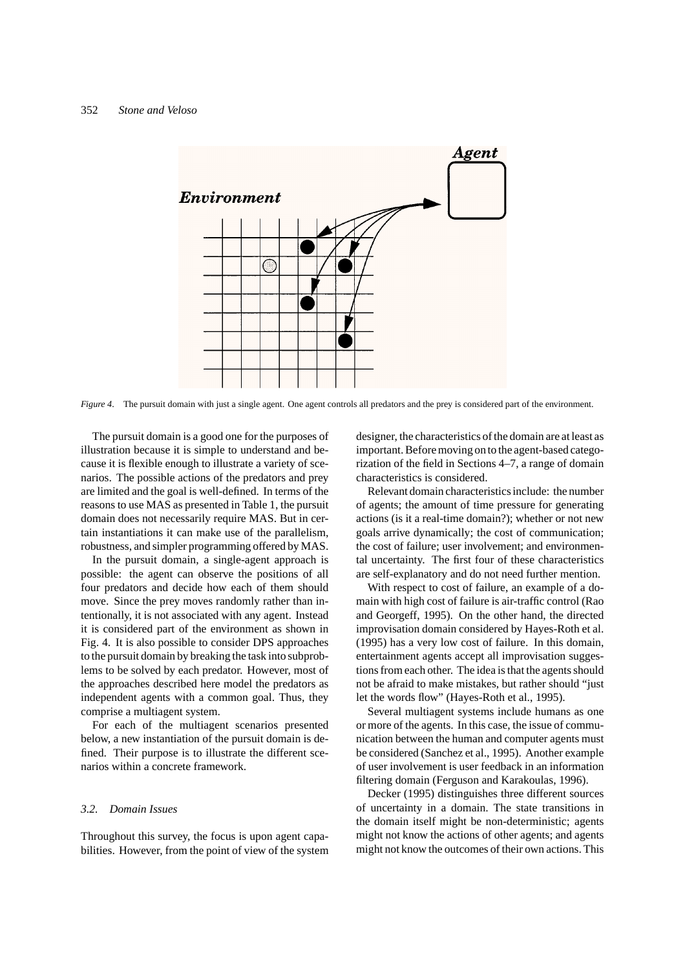

*Figure 4*. The pursuit domain with just a single agent. One agent controls all predators and the prey is considered part of the environment.

The pursuit domain is a good one for the purposes of illustration because it is simple to understand and because it is flexible enough to illustrate a variety of scenarios. The possible actions of the predators and prey are limited and the goal is well-defined. In terms of the reasons to use MAS as presented in Table 1, the pursuit domain does not necessarily require MAS. But in certain instantiations it can make use of the parallelism, robustness, and simpler programming offered by MAS.

In the pursuit domain, a single-agent approach is possible: the agent can observe the positions of all four predators and decide how each of them should move. Since the prey moves randomly rather than intentionally, it is not associated with any agent. Instead it is considered part of the environment as shown in Fig. 4. It is also possible to consider DPS approaches to the pursuit domain by breaking the task into subproblems to be solved by each predator. However, most of the approaches described here model the predators as independent agents with a common goal. Thus, they comprise a multiagent system.

For each of the multiagent scenarios presented below, a new instantiation of the pursuit domain is defined. Their purpose is to illustrate the different scenarios within a concrete framework.

#### *3.2. Domain Issues*

Throughout this survey, the focus is upon agent capabilities. However, from the point of view of the system

designer, the characteristics of the domain are at least as important. Before moving on to the agent-based categorization of the field in Sections 4–7, a range of domain characteristics is considered.

Relevant domain characteristics include: the number of agents; the amount of time pressure for generating actions (is it a real-time domain?); whether or not new goals arrive dynamically; the cost of communication; the cost of failure; user involvement; and environmental uncertainty. The first four of these characteristics are self-explanatory and do not need further mention.

With respect to cost of failure, an example of a domain with high cost of failure is air-traffic control (Rao and Georgeff, 1995). On the other hand, the directed improvisation domain considered by Hayes-Roth et al. (1995) has a very low cost of failure. In this domain, entertainment agents accept all improvisation suggestions from each other. The idea is that the agents should not be afraid to make mistakes, but rather should "just let the words flow" (Hayes-Roth et al., 1995).

Several multiagent systems include humans as one or more of the agents. In this case, the issue of communication between the human and computer agents must be considered (Sanchez et al., 1995). Another example of user involvement is user feedback in an information filtering domain (Ferguson and Karakoulas, 1996).

Decker (1995) distinguishes three different sources of uncertainty in a domain. The state transitions in the domain itself might be non-deterministic; agents might not know the actions of other agents; and agents might not know the outcomes of their own actions. This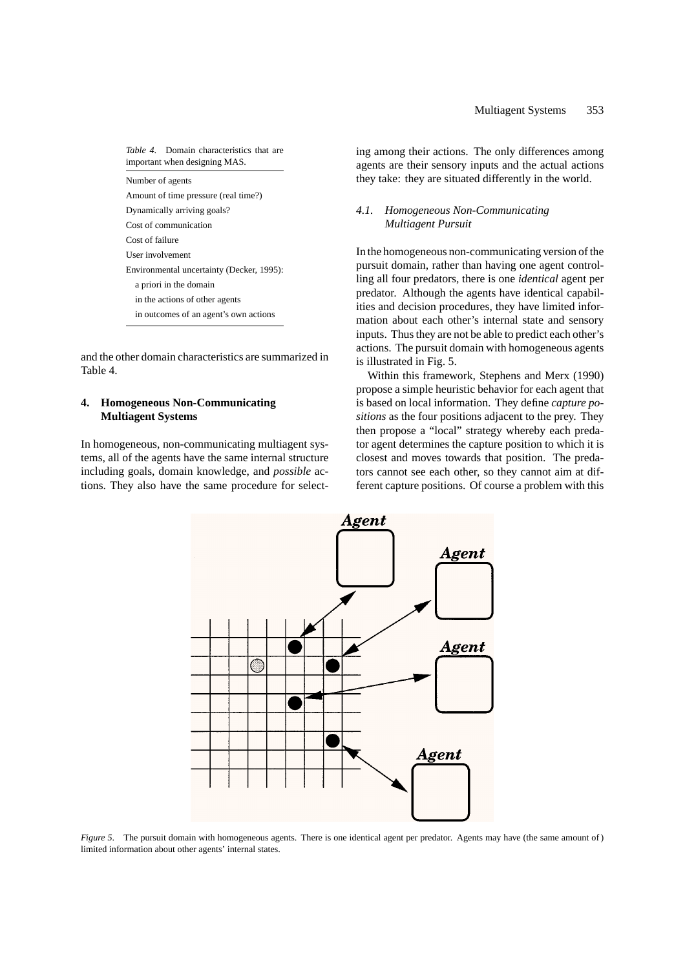*Table 4*. Domain characteristics that are important when designing MAS. Number of agents Amount of time pressure (real time?) Dynamically arriving goals? Cost of communication Cost of failure User involvement Environmental uncertainty (Decker, 1995): a priori in the domain in the actions of other agents in outcomes of an agent's own actions

and the other domain characteristics are summarized in Table 4.

## **4. Homogeneous Non-Communicating Multiagent Systems**

In homogeneous, non-communicating multiagent systems, all of the agents have the same internal structure including goals, domain knowledge, and *possible* actions. They also have the same procedure for selecting among their actions. The only differences among agents are their sensory inputs and the actual actions they take: they are situated differently in the world.

## *4.1. Homogeneous Non-Communicating Multiagent Pursuit*

In the homogeneous non-communicating version of the pursuit domain, rather than having one agent controlling all four predators, there is one *identical* agent per predator. Although the agents have identical capabilities and decision procedures, they have limited information about each other's internal state and sensory inputs. Thus they are not be able to predict each other's actions. The pursuit domain with homogeneous agents is illustrated in Fig. 5.

Within this framework, Stephens and Merx (1990) propose a simple heuristic behavior for each agent that is based on local information. They define *capture positions* as the four positions adjacent to the prey. They then propose a "local" strategy whereby each predator agent determines the capture position to which it is closest and moves towards that position. The predators cannot see each other, so they cannot aim at different capture positions. Of course a problem with this



*Figure 5*. The pursuit domain with homogeneous agents. There is one identical agent per predator. Agents may have (the same amount of ) limited information about other agents' internal states.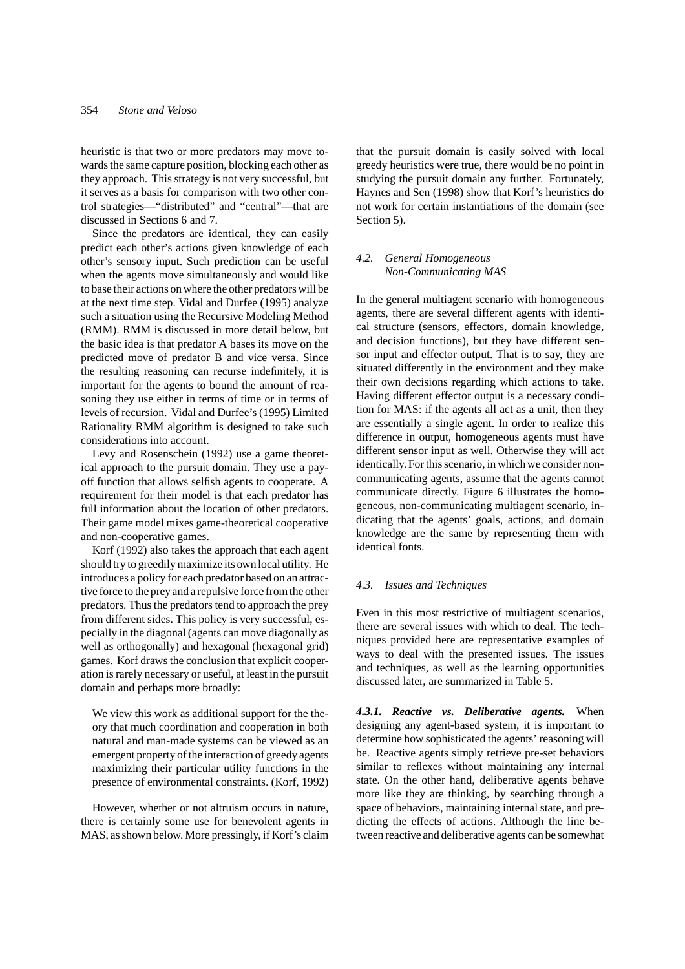heuristic is that two or more predators may move towards the same capture position, blocking each other as they approach. This strategy is not very successful, but it serves as a basis for comparison with two other control strategies—"distributed" and "central"—that are discussed in Sections 6 and 7.

Since the predators are identical, they can easily predict each other's actions given knowledge of each other's sensory input. Such prediction can be useful when the agents move simultaneously and would like to base their actions on where the other predators will be at the next time step. Vidal and Durfee (1995) analyze such a situation using the Recursive Modeling Method (RMM). RMM is discussed in more detail below, but the basic idea is that predator A bases its move on the predicted move of predator B and vice versa. Since the resulting reasoning can recurse indefinitely, it is important for the agents to bound the amount of reasoning they use either in terms of time or in terms of levels of recursion. Vidal and Durfee's (1995) Limited Rationality RMM algorithm is designed to take such considerations into account.

Levy and Rosenschein (1992) use a game theoretical approach to the pursuit domain. They use a payoff function that allows selfish agents to cooperate. A requirement for their model is that each predator has full information about the location of other predators. Their game model mixes game-theoretical cooperative and non-cooperative games.

Korf (1992) also takes the approach that each agent should try to greedily maximize its own local utility. He introduces a policy for each predator based on an attractive force to the prey and a repulsive force from the other predators. Thus the predators tend to approach the prey from different sides. This policy is very successful, especially in the diagonal (agents can move diagonally as well as orthogonally) and hexagonal (hexagonal grid) games. Korf draws the conclusion that explicit cooperation is rarely necessary or useful, at least in the pursuit domain and perhaps more broadly:

We view this work as additional support for the theory that much coordination and cooperation in both natural and man-made systems can be viewed as an emergent property of the interaction of greedy agents maximizing their particular utility functions in the presence of environmental constraints. (Korf, 1992)

However, whether or not altruism occurs in nature, there is certainly some use for benevolent agents in MAS, as shown below. More pressingly, if Korf's claim that the pursuit domain is easily solved with local greedy heuristics were true, there would be no point in studying the pursuit domain any further. Fortunately, Haynes and Sen (1998) show that Korf's heuristics do not work for certain instantiations of the domain (see Section 5).

## *4.2. General Homogeneous Non-Communicating MAS*

In the general multiagent scenario with homogeneous agents, there are several different agents with identical structure (sensors, effectors, domain knowledge, and decision functions), but they have different sensor input and effector output. That is to say, they are situated differently in the environment and they make their own decisions regarding which actions to take. Having different effector output is a necessary condition for MAS: if the agents all act as a unit, then they are essentially a single agent. In order to realize this difference in output, homogeneous agents must have different sensor input as well. Otherwise they will act identically. For this scenario, in which we consider noncommunicating agents, assume that the agents cannot communicate directly. Figure 6 illustrates the homogeneous, non-communicating multiagent scenario, indicating that the agents' goals, actions, and domain knowledge are the same by representing them with identical fonts.

## *4.3. Issues and Techniques*

Even in this most restrictive of multiagent scenarios, there are several issues with which to deal. The techniques provided here are representative examples of ways to deal with the presented issues. The issues and techniques, as well as the learning opportunities discussed later, are summarized in Table 5.

*4.3.1. Reactive vs. Deliberative agents.* When designing any agent-based system, it is important to determine how sophisticated the agents' reasoning will be. Reactive agents simply retrieve pre-set behaviors similar to reflexes without maintaining any internal state. On the other hand, deliberative agents behave more like they are thinking, by searching through a space of behaviors, maintaining internal state, and predicting the effects of actions. Although the line between reactive and deliberative agents can be somewhat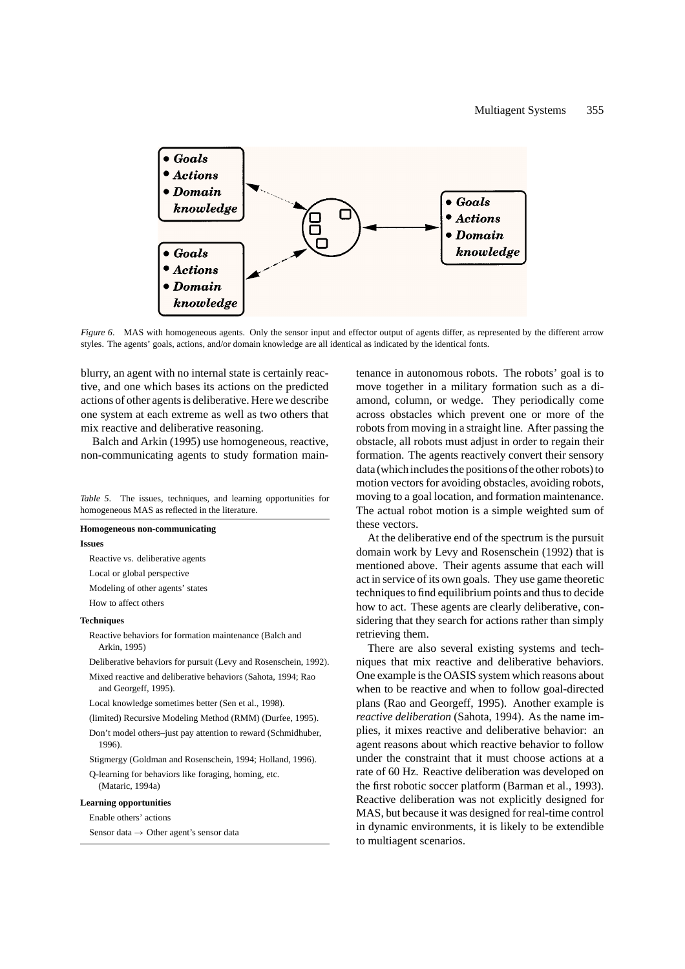

*Figure 6*. MAS with homogeneous agents. Only the sensor input and effector output of agents differ, as represented by the different arrow styles. The agents' goals, actions, and/or domain knowledge are all identical as indicated by the identical fonts.

blurry, an agent with no internal state is certainly reactive, and one which bases its actions on the predicted actions of other agents is deliberative. Here we describe one system at each extreme as well as two others that mix reactive and deliberative reasoning.

Balch and Arkin (1995) use homogeneous, reactive, non-communicating agents to study formation main-

*Table 5*. The issues, techniques, and learning opportunities for homogeneous MAS as reflected in the literature.

|  | Homogeneous non-communicating |  |
|--|-------------------------------|--|
|--|-------------------------------|--|

#### **Issues**

Reactive vs. deliberative agents Local or global perspective

Modeling of other agents' states

How to affect others

#### **Techniques**

Reactive behaviors for formation maintenance (Balch and Arkin, 1995)

Deliberative behaviors for pursuit (Levy and Rosenschein, 1992). Mixed reactive and deliberative behaviors (Sahota, 1994; Rao and Georgeff, 1995).

Local knowledge sometimes better (Sen et al., 1998).

(limited) Recursive Modeling Method (RMM) (Durfee, 1995).

Don't model others–just pay attention to reward (Schmidhuber, 1996).

Stigmergy (Goldman and Rosenschein, 1994; Holland, 1996).

Q-learning for behaviors like foraging, homing, etc. (Mataric, 1994a)

#### **Learning opportunities**

Enable others' actions

Sensor data → Other agent's sensor data

tenance in autonomous robots. The robots' goal is to move together in a military formation such as a diamond, column, or wedge. They periodically come across obstacles which prevent one or more of the robots from moving in a straight line. After passing the obstacle, all robots must adjust in order to regain their formation. The agents reactively convert their sensory data (which includes the positions of the other robots) to motion vectors for avoiding obstacles, avoiding robots, moving to a goal location, and formation maintenance. The actual robot motion is a simple weighted sum of these vectors.

At the deliberative end of the spectrum is the pursuit domain work by Levy and Rosenschein (1992) that is mentioned above. Their agents assume that each will act in service of its own goals. They use game theoretic techniques to find equilibrium points and thus to decide how to act. These agents are clearly deliberative, considering that they search for actions rather than simply retrieving them.

There are also several existing systems and techniques that mix reactive and deliberative behaviors. One example is the OASIS system which reasons about when to be reactive and when to follow goal-directed plans (Rao and Georgeff, 1995). Another example is *reactive deliberation* (Sahota, 1994). As the name implies, it mixes reactive and deliberative behavior: an agent reasons about which reactive behavior to follow under the constraint that it must choose actions at a rate of 60 Hz. Reactive deliberation was developed on the first robotic soccer platform (Barman et al., 1993). Reactive deliberation was not explicitly designed for MAS, but because it was designed for real-time control in dynamic environments, it is likely to be extendible to multiagent scenarios.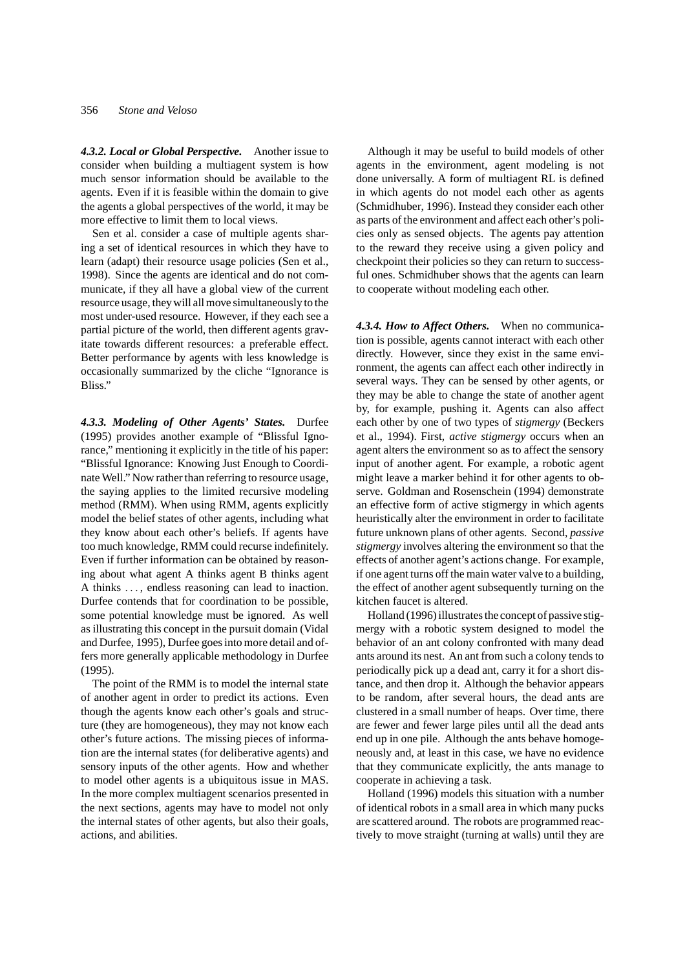*4.3.2. Local or Global Perspective.* Another issue to consider when building a multiagent system is how much sensor information should be available to the agents. Even if it is feasible within the domain to give the agents a global perspectives of the world, it may be more effective to limit them to local views.

Sen et al. consider a case of multiple agents sharing a set of identical resources in which they have to learn (adapt) their resource usage policies (Sen et al., 1998). Since the agents are identical and do not communicate, if they all have a global view of the current resource usage, they will all move simultaneously to the most under-used resource. However, if they each see a partial picture of the world, then different agents gravitate towards different resources: a preferable effect. Better performance by agents with less knowledge is occasionally summarized by the cliche "Ignorance is Bliss."

*4.3.3. Modeling of Other Agents' States.* Durfee (1995) provides another example of "Blissful Ignorance," mentioning it explicitly in the title of his paper: "Blissful Ignorance: Knowing Just Enough to Coordinate Well." Now rather than referring to resource usage, the saying applies to the limited recursive modeling method (RMM). When using RMM, agents explicitly model the belief states of other agents, including what they know about each other's beliefs. If agents have too much knowledge, RMM could recurse indefinitely. Even if further information can be obtained by reasoning about what agent A thinks agent B thinks agent A thinks ... , endless reasoning can lead to inaction. Durfee contends that for coordination to be possible, some potential knowledge must be ignored. As well as illustrating this concept in the pursuit domain (Vidal and Durfee, 1995), Durfee goes into more detail and offers more generally applicable methodology in Durfee (1995).

The point of the RMM is to model the internal state of another agent in order to predict its actions. Even though the agents know each other's goals and structure (they are homogeneous), they may not know each other's future actions. The missing pieces of information are the internal states (for deliberative agents) and sensory inputs of the other agents. How and whether to model other agents is a ubiquitous issue in MAS. In the more complex multiagent scenarios presented in the next sections, agents may have to model not only the internal states of other agents, but also their goals, actions, and abilities.

Although it may be useful to build models of other agents in the environment, agent modeling is not done universally. A form of multiagent RL is defined in which agents do not model each other as agents (Schmidhuber, 1996). Instead they consider each other as parts of the environment and affect each other's policies only as sensed objects. The agents pay attention to the reward they receive using a given policy and checkpoint their policies so they can return to successful ones. Schmidhuber shows that the agents can learn to cooperate without modeling each other.

*4.3.4. How to Affect Others.* When no communication is possible, agents cannot interact with each other directly. However, since they exist in the same environment, the agents can affect each other indirectly in several ways. They can be sensed by other agents, or they may be able to change the state of another agent by, for example, pushing it. Agents can also affect each other by one of two types of *stigmergy* (Beckers et al., 1994). First, *active stigmergy* occurs when an agent alters the environment so as to affect the sensory input of another agent. For example, a robotic agent might leave a marker behind it for other agents to observe. Goldman and Rosenschein (1994) demonstrate an effective form of active stigmergy in which agents heuristically alter the environment in order to facilitate future unknown plans of other agents. Second, *passive stigmergy* involves altering the environment so that the effects of another agent's actions change. For example, if one agent turns off the main water valve to a building, the effect of another agent subsequently turning on the kitchen faucet is altered.

Holland (1996) illustrates the concept of passive stigmergy with a robotic system designed to model the behavior of an ant colony confronted with many dead ants around its nest. An ant from such a colony tends to periodically pick up a dead ant, carry it for a short distance, and then drop it. Although the behavior appears to be random, after several hours, the dead ants are clustered in a small number of heaps. Over time, there are fewer and fewer large piles until all the dead ants end up in one pile. Although the ants behave homogeneously and, at least in this case, we have no evidence that they communicate explicitly, the ants manage to cooperate in achieving a task.

Holland (1996) models this situation with a number of identical robots in a small area in which many pucks are scattered around. The robots are programmed reactively to move straight (turning at walls) until they are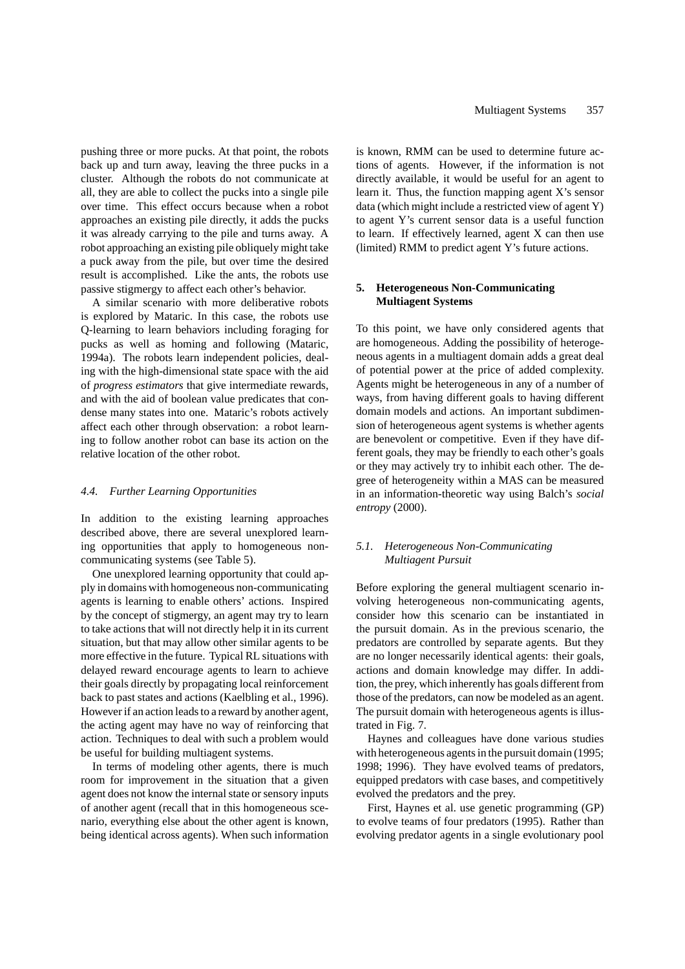pushing three or more pucks. At that point, the robots back up and turn away, leaving the three pucks in a cluster. Although the robots do not communicate at all, they are able to collect the pucks into a single pile over time. This effect occurs because when a robot approaches an existing pile directly, it adds the pucks it was already carrying to the pile and turns away. A robot approaching an existing pile obliquely might take a puck away from the pile, but over time the desired result is accomplished. Like the ants, the robots use passive stigmergy to affect each other's behavior.

A similar scenario with more deliberative robots is explored by Mataric. In this case, the robots use Q-learning to learn behaviors including foraging for pucks as well as homing and following (Mataric, 1994a). The robots learn independent policies, dealing with the high-dimensional state space with the aid of *progress estimators* that give intermediate rewards, and with the aid of boolean value predicates that condense many states into one. Mataric's robots actively affect each other through observation: a robot learning to follow another robot can base its action on the relative location of the other robot.

## *4.4. Further Learning Opportunities*

In addition to the existing learning approaches described above, there are several unexplored learning opportunities that apply to homogeneous noncommunicating systems (see Table 5).

One unexplored learning opportunity that could apply in domains with homogeneous non-communicating agents is learning to enable others' actions. Inspired by the concept of stigmergy, an agent may try to learn to take actions that will not directly help it in its current situation, but that may allow other similar agents to be more effective in the future. Typical RL situations with delayed reward encourage agents to learn to achieve their goals directly by propagating local reinforcement back to past states and actions (Kaelbling et al., 1996). However if an action leads to a reward by another agent, the acting agent may have no way of reinforcing that action. Techniques to deal with such a problem would be useful for building multiagent systems.

In terms of modeling other agents, there is much room for improvement in the situation that a given agent does not know the internal state or sensory inputs of another agent (recall that in this homogeneous scenario, everything else about the other agent is known, being identical across agents). When such information

is known, RMM can be used to determine future actions of agents. However, if the information is not directly available, it would be useful for an agent to learn it. Thus, the function mapping agent X's sensor data (which might include a restricted view of agent Y) to agent Y's current sensor data is a useful function to learn. If effectively learned, agent X can then use (limited) RMM to predict agent Y's future actions.

## **5. Heterogeneous Non-Communicating Multiagent Systems**

To this point, we have only considered agents that are homogeneous. Adding the possibility of heterogeneous agents in a multiagent domain adds a great deal of potential power at the price of added complexity. Agents might be heterogeneous in any of a number of ways, from having different goals to having different domain models and actions. An important subdimension of heterogeneous agent systems is whether agents are benevolent or competitive. Even if they have different goals, they may be friendly to each other's goals or they may actively try to inhibit each other. The degree of heterogeneity within a MAS can be measured in an information-theoretic way using Balch's *social entropy* (2000).

## *5.1. Heterogeneous Non-Communicating Multiagent Pursuit*

Before exploring the general multiagent scenario involving heterogeneous non-communicating agents, consider how this scenario can be instantiated in the pursuit domain. As in the previous scenario, the predators are controlled by separate agents. But they are no longer necessarily identical agents: their goals, actions and domain knowledge may differ. In addition, the prey, which inherently has goals different from those of the predators, can now be modeled as an agent. The pursuit domain with heterogeneous agents is illustrated in Fig. 7.

Haynes and colleagues have done various studies with heterogeneous agents in the pursuit domain (1995; 1998; 1996). They have evolved teams of predators, equipped predators with case bases, and competitively evolved the predators and the prey.

First, Haynes et al. use genetic programming (GP) to evolve teams of four predators (1995). Rather than evolving predator agents in a single evolutionary pool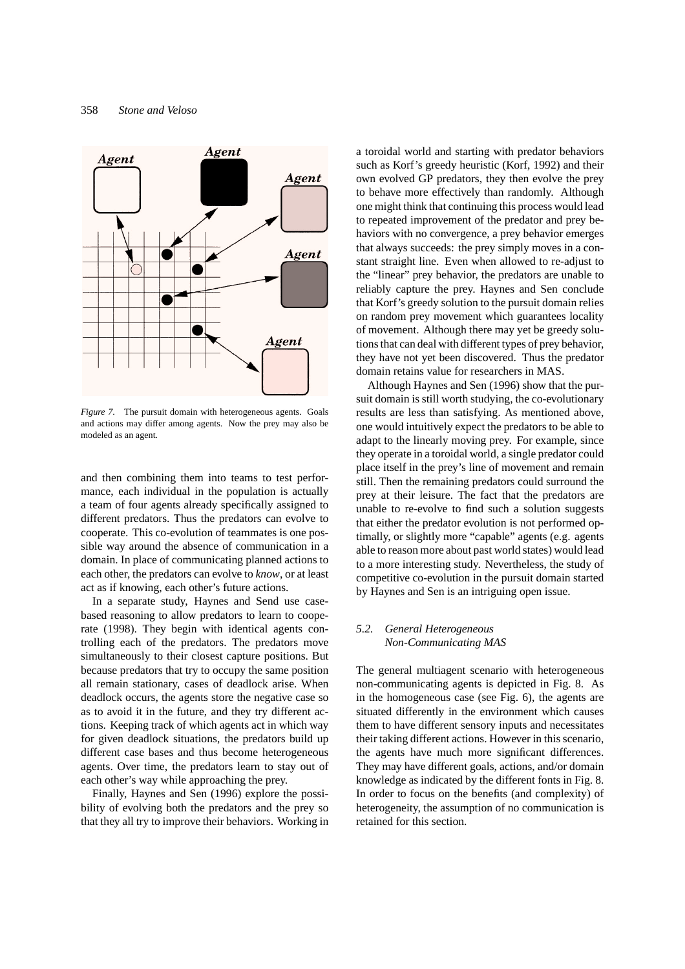

*Figure 7*. The pursuit domain with heterogeneous agents. Goals and actions may differ among agents. Now the prey may also be modeled as an agent.

and then combining them into teams to test performance, each individual in the population is actually a team of four agents already specifically assigned to different predators. Thus the predators can evolve to cooperate. This co-evolution of teammates is one possible way around the absence of communication in a domain. In place of communicating planned actions to each other, the predators can evolve to *know*, or at least act as if knowing, each other's future actions.

In a separate study, Haynes and Send use casebased reasoning to allow predators to learn to cooperate (1998). They begin with identical agents controlling each of the predators. The predators move simultaneously to their closest capture positions. But because predators that try to occupy the same position all remain stationary, cases of deadlock arise. When deadlock occurs, the agents store the negative case so as to avoid it in the future, and they try different actions. Keeping track of which agents act in which way for given deadlock situations, the predators build up different case bases and thus become heterogeneous agents. Over time, the predators learn to stay out of each other's way while approaching the prey.

Finally, Haynes and Sen (1996) explore the possibility of evolving both the predators and the prey so that they all try to improve their behaviors. Working in a toroidal world and starting with predator behaviors such as Korf's greedy heuristic (Korf, 1992) and their own evolved GP predators, they then evolve the prey to behave more effectively than randomly. Although one might think that continuing this process would lead to repeated improvement of the predator and prey behaviors with no convergence, a prey behavior emerges that always succeeds: the prey simply moves in a constant straight line. Even when allowed to re-adjust to the "linear" prey behavior, the predators are unable to reliably capture the prey. Haynes and Sen conclude that Korf's greedy solution to the pursuit domain relies on random prey movement which guarantees locality of movement. Although there may yet be greedy solutions that can deal with different types of prey behavior, they have not yet been discovered. Thus the predator domain retains value for researchers in MAS.

Although Haynes and Sen (1996) show that the pursuit domain is still worth studying, the co-evolutionary results are less than satisfying. As mentioned above, one would intuitively expect the predators to be able to adapt to the linearly moving prey. For example, since they operate in a toroidal world, a single predator could place itself in the prey's line of movement and remain still. Then the remaining predators could surround the prey at their leisure. The fact that the predators are unable to re-evolve to find such a solution suggests that either the predator evolution is not performed optimally, or slightly more "capable" agents (e.g. agents able to reason more about past world states) would lead to a more interesting study. Nevertheless, the study of competitive co-evolution in the pursuit domain started by Haynes and Sen is an intriguing open issue.

## *5.2. General Heterogeneous Non-Communicating MAS*

The general multiagent scenario with heterogeneous non-communicating agents is depicted in Fig. 8. As in the homogeneous case (see Fig. 6), the agents are situated differently in the environment which causes them to have different sensory inputs and necessitates their taking different actions. However in this scenario, the agents have much more significant differences. They may have different goals, actions, and/or domain knowledge as indicated by the different fonts in Fig. 8. In order to focus on the benefits (and complexity) of heterogeneity, the assumption of no communication is retained for this section.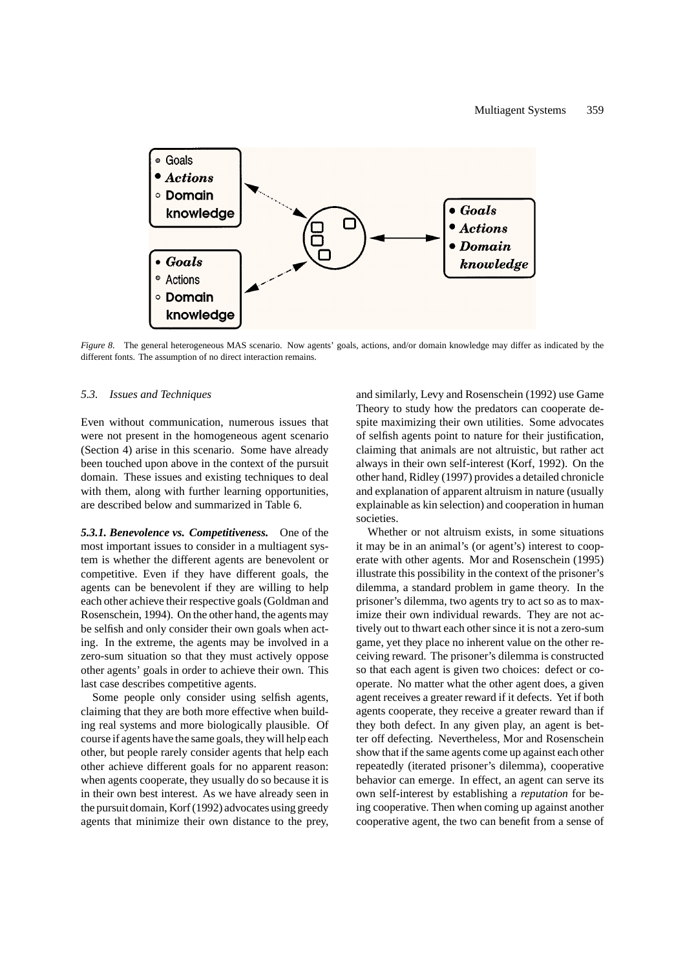

*Figure 8*. The general heterogeneous MAS scenario. Now agents' goals, actions, and/or domain knowledge may differ as indicated by the different fonts. The assumption of no direct interaction remains.

## *5.3. Issues and Techniques*

Even without communication, numerous issues that were not present in the homogeneous agent scenario (Section 4) arise in this scenario. Some have already been touched upon above in the context of the pursuit domain. These issues and existing techniques to deal with them, along with further learning opportunities, are described below and summarized in Table 6.

*5.3.1. Benevolence vs. Competitiveness.* One of the most important issues to consider in a multiagent system is whether the different agents are benevolent or competitive. Even if they have different goals, the agents can be benevolent if they are willing to help each other achieve their respective goals (Goldman and Rosenschein, 1994). On the other hand, the agents may be selfish and only consider their own goals when acting. In the extreme, the agents may be involved in a zero-sum situation so that they must actively oppose other agents' goals in order to achieve their own. This last case describes competitive agents.

Some people only consider using selfish agents, claiming that they are both more effective when building real systems and more biologically plausible. Of course if agents have the same goals, they will help each other, but people rarely consider agents that help each other achieve different goals for no apparent reason: when agents cooperate, they usually do so because it is in their own best interest. As we have already seen in the pursuit domain, Korf (1992) advocates using greedy agents that minimize their own distance to the prey,

and similarly, Levy and Rosenschein (1992) use Game Theory to study how the predators can cooperate despite maximizing their own utilities. Some advocates of selfish agents point to nature for their justification, claiming that animals are not altruistic, but rather act always in their own self-interest (Korf, 1992). On the other hand, Ridley (1997) provides a detailed chronicle and explanation of apparent altruism in nature (usually explainable as kin selection) and cooperation in human societies.

Whether or not altruism exists, in some situations it may be in an animal's (or agent's) interest to cooperate with other agents. Mor and Rosenschein (1995) illustrate this possibility in the context of the prisoner's dilemma, a standard problem in game theory. In the prisoner's dilemma, two agents try to act so as to maximize their own individual rewards. They are not actively out to thwart each other since it is not a zero-sum game, yet they place no inherent value on the other receiving reward. The prisoner's dilemma is constructed so that each agent is given two choices: defect or cooperate. No matter what the other agent does, a given agent receives a greater reward if it defects. Yet if both agents cooperate, they receive a greater reward than if they both defect. In any given play, an agent is better off defecting. Nevertheless, Mor and Rosenschein show that if the same agents come up against each other repeatedly (iterated prisoner's dilemma), cooperative behavior can emerge. In effect, an agent can serve its own self-interest by establishing a *reputation* for being cooperative. Then when coming up against another cooperative agent, the two can benefit from a sense of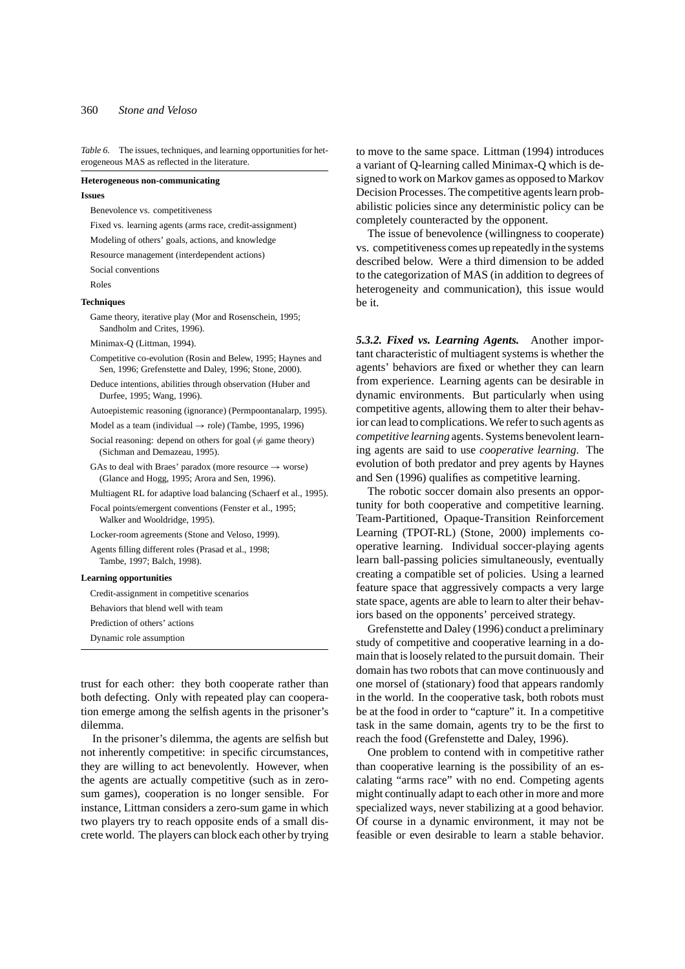*Table 6*. The issues, techniques, and learning opportunities for heterogeneous MAS as reflected in the literature.

#### **Heterogeneous non-communicating**

## **Issues**

Benevolence vs. competitiveness

Fixed vs. learning agents (arms race, credit-assignment)

Modeling of others' goals, actions, and knowledge

Resource management (interdependent actions)

Social conventions

Roles

#### **Techniques**

Game theory, iterative play (Mor and Rosenschein, 1995; Sandholm and Crites, 1996).

Minimax-Q (Littman, 1994).

Competitive co-evolution (Rosin and Belew, 1995; Haynes and Sen, 1996; Grefenstette and Daley, 1996; Stone, 2000).

Deduce intentions, abilities through observation (Huber and Durfee, 1995; Wang, 1996).

Autoepistemic reasoning (ignorance) (Permpoontanalarp, 1995).

Model as a team (individual  $\rightarrow$  role) (Tambe, 1995, 1996)

Social reasoning: depend on others for goal ( $\neq$  game theory) (Sichman and Demazeau, 1995).

GAs to deal with Braes' paradox (more resource  $\rightarrow$  worse) (Glance and Hogg, 1995; Arora and Sen, 1996).

Multiagent RL for adaptive load balancing (Schaerf et al., 1995).

Focal points/emergent conventions (Fenster et al., 1995; Walker and Wooldridge, 1995).

Locker-room agreements (Stone and Veloso, 1999).

Agents filling different roles (Prasad et al., 1998; Tambe, 1997; Balch, 1998).

### **Learning opportunities**

Credit-assignment in competitive scenarios

Behaviors that blend well with team

Prediction of others' actions

Dynamic role assumption

trust for each other: they both cooperate rather than both defecting. Only with repeated play can cooperation emerge among the selfish agents in the prisoner's dilemma.

In the prisoner's dilemma, the agents are selfish but not inherently competitive: in specific circumstances, they are willing to act benevolently. However, when the agents are actually competitive (such as in zerosum games), cooperation is no longer sensible. For instance, Littman considers a zero-sum game in which two players try to reach opposite ends of a small discrete world. The players can block each other by trying

to move to the same space. Littman (1994) introduces a variant of Q-learning called Minimax-Q which is designed to work on Markov games as opposed to Markov Decision Processes. The competitive agents learn probabilistic policies since any deterministic policy can be completely counteracted by the opponent.

The issue of benevolence (willingness to cooperate) vs. competitiveness comes up repeatedly in the systems described below. Were a third dimension to be added to the categorization of MAS (in addition to degrees of heterogeneity and communication), this issue would be it.

*5.3.2. Fixed vs. Learning Agents.* Another important characteristic of multiagent systems is whether the agents' behaviors are fixed or whether they can learn from experience. Learning agents can be desirable in dynamic environments. But particularly when using competitive agents, allowing them to alter their behavior can lead to complications. We refer to such agents as *competitive learning* agents. Systems benevolent learning agents are said to use *cooperative learning*. The evolution of both predator and prey agents by Haynes and Sen (1996) qualifies as competitive learning.

The robotic soccer domain also presents an opportunity for both cooperative and competitive learning. Team-Partitioned, Opaque-Transition Reinforcement Learning (TPOT-RL) (Stone, 2000) implements cooperative learning. Individual soccer-playing agents learn ball-passing policies simultaneously, eventually creating a compatible set of policies. Using a learned feature space that aggressively compacts a very large state space, agents are able to learn to alter their behaviors based on the opponents' perceived strategy.

Grefenstette and Daley (1996) conduct a preliminary study of competitive and cooperative learning in a domain that is loosely related to the pursuit domain. Their domain has two robots that can move continuously and one morsel of (stationary) food that appears randomly in the world. In the cooperative task, both robots must be at the food in order to "capture" it. In a competitive task in the same domain, agents try to be the first to reach the food (Grefenstette and Daley, 1996).

One problem to contend with in competitive rather than cooperative learning is the possibility of an escalating "arms race" with no end. Competing agents might continually adapt to each other in more and more specialized ways, never stabilizing at a good behavior. Of course in a dynamic environment, it may not be feasible or even desirable to learn a stable behavior.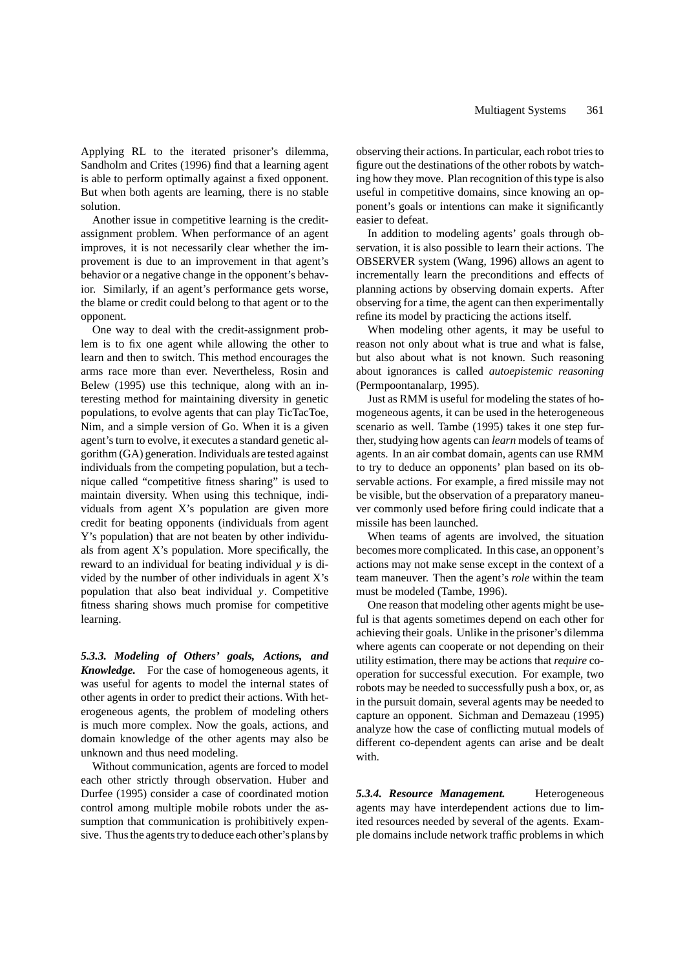Applying RL to the iterated prisoner's dilemma, Sandholm and Crites (1996) find that a learning agent is able to perform optimally against a fixed opponent. But when both agents are learning, there is no stable solution.

Another issue in competitive learning is the creditassignment problem. When performance of an agent improves, it is not necessarily clear whether the improvement is due to an improvement in that agent's behavior or a negative change in the opponent's behavior. Similarly, if an agent's performance gets worse, the blame or credit could belong to that agent or to the opponent.

One way to deal with the credit-assignment problem is to fix one agent while allowing the other to learn and then to switch. This method encourages the arms race more than ever. Nevertheless, Rosin and Belew (1995) use this technique, along with an interesting method for maintaining diversity in genetic populations, to evolve agents that can play TicTacToe, Nim, and a simple version of Go. When it is a given agent's turn to evolve, it executes a standard genetic algorithm (GA) generation. Individuals are tested against individuals from the competing population, but a technique called "competitive fitness sharing" is used to maintain diversity. When using this technique, individuals from agent X's population are given more credit for beating opponents (individuals from agent Y's population) that are not beaten by other individuals from agent X's population. More specifically, the reward to an individual for beating individual *y* is divided by the number of other individuals in agent X's population that also beat individual *y*. Competitive fitness sharing shows much promise for competitive learning.

*5.3.3. Modeling of Others' goals, Actions, and Knowledge.* For the case of homogeneous agents, it was useful for agents to model the internal states of other agents in order to predict their actions. With heterogeneous agents, the problem of modeling others is much more complex. Now the goals, actions, and domain knowledge of the other agents may also be unknown and thus need modeling.

Without communication, agents are forced to model each other strictly through observation. Huber and Durfee (1995) consider a case of coordinated motion control among multiple mobile robots under the assumption that communication is prohibitively expensive. Thus the agents try to deduce each other's plans by

observing their actions. In particular, each robot tries to figure out the destinations of the other robots by watching how they move. Plan recognition of this type is also useful in competitive domains, since knowing an opponent's goals or intentions can make it significantly easier to defeat.

In addition to modeling agents' goals through observation, it is also possible to learn their actions. The OBSERVER system (Wang, 1996) allows an agent to incrementally learn the preconditions and effects of planning actions by observing domain experts. After observing for a time, the agent can then experimentally refine its model by practicing the actions itself.

When modeling other agents, it may be useful to reason not only about what is true and what is false, but also about what is not known. Such reasoning about ignorances is called *autoepistemic reasoning* (Permpoontanalarp, 1995).

Just as RMM is useful for modeling the states of homogeneous agents, it can be used in the heterogeneous scenario as well. Tambe (1995) takes it one step further, studying how agents can *learn* models of teams of agents. In an air combat domain, agents can use RMM to try to deduce an opponents' plan based on its observable actions. For example, a fired missile may not be visible, but the observation of a preparatory maneuver commonly used before firing could indicate that a missile has been launched.

When teams of agents are involved, the situation becomes more complicated. In this case, an opponent's actions may not make sense except in the context of a team maneuver. Then the agent's *role* within the team must be modeled (Tambe, 1996).

One reason that modeling other agents might be useful is that agents sometimes depend on each other for achieving their goals. Unlike in the prisoner's dilemma where agents can cooperate or not depending on their utility estimation, there may be actions that *require* cooperation for successful execution. For example, two robots may be needed to successfully push a box, or, as in the pursuit domain, several agents may be needed to capture an opponent. Sichman and Demazeau (1995) analyze how the case of conflicting mutual models of different co-dependent agents can arise and be dealt with.

*5.3.4. Resource Management.* Heterogeneous agents may have interdependent actions due to limited resources needed by several of the agents. Example domains include network traffic problems in which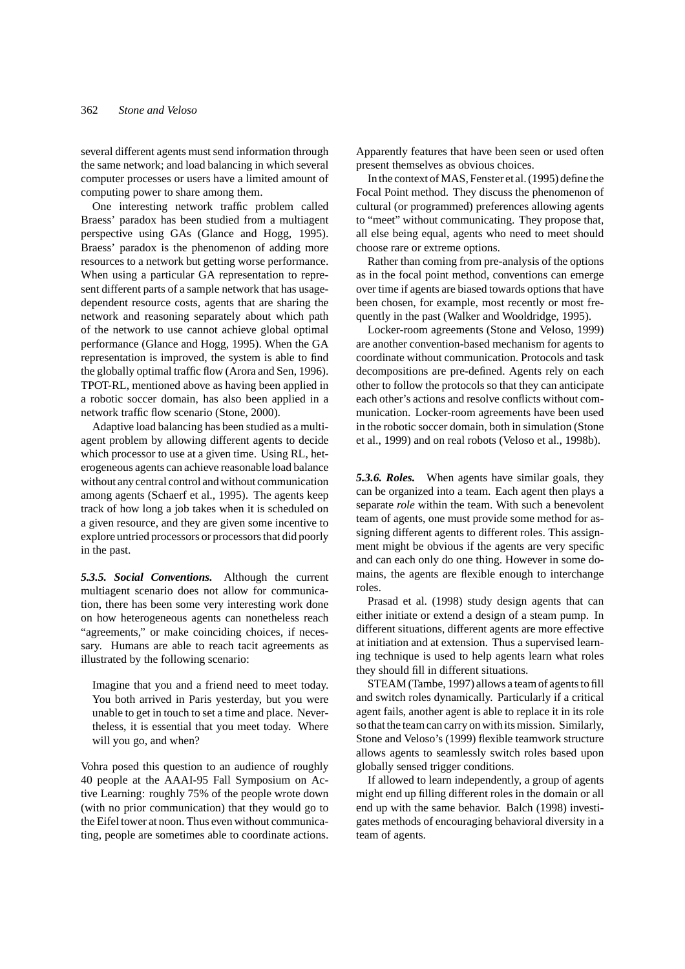several different agents must send information through the same network; and load balancing in which several computer processes or users have a limited amount of computing power to share among them.

One interesting network traffic problem called Braess' paradox has been studied from a multiagent perspective using GAs (Glance and Hogg, 1995). Braess' paradox is the phenomenon of adding more resources to a network but getting worse performance. When using a particular GA representation to represent different parts of a sample network that has usagedependent resource costs, agents that are sharing the network and reasoning separately about which path of the network to use cannot achieve global optimal performance (Glance and Hogg, 1995). When the GA representation is improved, the system is able to find the globally optimal traffic flow (Arora and Sen, 1996). TPOT-RL, mentioned above as having been applied in a robotic soccer domain, has also been applied in a network traffic flow scenario (Stone, 2000).

Adaptive load balancing has been studied as a multiagent problem by allowing different agents to decide which processor to use at a given time. Using RL, heterogeneous agents can achieve reasonable load balance without any central control and without communication among agents (Schaerf et al., 1995). The agents keep track of how long a job takes when it is scheduled on a given resource, and they are given some incentive to explore untried processors or processors that did poorly in the past.

*5.3.5. Social Conventions.* Although the current multiagent scenario does not allow for communication, there has been some very interesting work done on how heterogeneous agents can nonetheless reach "agreements," or make coinciding choices, if necessary. Humans are able to reach tacit agreements as illustrated by the following scenario:

Imagine that you and a friend need to meet today. You both arrived in Paris yesterday, but you were unable to get in touch to set a time and place. Nevertheless, it is essential that you meet today. Where will you go, and when?

Vohra posed this question to an audience of roughly 40 people at the AAAI-95 Fall Symposium on Active Learning: roughly 75% of the people wrote down (with no prior communication) that they would go to the Eifel tower at noon. Thus even without communicating, people are sometimes able to coordinate actions. Apparently features that have been seen or used often present themselves as obvious choices.

In the context of MAS, Fenster et al. (1995) define the Focal Point method. They discuss the phenomenon of cultural (or programmed) preferences allowing agents to "meet" without communicating. They propose that, all else being equal, agents who need to meet should choose rare or extreme options.

Rather than coming from pre-analysis of the options as in the focal point method, conventions can emerge over time if agents are biased towards options that have been chosen, for example, most recently or most frequently in the past (Walker and Wooldridge, 1995).

Locker-room agreements (Stone and Veloso, 1999) are another convention-based mechanism for agents to coordinate without communication. Protocols and task decompositions are pre-defined. Agents rely on each other to follow the protocols so that they can anticipate each other's actions and resolve conflicts without communication. Locker-room agreements have been used in the robotic soccer domain, both in simulation (Stone et al., 1999) and on real robots (Veloso et al., 1998b).

*5.3.6. Roles.* When agents have similar goals, they can be organized into a team. Each agent then plays a separate *role* within the team. With such a benevolent team of agents, one must provide some method for assigning different agents to different roles. This assignment might be obvious if the agents are very specific and can each only do one thing. However in some domains, the agents are flexible enough to interchange roles.

Prasad et al. (1998) study design agents that can either initiate or extend a design of a steam pump. In different situations, different agents are more effective at initiation and at extension. Thus a supervised learning technique is used to help agents learn what roles they should fill in different situations.

STEAM (Tambe, 1997) allows a team of agents to fill and switch roles dynamically. Particularly if a critical agent fails, another agent is able to replace it in its role so that the team can carry on with its mission. Similarly, Stone and Veloso's (1999) flexible teamwork structure allows agents to seamlessly switch roles based upon globally sensed trigger conditions.

If allowed to learn independently, a group of agents might end up filling different roles in the domain or all end up with the same behavior. Balch (1998) investigates methods of encouraging behavioral diversity in a team of agents.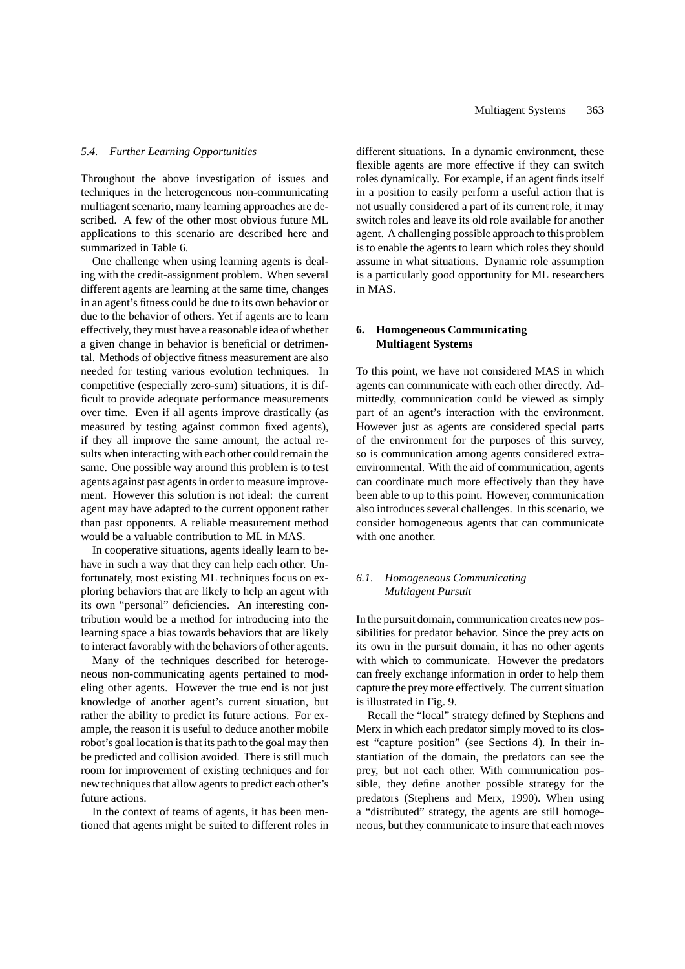### *5.4. Further Learning Opportunities*

Throughout the above investigation of issues and techniques in the heterogeneous non-communicating multiagent scenario, many learning approaches are described. A few of the other most obvious future ML applications to this scenario are described here and summarized in Table 6.

One challenge when using learning agents is dealing with the credit-assignment problem. When several different agents are learning at the same time, changes in an agent's fitness could be due to its own behavior or due to the behavior of others. Yet if agents are to learn effectively, they must have a reasonable idea of whether a given change in behavior is beneficial or detrimental. Methods of objective fitness measurement are also needed for testing various evolution techniques. In competitive (especially zero-sum) situations, it is difficult to provide adequate performance measurements over time. Even if all agents improve drastically (as measured by testing against common fixed agents), if they all improve the same amount, the actual results when interacting with each other could remain the same. One possible way around this problem is to test agents against past agents in order to measure improvement. However this solution is not ideal: the current agent may have adapted to the current opponent rather than past opponents. A reliable measurement method would be a valuable contribution to ML in MAS.

In cooperative situations, agents ideally learn to behave in such a way that they can help each other. Unfortunately, most existing ML techniques focus on exploring behaviors that are likely to help an agent with its own "personal" deficiencies. An interesting contribution would be a method for introducing into the learning space a bias towards behaviors that are likely to interact favorably with the behaviors of other agents.

Many of the techniques described for heterogeneous non-communicating agents pertained to modeling other agents. However the true end is not just knowledge of another agent's current situation, but rather the ability to predict its future actions. For example, the reason it is useful to deduce another mobile robot's goal location is that its path to the goal may then be predicted and collision avoided. There is still much room for improvement of existing techniques and for new techniques that allow agents to predict each other's future actions.

In the context of teams of agents, it has been mentioned that agents might be suited to different roles in

different situations. In a dynamic environment, these flexible agents are more effective if they can switch roles dynamically. For example, if an agent finds itself in a position to easily perform a useful action that is not usually considered a part of its current role, it may switch roles and leave its old role available for another agent. A challenging possible approach to this problem is to enable the agents to learn which roles they should assume in what situations. Dynamic role assumption is a particularly good opportunity for ML researchers in MAS.

## **6. Homogeneous Communicating Multiagent Systems**

To this point, we have not considered MAS in which agents can communicate with each other directly. Admittedly, communication could be viewed as simply part of an agent's interaction with the environment. However just as agents are considered special parts of the environment for the purposes of this survey, so is communication among agents considered extraenvironmental. With the aid of communication, agents can coordinate much more effectively than they have been able to up to this point. However, communication also introduces several challenges. In this scenario, we consider homogeneous agents that can communicate with one another.

## *6.1. Homogeneous Communicating Multiagent Pursuit*

In the pursuit domain, communication creates new possibilities for predator behavior. Since the prey acts on its own in the pursuit domain, it has no other agents with which to communicate. However the predators can freely exchange information in order to help them capture the prey more effectively. The current situation is illustrated in Fig. 9.

Recall the "local" strategy defined by Stephens and Merx in which each predator simply moved to its closest "capture position" (see Sections 4). In their instantiation of the domain, the predators can see the prey, but not each other. With communication possible, they define another possible strategy for the predators (Stephens and Merx, 1990). When using a "distributed" strategy, the agents are still homogeneous, but they communicate to insure that each moves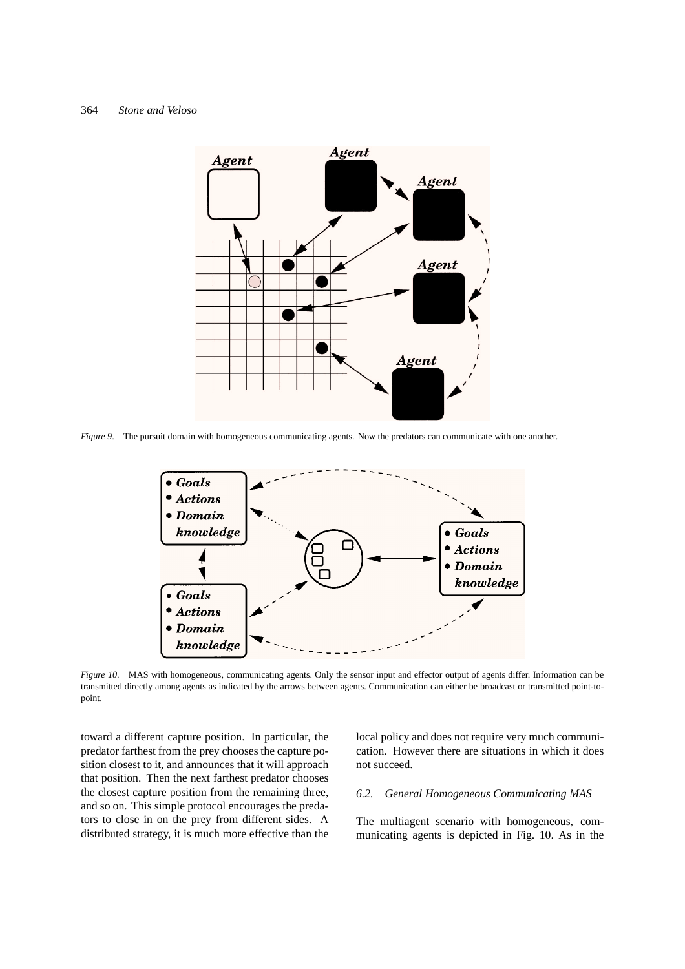

*Figure 9.* The pursuit domain with homogeneous communicating agents. Now the predators can communicate with one another.



*Figure 10.* MAS with homogeneous, communicating agents. Only the sensor input and effector output of agents differ. Information can be transmitted directly among agents as indicated by the arrows between agents. Communication can either be broadcast or transmitted point-topoint.

toward a different capture position. In particular, the predator farthest from the prey chooses the capture position closest to it, and announces that it will approach that position. Then the next farthest predator chooses the closest capture position from the remaining three, and so on. This simple protocol encourages the predators to close in on the prey from different sides. A distributed strategy, it is much more effective than the local policy and does not require very much communication. However there are situations in which it does not succeed.

## *6.2. General Homogeneous Communicating MAS*

The multiagent scenario with homogeneous, communicating agents is depicted in Fig. 10. As in the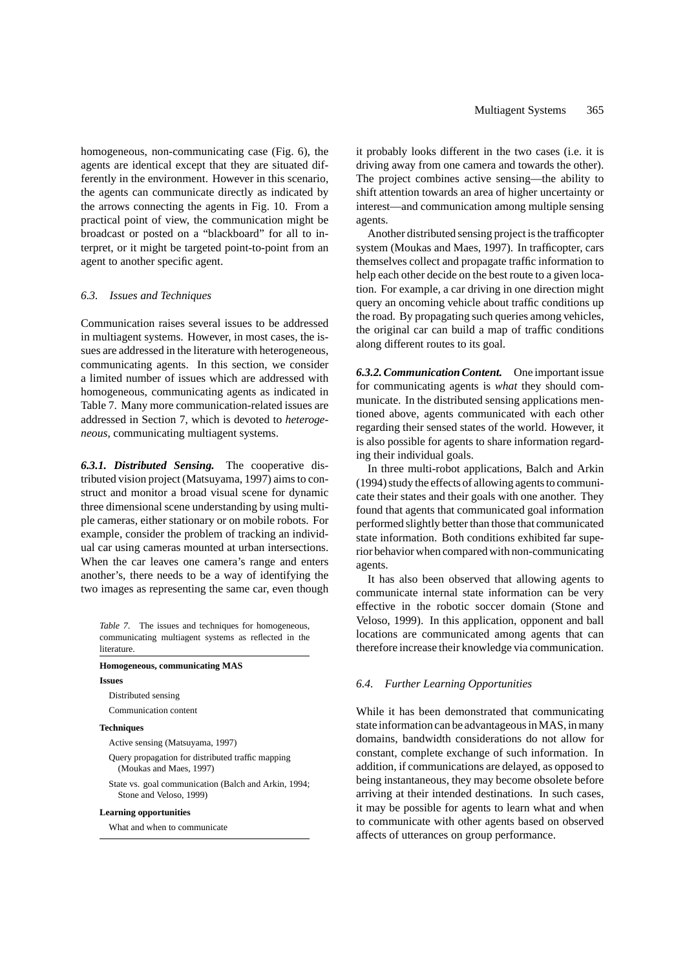homogeneous, non-communicating case (Fig. 6), the agents are identical except that they are situated differently in the environment. However in this scenario, the agents can communicate directly as indicated by the arrows connecting the agents in Fig. 10. From a practical point of view, the communication might be broadcast or posted on a "blackboard" for all to interpret, or it might be targeted point-to-point from an agent to another specific agent.

## *6.3. Issues and Techniques*

Communication raises several issues to be addressed in multiagent systems. However, in most cases, the issues are addressed in the literature with heterogeneous, communicating agents. In this section, we consider a limited number of issues which are addressed with homogeneous, communicating agents as indicated in Table 7. Many more communication-related issues are addressed in Section 7, which is devoted to *heterogeneous*, communicating multiagent systems.

*6.3.1. Distributed Sensing.* The cooperative distributed vision project (Matsuyama, 1997) aims to construct and monitor a broad visual scene for dynamic three dimensional scene understanding by using multiple cameras, either stationary or on mobile robots. For example, consider the problem of tracking an individual car using cameras mounted at urban intersections. When the car leaves one camera's range and enters another's, there needs to be a way of identifying the two images as representing the same car, even though

*Table 7*. The issues and techniques for homogeneous, communicating multiagent systems as reflected in the literature.

|               | <b>Homogeneous, communicating MAS</b>                                           |
|---------------|---------------------------------------------------------------------------------|
| <b>Issues</b> |                                                                                 |
|               | Distributed sensing                                                             |
|               | Communication content                                                           |
|               | <b>Techniques</b>                                                               |
|               | Active sensing (Matsuyama, 1997)                                                |
|               | Ouery propagation for distributed traffic mapping<br>(Moukas and Maes, 1997)    |
|               | State vs. goal communication (Balch and Arkin, 1994;<br>Stone and Veloso, 1999) |
|               | <b>Learning opportunities</b>                                                   |
|               | What and when to communicate                                                    |

it probably looks different in the two cases (i.e. it is driving away from one camera and towards the other). The project combines active sensing—the ability to shift attention towards an area of higher uncertainty or interest—and communication among multiple sensing agents.

Another distributed sensing project is the trafficopter system (Moukas and Maes, 1997). In trafficopter, cars themselves collect and propagate traffic information to help each other decide on the best route to a given location. For example, a car driving in one direction might query an oncoming vehicle about traffic conditions up the road. By propagating such queries among vehicles, the original car can build a map of traffic conditions along different routes to its goal.

*6.3.2. Communication Content.* One important issue for communicating agents is *what* they should communicate. In the distributed sensing applications mentioned above, agents communicated with each other regarding their sensed states of the world. However, it is also possible for agents to share information regarding their individual goals.

In three multi-robot applications, Balch and Arkin (1994) study the effects of allowing agents to communicate their states and their goals with one another. They found that agents that communicated goal information performed slightly better than those that communicated state information. Both conditions exhibited far superior behavior when compared with non-communicating agents.

It has also been observed that allowing agents to communicate internal state information can be very effective in the robotic soccer domain (Stone and Veloso, 1999). In this application, opponent and ball locations are communicated among agents that can therefore increase their knowledge via communication.

### *6.4. Further Learning Opportunities*

While it has been demonstrated that communicating state information can be advantageous in MAS, in many domains, bandwidth considerations do not allow for constant, complete exchange of such information. In addition, if communications are delayed, as opposed to being instantaneous, they may become obsolete before arriving at their intended destinations. In such cases, it may be possible for agents to learn what and when to communicate with other agents based on observed affects of utterances on group performance.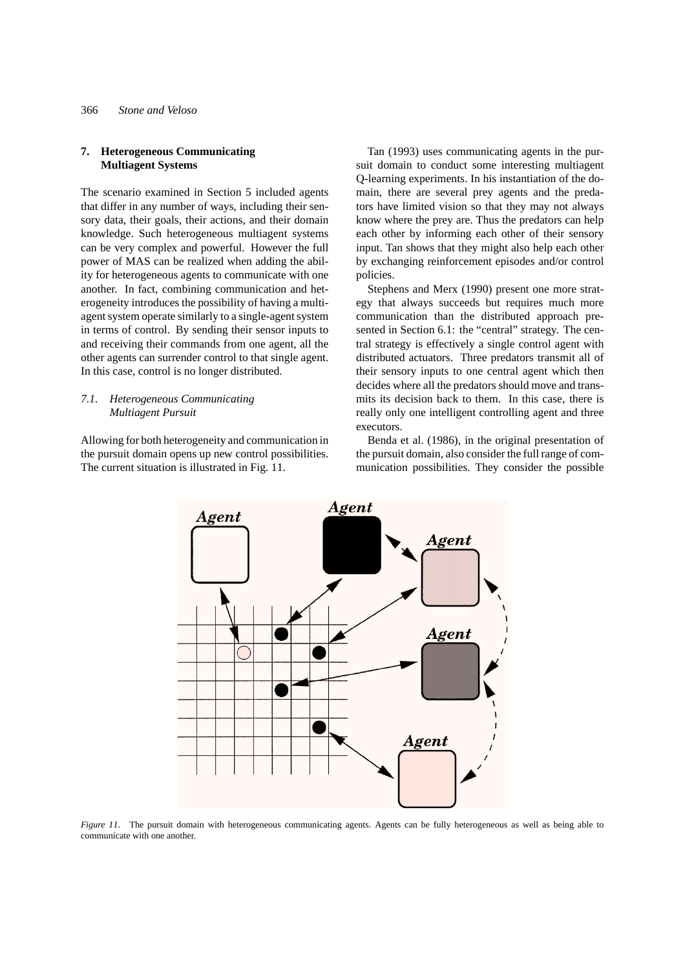## **7. Heterogeneous Communicating Multiagent Systems**

The scenario examined in Section 5 included agents that differ in any number of ways, including their sensory data, their goals, their actions, and their domain knowledge. Such heterogeneous multiagent systems can be very complex and powerful. However the full power of MAS can be realized when adding the ability for heterogeneous agents to communicate with one another. In fact, combining communication and heterogeneity introduces the possibility of having a multiagent system operate similarly to a single-agent system in terms of control. By sending their sensor inputs to and receiving their commands from one agent, all the other agents can surrender control to that single agent. In this case, control is no longer distributed.

## *7.1. Heterogeneous Communicating Multiagent Pursuit*

Allowing for both heterogeneity and communication in the pursuit domain opens up new control possibilities. The current situation is illustrated in Fig. 11.

Tan (1993) uses communicating agents in the pursuit domain to conduct some interesting multiagent Q-learning experiments. In his instantiation of the domain, there are several prey agents and the predators have limited vision so that they may not always know where the prey are. Thus the predators can help each other by informing each other of their sensory input. Tan shows that they might also help each other by exchanging reinforcement episodes and/or control policies.

Stephens and Merx (1990) present one more strategy that always succeeds but requires much more communication than the distributed approach presented in Section 6.1: the "central" strategy. The central strategy is effectively a single control agent with distributed actuators. Three predators transmit all of their sensory inputs to one central agent which then decides where all the predators should move and transmits its decision back to them. In this case, there is really only one intelligent controlling agent and three executors.

Benda et al. (1986), in the original presentation of the pursuit domain, also consider the full range of communication possibilities. They consider the possible



*Figure 11*. The pursuit domain with heterogeneous communicating agents. Agents can be fully heterogeneous as well as being able to communicate with one another.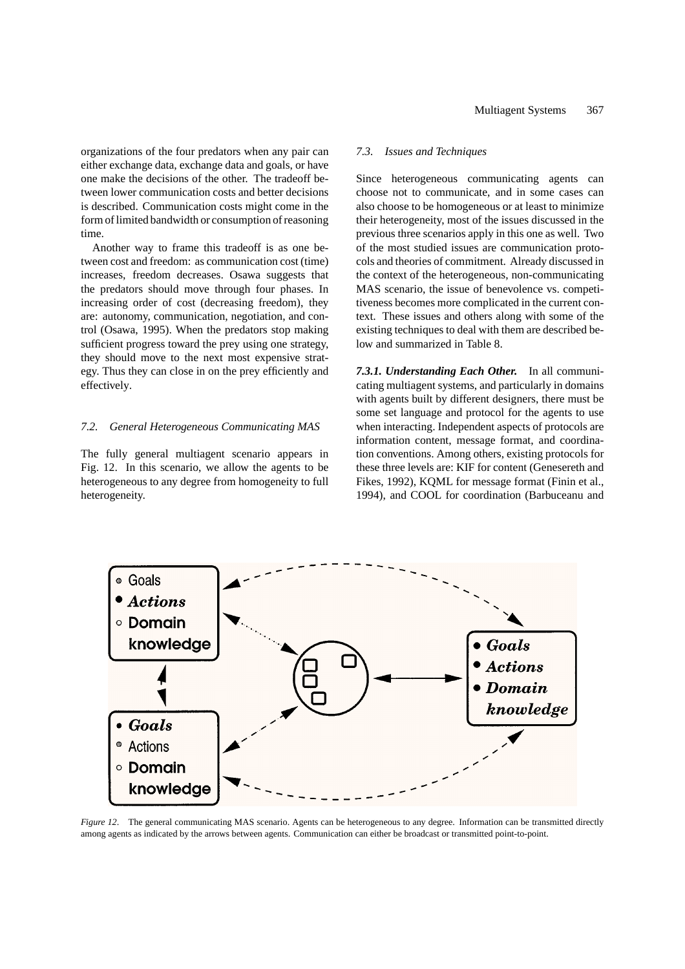organizations of the four predators when any pair can either exchange data, exchange data and goals, or have one make the decisions of the other. The tradeoff between lower communication costs and better decisions is described. Communication costs might come in the form of limited bandwidth or consumption of reasoning time.

Another way to frame this tradeoff is as one between cost and freedom: as communication cost (time) increases, freedom decreases. Osawa suggests that the predators should move through four phases. In increasing order of cost (decreasing freedom), they are: autonomy, communication, negotiation, and control (Osawa, 1995). When the predators stop making sufficient progress toward the prey using one strategy, they should move to the next most expensive strategy. Thus they can close in on the prey efficiently and effectively.

### *7.2. General Heterogeneous Communicating MAS*

The fully general multiagent scenario appears in Fig. 12. In this scenario, we allow the agents to be heterogeneous to any degree from homogeneity to full heterogeneity.

#### *7.3. Issues and Techniques*

Since heterogeneous communicating agents can choose not to communicate, and in some cases can also choose to be homogeneous or at least to minimize their heterogeneity, most of the issues discussed in the previous three scenarios apply in this one as well. Two of the most studied issues are communication protocols and theories of commitment. Already discussed in the context of the heterogeneous, non-communicating MAS scenario, the issue of benevolence vs. competitiveness becomes more complicated in the current context. These issues and others along with some of the existing techniques to deal with them are described below and summarized in Table 8.

*7.3.1. Understanding Each Other.* In all communicating multiagent systems, and particularly in domains with agents built by different designers, there must be some set language and protocol for the agents to use when interacting. Independent aspects of protocols are information content, message format, and coordination conventions. Among others, existing protocols for these three levels are: KIF for content (Genesereth and Fikes, 1992), KQML for message format (Finin et al., 1994), and COOL for coordination (Barbuceanu and



*Figure 12.* The general communicating MAS scenario. Agents can be heterogeneous to any degree. Information can be transmitted directly among agents as indicated by the arrows between agents. Communication can either be broadcast or transmitted point-to-point.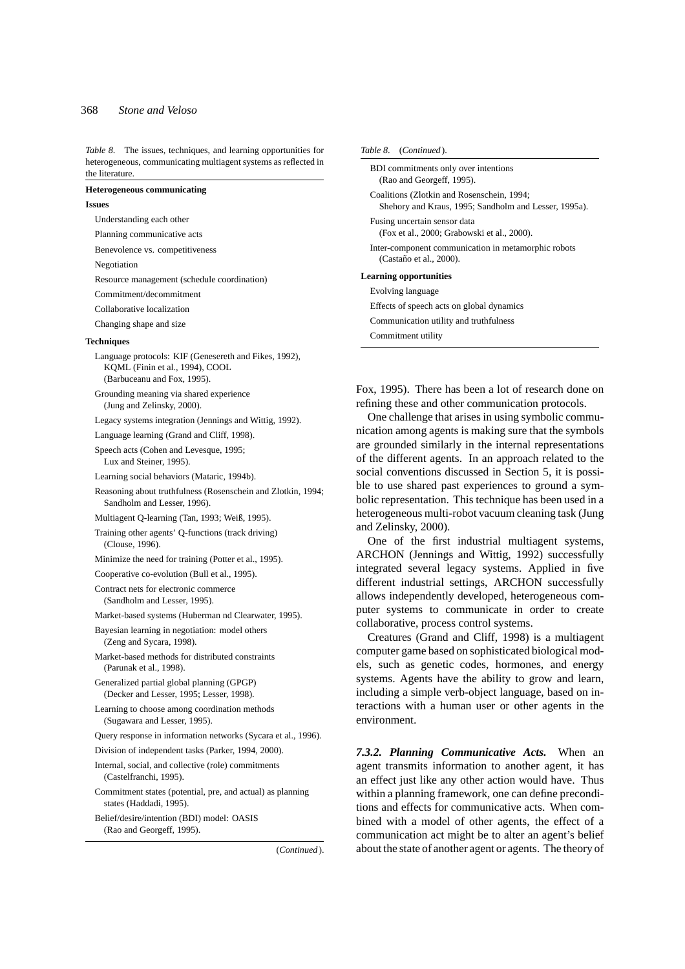*Table 8*. The issues, techniques, and learning opportunities for heterogeneous, communicating multiagent systems as reflected in the literature.

| Heterogeneous communicating                                                                                             |
|-------------------------------------------------------------------------------------------------------------------------|
| <b>Issues</b>                                                                                                           |
| Understanding each other                                                                                                |
| Planning communicative acts                                                                                             |
| Benevolence vs. competitiveness                                                                                         |
| Negotiation                                                                                                             |
| Resource management (schedule coordination)                                                                             |
| Commitment/decommitment                                                                                                 |
| Collaborative localization                                                                                              |
| Changing shape and size                                                                                                 |
| <b>Techniques</b>                                                                                                       |
| Language protocols: KIF (Genesereth and Fikes, 1992),<br>KOML (Finin et al., 1994), COOL<br>(Barbuceanu and Fox, 1995). |

Grounding meaning via shared experience (Jung and Zelinsky, 2000).

Legacy systems integration (Jennings and Wittig, 1992).

Language learning (Grand and Cliff, 1998).

Speech acts (Cohen and Levesque, 1995; Lux and Steiner, 1995).

Learning social behaviors (Mataric, 1994b).

Reasoning about truthfulness (Rosenschein and Zlotkin, 1994; Sandholm and Lesser, 1996).

Multiagent Q-learning (Tan, 1993; Weiß, 1995).

Training other agents' Q-functions (track driving) (Clouse, 1996).

Minimize the need for training (Potter et al., 1995).

Cooperative co-evolution (Bull et al., 1995).

Contract nets for electronic commerce (Sandholm and Lesser, 1995).

Market-based systems (Huberman nd Clearwater, 1995).

Bayesian learning in negotiation: model others (Zeng and Sycara, 1998).

Market-based methods for distributed constraints (Parunak et al., 1998).

Generalized partial global planning (GPGP) (Decker and Lesser, 1995; Lesser, 1998).

Learning to choose among coordination methods (Sugawara and Lesser, 1995).

Query response in information networks (Sycara et al., 1996).

Division of independent tasks (Parker, 1994, 2000).

Internal, social, and collective (role) commitments (Castelfranchi, 1995).

Commitment states (potential, pre, and actual) as planning states (Haddadi, 1995).

Belief/desire/intention (BDI) model: OASIS (Rao and Georgeff, 1995).

(*Continued*).

| Table 8. | (Continued). |
|----------|--------------|
|----------|--------------|

| BDI commitments only over intentions<br>(Rao and Georgeff, 1995).                                   |
|-----------------------------------------------------------------------------------------------------|
| Coalitions (Zlotkin and Rosenschein, 1994;<br>Shehory and Kraus, 1995; Sandholm and Lesser, 1995a). |
| Fusing uncertain sensor data<br>(Fox et al., 2000; Grabowski et al., 2000).                         |
| Inter-component communication in metamorphic robots<br>(Castaño et al., 2000).                      |
| <b>Learning opportunities</b>                                                                       |
| Evolving language                                                                                   |
| Effects of speech acts on global dynamics                                                           |
| Communication utility and truthfulness                                                              |
| Commitment utility                                                                                  |

Fox, 1995). There has been a lot of research done on refining these and other communication protocols.

One challenge that arises in using symbolic communication among agents is making sure that the symbols are grounded similarly in the internal representations of the different agents. In an approach related to the social conventions discussed in Section 5, it is possible to use shared past experiences to ground a symbolic representation. This technique has been used in a heterogeneous multi-robot vacuum cleaning task (Jung and Zelinsky, 2000).

One of the first industrial multiagent systems, ARCHON (Jennings and Wittig, 1992) successfully integrated several legacy systems. Applied in five different industrial settings, ARCHON successfully allows independently developed, heterogeneous computer systems to communicate in order to create collaborative, process control systems.

Creatures (Grand and Cliff, 1998) is a multiagent computer game based on sophisticated biological models, such as genetic codes, hormones, and energy systems. Agents have the ability to grow and learn, including a simple verb-object language, based on interactions with a human user or other agents in the environment.

*7.3.2. Planning Communicative Acts.* When an agent transmits information to another agent, it has an effect just like any other action would have. Thus within a planning framework, one can define preconditions and effects for communicative acts. When combined with a model of other agents, the effect of a communication act might be to alter an agent's belief about the state of another agent or agents. The theory of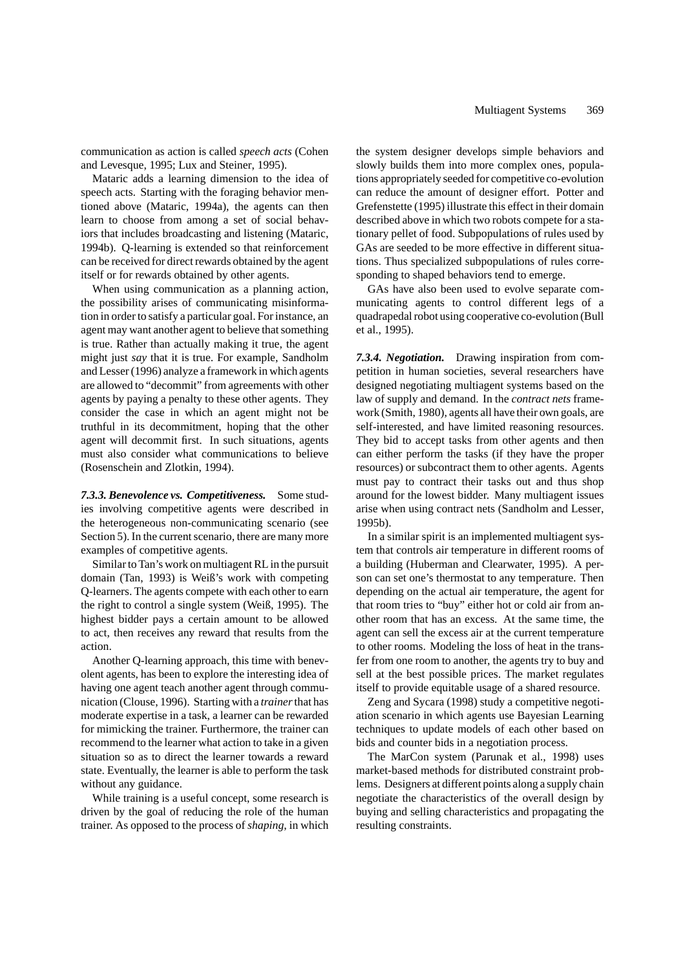communication as action is called *speech acts* (Cohen and Levesque, 1995; Lux and Steiner, 1995).

Mataric adds a learning dimension to the idea of speech acts. Starting with the foraging behavior mentioned above (Mataric, 1994a), the agents can then learn to choose from among a set of social behaviors that includes broadcasting and listening (Mataric, 1994b). Q-learning is extended so that reinforcement can be received for direct rewards obtained by the agent itself or for rewards obtained by other agents.

When using communication as a planning action, the possibility arises of communicating misinformation in order to satisfy a particular goal. For instance, an agent may want another agent to believe that something is true. Rather than actually making it true, the agent might just *say* that it is true. For example, Sandholm and Lesser (1996) analyze a framework in which agents are allowed to "decommit" from agreements with other agents by paying a penalty to these other agents. They consider the case in which an agent might not be truthful in its decommitment, hoping that the other agent will decommit first. In such situations, agents must also consider what communications to believe (Rosenschein and Zlotkin, 1994).

*7.3.3. Benevolence vs. Competitiveness.* Some studies involving competitive agents were described in the heterogeneous non-communicating scenario (see Section 5). In the current scenario, there are many more examples of competitive agents.

Similar to Tan's work on multiagent RL in the pursuit domain (Tan, 1993) is Weiß's work with competing Q-learners. The agents compete with each other to earn the right to control a single system (Weiß, 1995). The highest bidder pays a certain amount to be allowed to act, then receives any reward that results from the action.

Another Q-learning approach, this time with benevolent agents, has been to explore the interesting idea of having one agent teach another agent through communication (Clouse, 1996). Starting with a *trainer*that has moderate expertise in a task, a learner can be rewarded for mimicking the trainer. Furthermore, the trainer can recommend to the learner what action to take in a given situation so as to direct the learner towards a reward state. Eventually, the learner is able to perform the task without any guidance.

While training is a useful concept, some research is driven by the goal of reducing the role of the human trainer. As opposed to the process of *shaping*, in which

the system designer develops simple behaviors and slowly builds them into more complex ones, populations appropriately seeded for competitive co-evolution can reduce the amount of designer effort. Potter and Grefenstette (1995) illustrate this effect in their domain described above in which two robots compete for a stationary pellet of food. Subpopulations of rules used by GAs are seeded to be more effective in different situations. Thus specialized subpopulations of rules corresponding to shaped behaviors tend to emerge.

GAs have also been used to evolve separate communicating agents to control different legs of a quadrapedal robot using cooperative co-evolution (Bull et al., 1995).

*7.3.4. Negotiation.* Drawing inspiration from competition in human societies, several researchers have designed negotiating multiagent systems based on the law of supply and demand. In the *contract nets* framework (Smith, 1980), agents all have their own goals, are self-interested, and have limited reasoning resources. They bid to accept tasks from other agents and then can either perform the tasks (if they have the proper resources) or subcontract them to other agents. Agents must pay to contract their tasks out and thus shop around for the lowest bidder. Many multiagent issues arise when using contract nets (Sandholm and Lesser, 1995b).

In a similar spirit is an implemented multiagent system that controls air temperature in different rooms of a building (Huberman and Clearwater, 1995). A person can set one's thermostat to any temperature. Then depending on the actual air temperature, the agent for that room tries to "buy" either hot or cold air from another room that has an excess. At the same time, the agent can sell the excess air at the current temperature to other rooms. Modeling the loss of heat in the transfer from one room to another, the agents try to buy and sell at the best possible prices. The market regulates itself to provide equitable usage of a shared resource.

Zeng and Sycara (1998) study a competitive negotiation scenario in which agents use Bayesian Learning techniques to update models of each other based on bids and counter bids in a negotiation process.

The MarCon system (Parunak et al., 1998) uses market-based methods for distributed constraint problems. Designers at different points along a supply chain negotiate the characteristics of the overall design by buying and selling characteristics and propagating the resulting constraints.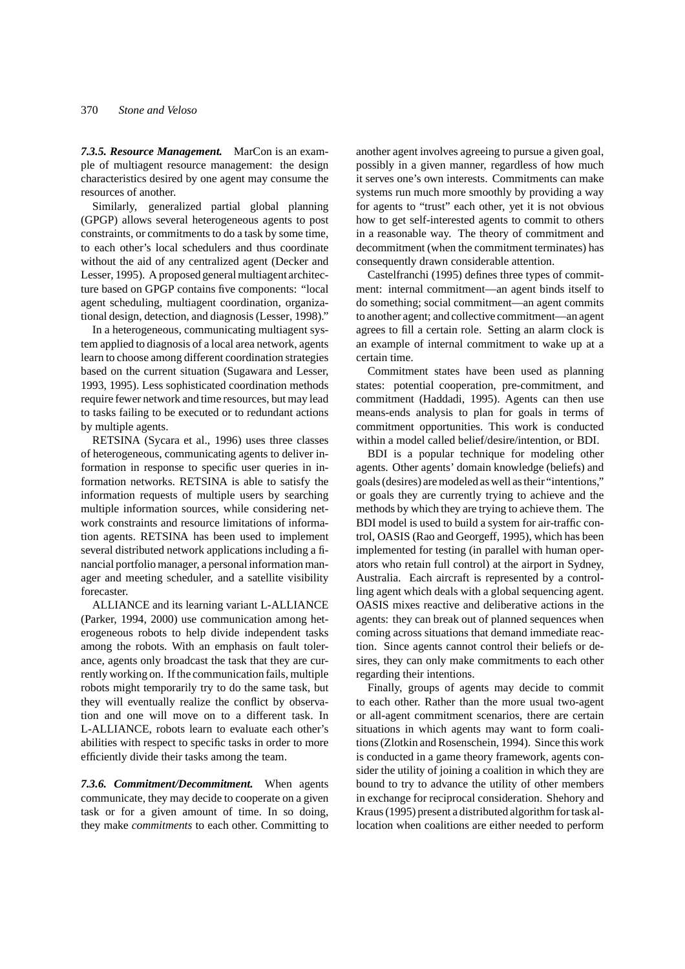*7.3.5. Resource Management.* MarCon is an example of multiagent resource management: the design characteristics desired by one agent may consume the resources of another.

Similarly, generalized partial global planning (GPGP) allows several heterogeneous agents to post constraints, or commitments to do a task by some time, to each other's local schedulers and thus coordinate without the aid of any centralized agent (Decker and Lesser, 1995). A proposed general multiagent architecture based on GPGP contains five components: "local agent scheduling, multiagent coordination, organizational design, detection, and diagnosis (Lesser, 1998)."

In a heterogeneous, communicating multiagent system applied to diagnosis of a local area network, agents learn to choose among different coordination strategies based on the current situation (Sugawara and Lesser, 1993, 1995). Less sophisticated coordination methods require fewer network and time resources, but may lead to tasks failing to be executed or to redundant actions by multiple agents.

RETSINA (Sycara et al., 1996) uses three classes of heterogeneous, communicating agents to deliver information in response to specific user queries in information networks. RETSINA is able to satisfy the information requests of multiple users by searching multiple information sources, while considering network constraints and resource limitations of information agents. RETSINA has been used to implement several distributed network applications including a financial portfolio manager, a personal information manager and meeting scheduler, and a satellite visibility forecaster.

ALLIANCE and its learning variant L-ALLIANCE (Parker, 1994, 2000) use communication among heterogeneous robots to help divide independent tasks among the robots. With an emphasis on fault tolerance, agents only broadcast the task that they are currently working on. If the communication fails, multiple robots might temporarily try to do the same task, but they will eventually realize the conflict by observation and one will move on to a different task. In L-ALLIANCE, robots learn to evaluate each other's abilities with respect to specific tasks in order to more efficiently divide their tasks among the team.

*7.3.6. Commitment/Decommitment.* When agents communicate, they may decide to cooperate on a given task or for a given amount of time. In so doing, they make *commitments* to each other. Committing to

another agent involves agreeing to pursue a given goal, possibly in a given manner, regardless of how much it serves one's own interests. Commitments can make systems run much more smoothly by providing a way for agents to "trust" each other, yet it is not obvious how to get self-interested agents to commit to others in a reasonable way. The theory of commitment and decommitment (when the commitment terminates) has consequently drawn considerable attention.

Castelfranchi (1995) defines three types of commitment: internal commitment—an agent binds itself to do something; social commitment—an agent commits to another agent; and collective commitment—an agent agrees to fill a certain role. Setting an alarm clock is an example of internal commitment to wake up at a certain time.

Commitment states have been used as planning states: potential cooperation, pre-commitment, and commitment (Haddadi, 1995). Agents can then use means-ends analysis to plan for goals in terms of commitment opportunities. This work is conducted within a model called belief/desire/intention, or BDI.

BDI is a popular technique for modeling other agents. Other agents' domain knowledge (beliefs) and goals (desires) are modeled as well as their "intentions," or goals they are currently trying to achieve and the methods by which they are trying to achieve them. The BDI model is used to build a system for air-traffic control, OASIS (Rao and Georgeff, 1995), which has been implemented for testing (in parallel with human operators who retain full control) at the airport in Sydney, Australia. Each aircraft is represented by a controlling agent which deals with a global sequencing agent. OASIS mixes reactive and deliberative actions in the agents: they can break out of planned sequences when coming across situations that demand immediate reaction. Since agents cannot control their beliefs or desires, they can only make commitments to each other regarding their intentions.

Finally, groups of agents may decide to commit to each other. Rather than the more usual two-agent or all-agent commitment scenarios, there are certain situations in which agents may want to form coalitions (Zlotkin and Rosenschein, 1994). Since this work is conducted in a game theory framework, agents consider the utility of joining a coalition in which they are bound to try to advance the utility of other members in exchange for reciprocal consideration. Shehory and Kraus (1995) present a distributed algorithm for task allocation when coalitions are either needed to perform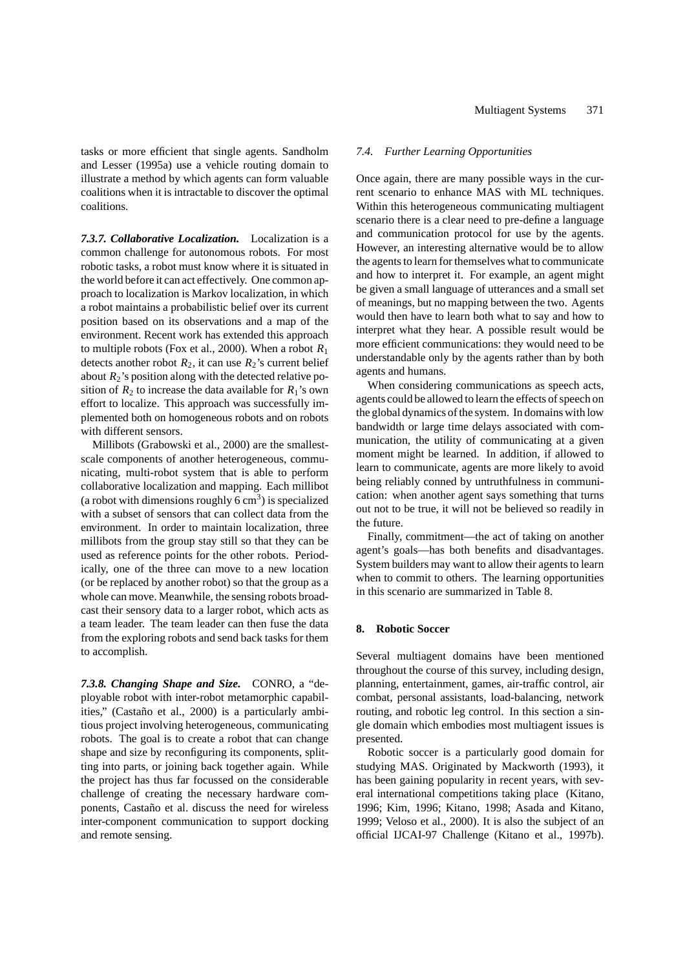tasks or more efficient that single agents. Sandholm and Lesser (1995a) use a vehicle routing domain to illustrate a method by which agents can form valuable coalitions when it is intractable to discover the optimal coalitions.

*7.3.7. Collaborative Localization.* Localization is a common challenge for autonomous robots. For most robotic tasks, a robot must know where it is situated in the world before it can act effectively. One common approach to localization is Markov localization, in which a robot maintains a probabilistic belief over its current position based on its observations and a map of the environment. Recent work has extended this approach to multiple robots (Fox et al., 2000). When a robot *R*<sup>1</sup> detects another robot  $R_2$ , it can use  $R_2$ 's current belief about  $R_2$ 's position along with the detected relative position of  $R_2$  to increase the data available for  $R_1$ 's own effort to localize. This approach was successfully implemented both on homogeneous robots and on robots with different sensors.

Millibots (Grabowski et al., 2000) are the smallestscale components of another heterogeneous, communicating, multi-robot system that is able to perform collaborative localization and mapping. Each millibot (a robot with dimensions roughly  $6 \text{ cm}^3$ ) is specialized with a subset of sensors that can collect data from the environment. In order to maintain localization, three millibots from the group stay still so that they can be used as reference points for the other robots. Periodically, one of the three can move to a new location (or be replaced by another robot) so that the group as a whole can move. Meanwhile, the sensing robots broadcast their sensory data to a larger robot, which acts as a team leader. The team leader can then fuse the data from the exploring robots and send back tasks for them to accomplish.

*7.3.8. Changing Shape and Size.* CONRO, a "deployable robot with inter-robot metamorphic capabilities," (Castaño et al., 2000) is a particularly ambitious project involving heterogeneous, communicating robots. The goal is to create a robot that can change shape and size by reconfiguring its components, splitting into parts, or joining back together again. While the project has thus far focussed on the considerable challenge of creating the necessary hardware components, Castaño et al. discuss the need for wireless inter-component communication to support docking and remote sensing.

### *7.4. Further Learning Opportunities*

Once again, there are many possible ways in the current scenario to enhance MAS with ML techniques. Within this heterogeneous communicating multiagent scenario there is a clear need to pre-define a language and communication protocol for use by the agents. However, an interesting alternative would be to allow the agents to learn for themselves what to communicate and how to interpret it. For example, an agent might be given a small language of utterances and a small set of meanings, but no mapping between the two. Agents would then have to learn both what to say and how to interpret what they hear. A possible result would be more efficient communications: they would need to be understandable only by the agents rather than by both agents and humans.

When considering communications as speech acts, agents could be allowed to learn the effects of speech on the global dynamics of the system. In domains with low bandwidth or large time delays associated with communication, the utility of communicating at a given moment might be learned. In addition, if allowed to learn to communicate, agents are more likely to avoid being reliably conned by untruthfulness in communication: when another agent says something that turns out not to be true, it will not be believed so readily in the future.

Finally, commitment—the act of taking on another agent's goals—has both benefits and disadvantages. System builders may want to allow their agents to learn when to commit to others. The learning opportunities in this scenario are summarized in Table 8.

#### **8. Robotic Soccer**

Several multiagent domains have been mentioned throughout the course of this survey, including design, planning, entertainment, games, air-traffic control, air combat, personal assistants, load-balancing, network routing, and robotic leg control. In this section a single domain which embodies most multiagent issues is presented.

Robotic soccer is a particularly good domain for studying MAS. Originated by Mackworth (1993), it has been gaining popularity in recent years, with several international competitions taking place (Kitano, 1996; Kim, 1996; Kitano, 1998; Asada and Kitano, 1999; Veloso et al., 2000). It is also the subject of an official IJCAI-97 Challenge (Kitano et al., 1997b).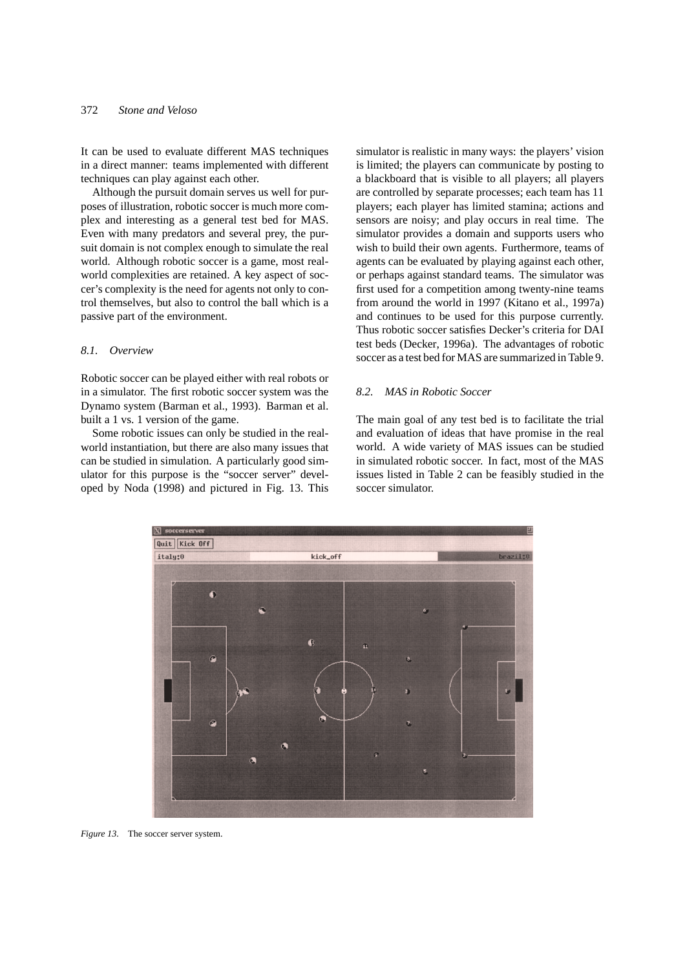It can be used to evaluate different MAS techniques in a direct manner: teams implemented with different techniques can play against each other.

Although the pursuit domain serves us well for purposes of illustration, robotic soccer is much more complex and interesting as a general test bed for MAS. Even with many predators and several prey, the pursuit domain is not complex enough to simulate the real world. Although robotic soccer is a game, most realworld complexities are retained. A key aspect of soccer's complexity is the need for agents not only to control themselves, but also to control the ball which is a passive part of the environment.

### *8.1. Overview*

Robotic soccer can be played either with real robots or in a simulator. The first robotic soccer system was the Dynamo system (Barman et al., 1993). Barman et al. built a 1 vs. 1 version of the game.

Some robotic issues can only be studied in the realworld instantiation, but there are also many issues that can be studied in simulation. A particularly good simulator for this purpose is the "soccer server" developed by Noda (1998) and pictured in Fig. 13. This

simulator is realistic in many ways: the players' vision is limited; the players can communicate by posting to a blackboard that is visible to all players; all players are controlled by separate processes; each team has 11 players; each player has limited stamina; actions and sensors are noisy; and play occurs in real time. The simulator provides a domain and supports users who wish to build their own agents. Furthermore, teams of agents can be evaluated by playing against each other, or perhaps against standard teams. The simulator was first used for a competition among twenty-nine teams from around the world in 1997 (Kitano et al., 1997a) and continues to be used for this purpose currently. Thus robotic soccer satisfies Decker's criteria for DAI test beds (Decker, 1996a). The advantages of robotic soccer as a test bed for MAS are summarized in Table 9.

### *8.2. MAS in Robotic Soccer*

The main goal of any test bed is to facilitate the trial and evaluation of ideas that have promise in the real world. A wide variety of MAS issues can be studied in simulated robotic soccer. In fact, most of the MAS issues listed in Table 2 can be feasibly studied in the soccer simulator.



*Figure 13*. The soccer server system.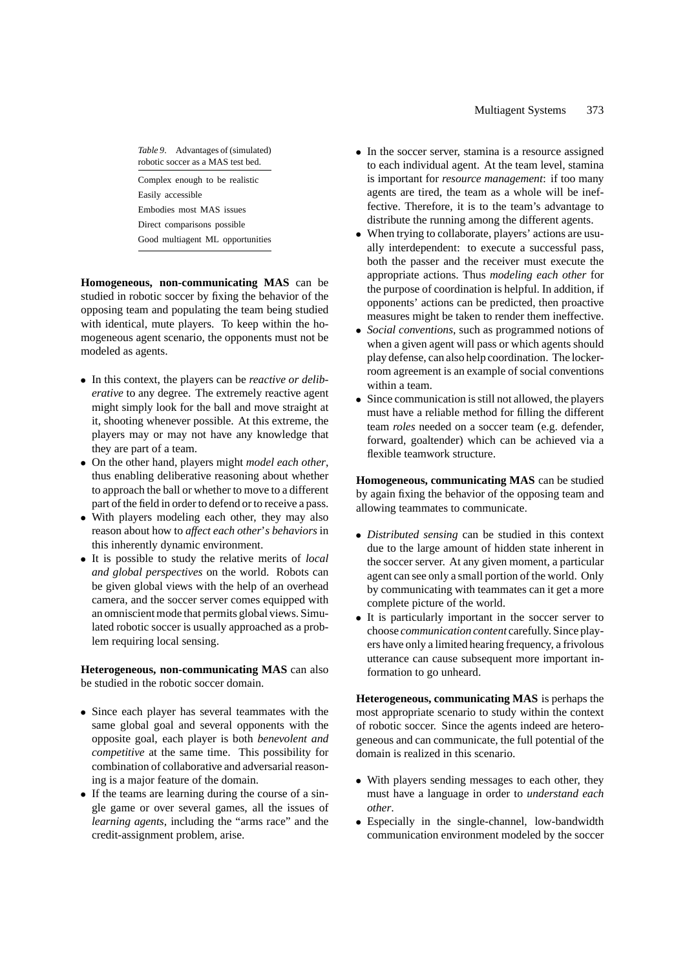*Table 9*. Advantages of (simulated) robotic soccer as a MAS test bed.

Complex enough to be realistic Easily accessible Embodies most MAS issues Direct comparisons possible Good multiagent ML opportunities

**Homogeneous, non-communicating MAS** can be studied in robotic soccer by fixing the behavior of the opposing team and populating the team being studied with identical, mute players. To keep within the homogeneous agent scenario, the opponents must not be modeled as agents.

- In this context, the players can be *reactive or deliberative* to any degree. The extremely reactive agent might simply look for the ball and move straight at it, shooting whenever possible. At this extreme, the players may or may not have any knowledge that they are part of a team.
- On the other hand, players might *model each other*, thus enabling deliberative reasoning about whether to approach the ball or whether to move to a different part of the field in order to defend or to receive a pass.
- With players modeling each other, they may also reason about how to *affect each other*'*s behaviors* in this inherently dynamic environment.
- It is possible to study the relative merits of *local and global perspectives* on the world. Robots can be given global views with the help of an overhead camera, and the soccer server comes equipped with an omniscient mode that permits global views. Simulated robotic soccer is usually approached as a problem requiring local sensing.

**Heterogeneous, non-communicating MAS** can also be studied in the robotic soccer domain.

- Since each player has several teammates with the same global goal and several opponents with the opposite goal, each player is both *benevolent and competitive* at the same time. This possibility for combination of collaborative and adversarial reasoning is a major feature of the domain.
- If the teams are learning during the course of a single game or over several games, all the issues of *learning agents*, including the "arms race" and the credit-assignment problem, arise.
- In the soccer server, stamina is a resource assigned to each individual agent. At the team level, stamina is important for *resource management*: if too many agents are tired, the team as a whole will be ineffective. Therefore, it is to the team's advantage to distribute the running among the different agents.
- When trying to collaborate, players' actions are usually interdependent: to execute a successful pass, both the passer and the receiver must execute the appropriate actions. Thus *modeling each other* for the purpose of coordination is helpful. In addition, if opponents' actions can be predicted, then proactive measures might be taken to render them ineffective.
- *Social conventions*, such as programmed notions of when a given agent will pass or which agents should play defense, can also help coordination. The lockerroom agreement is an example of social conventions within a team.
- Since communication is still not allowed, the players must have a reliable method for filling the different team *roles* needed on a soccer team (e.g. defender, forward, goaltender) which can be achieved via a flexible teamwork structure.

**Homogeneous, communicating MAS** can be studied by again fixing the behavior of the opposing team and allowing teammates to communicate.

- *Distributed sensing* can be studied in this context due to the large amount of hidden state inherent in the soccer server. At any given moment, a particular agent can see only a small portion of the world. Only by communicating with teammates can it get a more complete picture of the world.
- It is particularly important in the soccer server to choose *communication content* carefully. Since players have only a limited hearing frequency, a frivolous utterance can cause subsequent more important information to go unheard.

**Heterogeneous, communicating MAS** is perhaps the most appropriate scenario to study within the context of robotic soccer. Since the agents indeed are heterogeneous and can communicate, the full potential of the domain is realized in this scenario.

- With players sending messages to each other, they must have a language in order to *understand each other*.
- Especially in the single-channel, low-bandwidth communication environment modeled by the soccer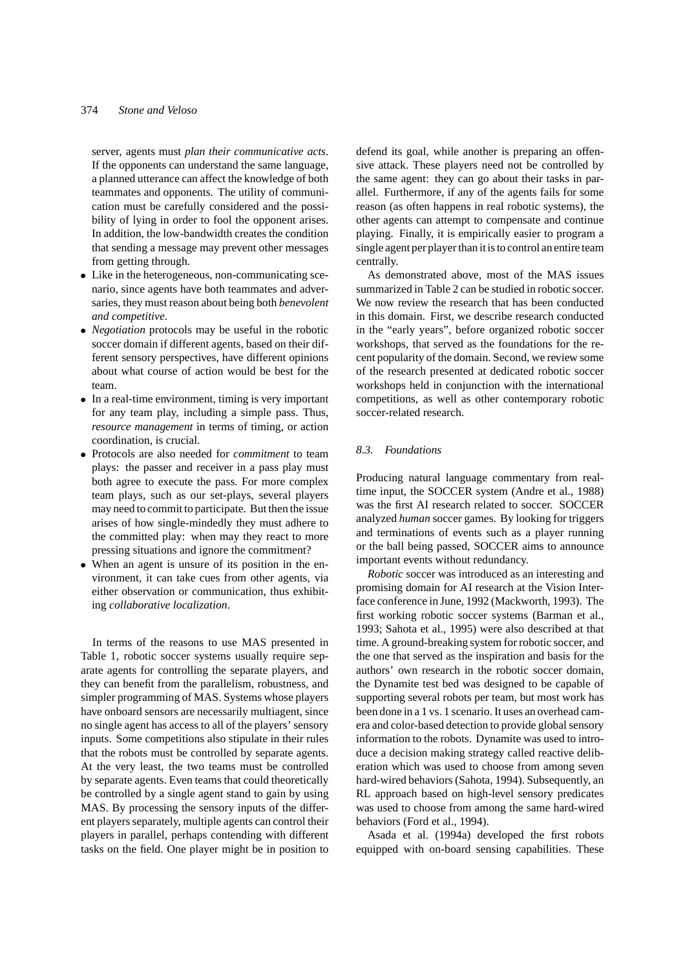## 374 *Stone and Veloso*

server, agents must *plan their communicative acts*. If the opponents can understand the same language, a planned utterance can affect the knowledge of both teammates and opponents. The utility of communication must be carefully considered and the possibility of lying in order to fool the opponent arises. In addition, the low-bandwidth creates the condition that sending a message may prevent other messages from getting through.

- Like in the heterogeneous, non-communicating scenario, since agents have both teammates and adversaries, they must reason about being both *benevolent and competitive*.
- *Negotiation* protocols may be useful in the robotic soccer domain if different agents, based on their different sensory perspectives, have different opinions about what course of action would be best for the team.
- In a real-time environment, timing is very important for any team play, including a simple pass. Thus, *resource management* in terms of timing, or action coordination, is crucial.
- Protocols are also needed for *commitment* to team plays: the passer and receiver in a pass play must both agree to execute the pass. For more complex team plays, such as our set-plays, several players may need to commit to participate. But then the issue arises of how single-mindedly they must adhere to the committed play: when may they react to more pressing situations and ignore the commitment?
- When an agent is unsure of its position in the environment, it can take cues from other agents, via either observation or communication, thus exhibiting *collaborative localization*.

In terms of the reasons to use MAS presented in Table 1, robotic soccer systems usually require separate agents for controlling the separate players, and they can benefit from the parallelism, robustness, and simpler programming of MAS. Systems whose players have onboard sensors are necessarily multiagent, since no single agent has access to all of the players' sensory inputs. Some competitions also stipulate in their rules that the robots must be controlled by separate agents. At the very least, the two teams must be controlled by separate agents. Even teams that could theoretically be controlled by a single agent stand to gain by using MAS. By processing the sensory inputs of the different players separately, multiple agents can control their players in parallel, perhaps contending with different tasks on the field. One player might be in position to

defend its goal, while another is preparing an offensive attack. These players need not be controlled by the same agent: they can go about their tasks in parallel. Furthermore, if any of the agents fails for some reason (as often happens in real robotic systems), the other agents can attempt to compensate and continue playing. Finally, it is empirically easier to program a single agent per player than it is to control an entire team centrally.

As demonstrated above, most of the MAS issues summarized in Table 2 can be studied in robotic soccer. We now review the research that has been conducted in this domain. First, we describe research conducted in the "early years", before organized robotic soccer workshops, that served as the foundations for the recent popularity of the domain. Second, we review some of the research presented at dedicated robotic soccer workshops held in conjunction with the international competitions, as well as other contemporary robotic soccer-related research.

## *8.3. Foundations*

Producing natural language commentary from realtime input, the SOCCER system (Andre et al., 1988) was the first AI research related to soccer. SOCCER analyzed *human* soccer games. By looking for triggers and terminations of events such as a player running or the ball being passed, SOCCER aims to announce important events without redundancy.

*Robotic* soccer was introduced as an interesting and promising domain for AI research at the Vision Interface conference in June, 1992 (Mackworth, 1993). The first working robotic soccer systems (Barman et al., 1993; Sahota et al., 1995) were also described at that time. A ground-breaking system for robotic soccer, and the one that served as the inspiration and basis for the authors' own research in the robotic soccer domain, the Dynamite test bed was designed to be capable of supporting several robots per team, but most work has been done in a 1 vs. 1 scenario. It uses an overhead camera and color-based detection to provide global sensory information to the robots. Dynamite was used to introduce a decision making strategy called reactive deliberation which was used to choose from among seven hard-wired behaviors (Sahota, 1994). Subsequently, an RL approach based on high-level sensory predicates was used to choose from among the same hard-wired behaviors (Ford et al., 1994).

Asada et al. (1994a) developed the first robots equipped with on-board sensing capabilities. These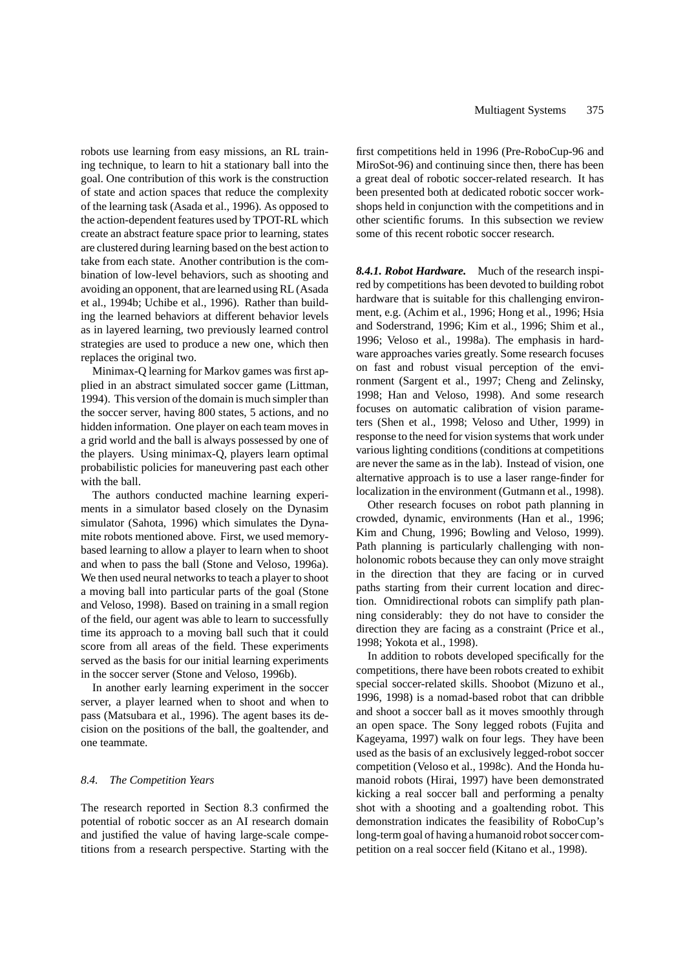robots use learning from easy missions, an RL training technique, to learn to hit a stationary ball into the goal. One contribution of this work is the construction of state and action spaces that reduce the complexity of the learning task (Asada et al., 1996). As opposed to the action-dependent features used by TPOT-RL which create an abstract feature space prior to learning, states are clustered during learning based on the best action to take from each state. Another contribution is the combination of low-level behaviors, such as shooting and avoiding an opponent, that are learned using RL (Asada et al., 1994b; Uchibe et al., 1996). Rather than building the learned behaviors at different behavior levels as in layered learning, two previously learned control strategies are used to produce a new one, which then replaces the original two.

Minimax-Q learning for Markov games was first applied in an abstract simulated soccer game (Littman, 1994). This version of the domain is much simpler than the soccer server, having 800 states, 5 actions, and no hidden information. One player on each team moves in a grid world and the ball is always possessed by one of the players. Using minimax-Q, players learn optimal probabilistic policies for maneuvering past each other with the ball.

The authors conducted machine learning experiments in a simulator based closely on the Dynasim simulator (Sahota, 1996) which simulates the Dynamite robots mentioned above. First, we used memorybased learning to allow a player to learn when to shoot and when to pass the ball (Stone and Veloso, 1996a). We then used neural networks to teach a player to shoot a moving ball into particular parts of the goal (Stone and Veloso, 1998). Based on training in a small region of the field, our agent was able to learn to successfully time its approach to a moving ball such that it could score from all areas of the field. These experiments served as the basis for our initial learning experiments in the soccer server (Stone and Veloso, 1996b).

In another early learning experiment in the soccer server, a player learned when to shoot and when to pass (Matsubara et al., 1996). The agent bases its decision on the positions of the ball, the goaltender, and one teammate.

### *8.4. The Competition Years*

The research reported in Section 8.3 confirmed the potential of robotic soccer as an AI research domain and justified the value of having large-scale competitions from a research perspective. Starting with the first competitions held in 1996 (Pre-RoboCup-96 and MiroSot-96) and continuing since then, there has been a great deal of robotic soccer-related research. It has been presented both at dedicated robotic soccer workshops held in conjunction with the competitions and in other scientific forums. In this subsection we review some of this recent robotic soccer research.

*8.4.1. Robot Hardware.* Much of the research inspired by competitions has been devoted to building robot hardware that is suitable for this challenging environment, e.g. (Achim et al., 1996; Hong et al., 1996; Hsia and Soderstrand, 1996; Kim et al., 1996; Shim et al., 1996; Veloso et al., 1998a). The emphasis in hardware approaches varies greatly. Some research focuses on fast and robust visual perception of the environment (Sargent et al., 1997; Cheng and Zelinsky, 1998; Han and Veloso, 1998). And some research focuses on automatic calibration of vision parameters (Shen et al., 1998; Veloso and Uther, 1999) in response to the need for vision systems that work under various lighting conditions (conditions at competitions are never the same as in the lab). Instead of vision, one alternative approach is to use a laser range-finder for localization in the environment (Gutmann et al., 1998).

Other research focuses on robot path planning in crowded, dynamic, environments (Han et al., 1996; Kim and Chung, 1996; Bowling and Veloso, 1999). Path planning is particularly challenging with nonholonomic robots because they can only move straight in the direction that they are facing or in curved paths starting from their current location and direction. Omnidirectional robots can simplify path planning considerably: they do not have to consider the direction they are facing as a constraint (Price et al., 1998; Yokota et al., 1998).

In addition to robots developed specifically for the competitions, there have been robots created to exhibit special soccer-related skills. Shoobot (Mizuno et al., 1996, 1998) is a nomad-based robot that can dribble and shoot a soccer ball as it moves smoothly through an open space. The Sony legged robots (Fujita and Kageyama, 1997) walk on four legs. They have been used as the basis of an exclusively legged-robot soccer competition (Veloso et al., 1998c). And the Honda humanoid robots (Hirai, 1997) have been demonstrated kicking a real soccer ball and performing a penalty shot with a shooting and a goaltending robot. This demonstration indicates the feasibility of RoboCup's long-term goal of having a humanoid robot soccer competition on a real soccer field (Kitano et al., 1998).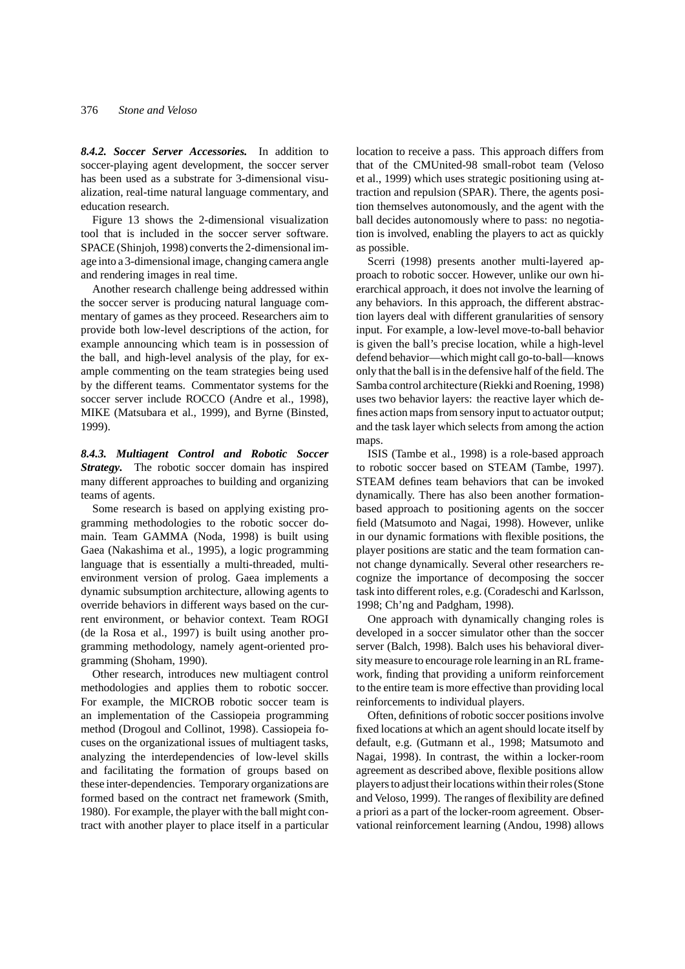*8.4.2. Soccer Server Accessories.* In addition to soccer-playing agent development, the soccer server has been used as a substrate for 3-dimensional visualization, real-time natural language commentary, and education research.

Figure 13 shows the 2-dimensional visualization tool that is included in the soccer server software. SPACE (Shinjoh, 1998) converts the 2-dimensional image into a 3-dimensional image, changing camera angle and rendering images in real time.

Another research challenge being addressed within the soccer server is producing natural language commentary of games as they proceed. Researchers aim to provide both low-level descriptions of the action, for example announcing which team is in possession of the ball, and high-level analysis of the play, for example commenting on the team strategies being used by the different teams. Commentator systems for the soccer server include ROCCO (Andre et al., 1998), MIKE (Matsubara et al., 1999), and Byrne (Binsted, 1999).

*8.4.3. Multiagent Control and Robotic Soccer Strategy.* The robotic soccer domain has inspired many different approaches to building and organizing teams of agents.

Some research is based on applying existing programming methodologies to the robotic soccer domain. Team GAMMA (Noda, 1998) is built using Gaea (Nakashima et al., 1995), a logic programming language that is essentially a multi-threaded, multienvironment version of prolog. Gaea implements a dynamic subsumption architecture, allowing agents to override behaviors in different ways based on the current environment, or behavior context. Team ROGI (de la Rosa et al., 1997) is built using another programming methodology, namely agent-oriented programming (Shoham, 1990).

Other research, introduces new multiagent control methodologies and applies them to robotic soccer. For example, the MICROB robotic soccer team is an implementation of the Cassiopeia programming method (Drogoul and Collinot, 1998). Cassiopeia focuses on the organizational issues of multiagent tasks, analyzing the interdependencies of low-level skills and facilitating the formation of groups based on these inter-dependencies. Temporary organizations are formed based on the contract net framework (Smith, 1980). For example, the player with the ball might contract with another player to place itself in a particular

location to receive a pass. This approach differs from that of the CMUnited-98 small-robot team (Veloso et al., 1999) which uses strategic positioning using attraction and repulsion (SPAR). There, the agents position themselves autonomously, and the agent with the ball decides autonomously where to pass: no negotiation is involved, enabling the players to act as quickly as possible.

Scerri (1998) presents another multi-layered approach to robotic soccer. However, unlike our own hierarchical approach, it does not involve the learning of any behaviors. In this approach, the different abstraction layers deal with different granularities of sensory input. For example, a low-level move-to-ball behavior is given the ball's precise location, while a high-level defend behavior—which might call go-to-ball—knows only that the ball is in the defensive half of the field. The Samba control architecture (Riekki and Roening, 1998) uses two behavior layers: the reactive layer which defines action maps from sensory input to actuator output; and the task layer which selects from among the action maps.

ISIS (Tambe et al., 1998) is a role-based approach to robotic soccer based on STEAM (Tambe, 1997). STEAM defines team behaviors that can be invoked dynamically. There has also been another formationbased approach to positioning agents on the soccer field (Matsumoto and Nagai, 1998). However, unlike in our dynamic formations with flexible positions, the player positions are static and the team formation cannot change dynamically. Several other researchers recognize the importance of decomposing the soccer task into different roles, e.g. (Coradeschi and Karlsson, 1998; Ch'ng and Padgham, 1998).

One approach with dynamically changing roles is developed in a soccer simulator other than the soccer server (Balch, 1998). Balch uses his behavioral diversity measure to encourage role learning in an RL framework, finding that providing a uniform reinforcement to the entire team is more effective than providing local reinforcements to individual players.

Often, definitions of robotic soccer positions involve fixed locations at which an agent should locate itself by default, e.g. (Gutmann et al., 1998; Matsumoto and Nagai, 1998). In contrast, the within a locker-room agreement as described above, flexible positions allow players to adjust their locations within their roles (Stone and Veloso, 1999). The ranges of flexibility are defined a priori as a part of the locker-room agreement. Observational reinforcement learning (Andou, 1998) allows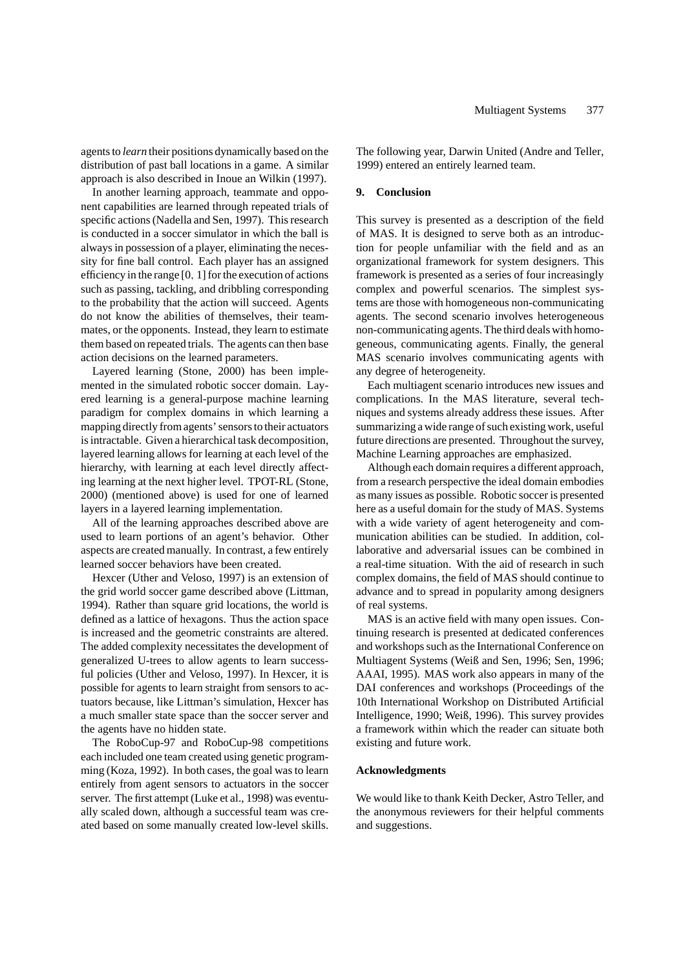agents to *learn* their positions dynamically based on the distribution of past ball locations in a game. A similar approach is also described in Inoue an Wilkin (1997).

In another learning approach, teammate and opponent capabilities are learned through repeated trials of specific actions (Nadella and Sen, 1997). This research is conducted in a soccer simulator in which the ball is always in possession of a player, eliminating the necessity for fine ball control. Each player has an assigned efficiency in the range [0, 1] for the execution of actions such as passing, tackling, and dribbling corresponding to the probability that the action will succeed. Agents do not know the abilities of themselves, their teammates, or the opponents. Instead, they learn to estimate them based on repeated trials. The agents can then base action decisions on the learned parameters.

Layered learning (Stone, 2000) has been implemented in the simulated robotic soccer domain. Layered learning is a general-purpose machine learning paradigm for complex domains in which learning a mapping directly from agents' sensors to their actuators is intractable. Given a hierarchical task decomposition, layered learning allows for learning at each level of the hierarchy, with learning at each level directly affecting learning at the next higher level. TPOT-RL (Stone, 2000) (mentioned above) is used for one of learned layers in a layered learning implementation.

All of the learning approaches described above are used to learn portions of an agent's behavior. Other aspects are created manually. In contrast, a few entirely learned soccer behaviors have been created.

Hexcer (Uther and Veloso, 1997) is an extension of the grid world soccer game described above (Littman, 1994). Rather than square grid locations, the world is defined as a lattice of hexagons. Thus the action space is increased and the geometric constraints are altered. The added complexity necessitates the development of generalized U-trees to allow agents to learn successful policies (Uther and Veloso, 1997). In Hexcer, it is possible for agents to learn straight from sensors to actuators because, like Littman's simulation, Hexcer has a much smaller state space than the soccer server and the agents have no hidden state.

The RoboCup-97 and RoboCup-98 competitions each included one team created using genetic programming (Koza, 1992). In both cases, the goal was to learn entirely from agent sensors to actuators in the soccer server. The first attempt (Luke et al., 1998) was eventually scaled down, although a successful team was created based on some manually created low-level skills.

The following year, Darwin United (Andre and Teller, 1999) entered an entirely learned team.

## **9. Conclusion**

This survey is presented as a description of the field of MAS. It is designed to serve both as an introduction for people unfamiliar with the field and as an organizational framework for system designers. This framework is presented as a series of four increasingly complex and powerful scenarios. The simplest systems are those with homogeneous non-communicating agents. The second scenario involves heterogeneous non-communicating agents. The third deals with homogeneous, communicating agents. Finally, the general MAS scenario involves communicating agents with any degree of heterogeneity.

Each multiagent scenario introduces new issues and complications. In the MAS literature, several techniques and systems already address these issues. After summarizing a wide range of such existing work, useful future directions are presented. Throughout the survey, Machine Learning approaches are emphasized.

Although each domain requires a different approach, from a research perspective the ideal domain embodies as many issues as possible. Robotic soccer is presented here as a useful domain for the study of MAS. Systems with a wide variety of agent heterogeneity and communication abilities can be studied. In addition, collaborative and adversarial issues can be combined in a real-time situation. With the aid of research in such complex domains, the field of MAS should continue to advance and to spread in popularity among designers of real systems.

MAS is an active field with many open issues. Continuing research is presented at dedicated conferences and workshops such as the International Conference on Multiagent Systems (Weiß and Sen, 1996; Sen, 1996; AAAI, 1995). MAS work also appears in many of the DAI conferences and workshops (Proceedings of the 10th International Workshop on Distributed Artificial Intelligence, 1990; Weiß, 1996). This survey provides a framework within which the reader can situate both existing and future work.

#### **Acknowledgments**

We would like to thank Keith Decker, Astro Teller, and the anonymous reviewers for their helpful comments and suggestions.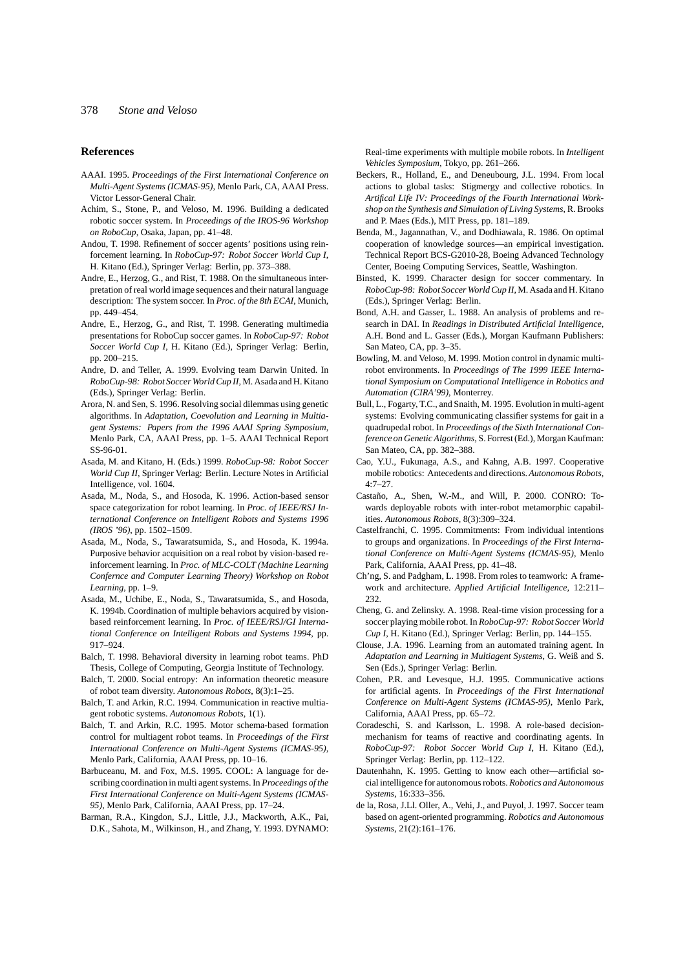#### **References**

- AAAI. 1995. *Proceedings of the First International Conference on Multi-Agent Systems (ICMAS-95)*, Menlo Park, CA, AAAI Press. Victor Lessor-General Chair.
- Achim, S., Stone, P., and Veloso, M. 1996. Building a dedicated robotic soccer system. In *Proceedings of the IROS-96 Workshop on RoboCup*, Osaka, Japan, pp. 41–48.
- Andou, T. 1998. Refinement of soccer agents' positions using reinforcement learning. In *RoboCup-97: Robot Soccer World Cup I*, H. Kitano (Ed.), Springer Verlag: Berlin, pp. 373–388.
- Andre, E., Herzog, G., and Rist, T. 1988. On the simultaneous interpretation of real world image sequences and their natural language description: The system soccer. In *Proc. of the 8th ECAI*, Munich, pp. 449–454.
- Andre, E., Herzog, G., and Rist, T. 1998. Generating multimedia presentations for RoboCup soccer games. In *RoboCup-97: Robot Soccer World Cup I*, H. Kitano (Ed.), Springer Verlag: Berlin, pp. 200–215.
- Andre, D. and Teller, A. 1999. Evolving team Darwin United. In *RoboCup-98: Robot Soccer World Cup II*, M. Asada and H. Kitano (Eds.), Springer Verlag: Berlin.
- Arora, N. and Sen, S. 1996. Resolving social dilemmas using genetic algorithms. In *Adaptation, Coevolution and Learning in Multiagent Systems: Papers from the 1996 AAAI Spring Symposium*, Menlo Park, CA, AAAI Press, pp. 1–5. AAAI Technical Report SS-96-01.
- Asada, M. and Kitano, H. (Eds.) 1999. *RoboCup-98: Robot Soccer World Cup II*, Springer Verlag: Berlin. Lecture Notes in Artificial Intelligence, vol. 1604.
- Asada, M., Noda, S., and Hosoda, K. 1996. Action-based sensor space categorization for robot learning. In *Proc. of IEEE/RSJ International Conference on Intelligent Robots and Systems 1996 (IROS '96)*, pp. 1502–1509.
- Asada, M., Noda, S., Tawaratsumida, S., and Hosoda, K. 1994a. Purposive behavior acquisition on a real robot by vision-based reinforcement learning. In *Proc. of MLC-COLT (Machine Learning Confernce and Computer Learning Theory) Workshop on Robot Learning*, pp. 1–9.
- Asada, M., Uchibe, E., Noda, S., Tawaratsumida, S., and Hosoda, K. 1994b. Coordination of multiple behaviors acquired by visionbased reinforcement learning. In *Proc. of IEEE/RSJ/GI International Conference on Intelligent Robots and Systems 1994*, pp. 917–924.
- Balch, T. 1998. Behavioral diversity in learning robot teams. PhD Thesis, College of Computing, Georgia Institute of Technology.
- Balch, T. 2000. Social entropy: An information theoretic measure of robot team diversity. *Autonomous Robots*, 8(3):1–25.
- Balch, T. and Arkin, R.C. 1994. Communication in reactive multiagent robotic systems. *Autonomous Robots*, 1(1).
- Balch, T. and Arkin, R.C. 1995. Motor schema-based formation control for multiagent robot teams. In *Proceedings of the First International Conference on Multi-Agent Systems (ICMAS-95)*, Menlo Park, California, AAAI Press, pp. 10–16.
- Barbuceanu, M. and Fox, M.S. 1995. COOL: A language for describing coordination in multi agent systems. In *Proceedings of the First International Conference on Multi-Agent Systems (ICMAS-95)*, Menlo Park, California, AAAI Press, pp. 17–24.
- Barman, R.A., Kingdon, S.J., Little, J.J., Mackworth, A.K., Pai, D.K., Sahota, M., Wilkinson, H., and Zhang, Y. 1993. DYNAMO:

Real-time experiments with multiple mobile robots. In *Intelligent Vehicles Symposium*, Tokyo, pp. 261–266.

- Beckers, R., Holland, E., and Deneubourg, J.L. 1994. From local actions to global tasks: Stigmergy and collective robotics. In *Artifical Life IV: Proceedings of the Fourth International Workshop on the Synthesis and Simulation of Living Systems*, R. Brooks and P. Maes (Eds.), MIT Press, pp. 181–189.
- Benda, M., Jagannathan, V., and Dodhiawala, R. 1986. On optimal cooperation of knowledge sources—an empirical investigation. Technical Report BCS-G2010-28, Boeing Advanced Technology Center, Boeing Computing Services, Seattle, Washington.
- Binsted, K. 1999. Character design for soccer commentary. In *RoboCup-98: Robot Soccer World Cup II*, M. Asada and H. Kitano (Eds.), Springer Verlag: Berlin.
- Bond, A.H. and Gasser, L. 1988. An analysis of problems and research in DAI. In *Readings in Distributed Artificial Intelligence*, A.H. Bond and L. Gasser (Eds.), Morgan Kaufmann Publishers: San Mateo, CA, pp. 3–35.
- Bowling, M. and Veloso, M. 1999. Motion control in dynamic multirobot environments. In *Proceedings of The 1999 IEEE International Symposium on Computational Intelligence in Robotics and Automation (CIRA'99)*, Monterrey.
- Bull, L., Fogarty, T.C., and Snaith, M. 1995. Evolution in multi-agent systems: Evolving communicating classifier systems for gait in a quadrupedal robot. In *Proceedings of the Sixth International Conference on Genetic Algorithms*, S. Forrest (Ed.), Morgan Kaufman: San Mateo, CA, pp. 382–388.
- Cao, Y.U., Fukunaga, A.S., and Kahng, A.B. 1997. Cooperative mobile robotics: Antecedents and directions. *Autonomous Robots*, 4:7–27.
- Castaño, A., Shen, W.-M., and Will, P. 2000. CONRO: Towards deployable robots with inter-robot metamorphic capabilities. *Autonomous Robots*, 8(3):309–324.
- Castelfranchi, C. 1995. Commitments: From individual intentions to groups and organizations. In *Proceedings of the First International Conference on Multi-Agent Systems (ICMAS-95)*, Menlo Park, California, AAAI Press, pp. 41–48.
- Ch'ng, S. and Padgham, L. 1998. From roles to teamwork: A framework and architecture. *Applied Artificial Intelligence*, 12:211– 232.
- Cheng, G. and Zelinsky. A. 1998. Real-time vision processing for a soccer playing mobile robot. In *RoboCup-97: Robot Soccer World Cup I*, H. Kitano (Ed.), Springer Verlag: Berlin, pp. 144–155.
- Clouse, J.A. 1996. Learning from an automated training agent. In *Adaptation and Learning in Multiagent Systems*, G. Weiß and S. Sen (Eds.), Springer Verlag: Berlin.
- Cohen, P.R. and Levesque, H.J. 1995. Communicative actions for artificial agents. In *Proceedings of the First International Conference on Multi-Agent Systems (ICMAS-95)*, Menlo Park, California, AAAI Press, pp. 65–72.
- Coradeschi, S. and Karlsson, L. 1998. A role-based decisionmechanism for teams of reactive and coordinating agents. In *RoboCup-97: Robot Soccer World Cup I*, H. Kitano (Ed.), Springer Verlag: Berlin, pp. 112–122.
- Dautenhahn, K. 1995. Getting to know each other—artificial social intelligence for autonomous robots. *Robotics and Autonomous Systems*, 16:333–356.
- de la, Rosa, J.Ll. Oller, A., Vehi, J., and Puyol, J. 1997. Soccer team based on agent-oriented programming. *Robotics and Autonomous Systems*, 21(2):161–176.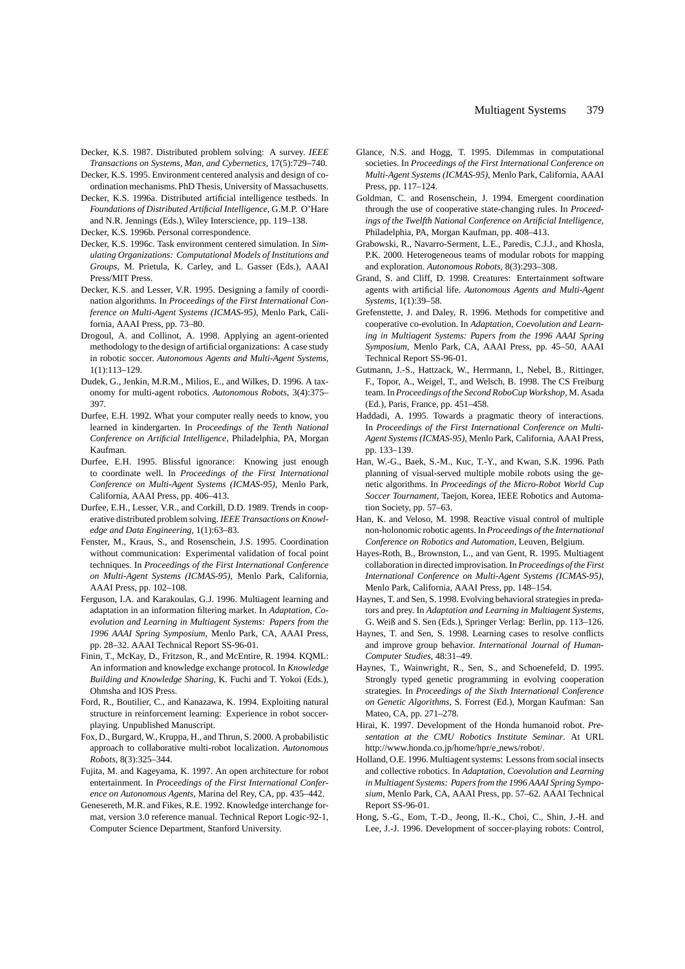- Decker, K.S. 1987. Distributed problem solving: A survey. *IEEE Transactions on Systems, Man, and Cybernetics*, 17(5):729–740.
- Decker, K.S. 1995. Environment centered analysis and design of coordination mechanisms. PhD Thesis, University of Massachusetts.
- Decker, K.S. 1996a. Distributed artificial intelligence testbeds. In *Foundations of Distributed Artificial Intelligence*, G.M.P. O'Hare and N.R. Jennings (Eds.), Wiley Interscience, pp. 119–138.
- Decker, K.S. 1996b. Personal correspondence.
- Decker, K.S. 1996c. Task environment centered simulation. In *Simulating Organizations: Computational Models of Institutions and Groups*, M. Prietula, K. Carley, and L. Gasser (Eds.), AAAI Press/MIT Press.
- Decker, K.S. and Lesser, V.R. 1995. Designing a family of coordination algorithms. In *Proceedings of the First International Conference on Multi-Agent Systems (ICMAS-95)*, Menlo Park, California, AAAI Press, pp. 73–80.
- Drogoul, A. and Collinot, A. 1998. Applying an agent-oriented methodology to the design of artificial organizations: A case study in robotic soccer. *Autonomous Agents and Multi-Agent Systems*, 1(1):113–129.
- Dudek, G., Jenkin, M.R.M., Milios, E., and Wilkes, D. 1996. A taxonomy for multi-agent robotics. *Autonomous Robots*, 3(4):375– 397.
- Durfee, E.H. 1992. What your computer really needs to know, you learned in kindergarten. In *Proceedings of the Tenth National Conference on Artificial Intelligence*, Philadelphia, PA, Morgan Kaufman.
- Durfee, E.H. 1995. Blissful ignorance: Knowing just enough to coordinate well. In *Proceedings of the First International Conference on Multi-Agent Systems (ICMAS-95)*, Menlo Park, California, AAAI Press, pp. 406–413.
- Durfee, E.H., Lesser, V.R., and Corkill, D.D. 1989. Trends in cooperative distributed problem solving. *IEEE Transactions on Knowledge and Data Engineering*, 1(1):63–83.
- Fenster, M., Kraus, S., and Rosenschein, J.S. 1995. Coordination without communication: Experimental validation of focal point techniques. In *Proceedings of the First International Conference on Multi-Agent Systems (ICMAS-95)*, Menlo Park, California, AAAI Press, pp. 102–108.
- Ferguson, I.A. and Karakoulas, G.J. 1996. Multiagent learning and adaptation in an information filtering market. In *Adaptation, Coevolution and Learning in Multiagent Systems: Papers from the 1996 AAAI Spring Symposium*, Menlo Park, CA, AAAI Press, pp. 28–32. AAAI Technical Report SS-96-01.
- Finin, T., McKay, D., Fritzson, R., and McEntire, R. 1994. KQML: An information and knowledge exchange protocol. In *Knowledge Building and Knowledge Sharing*, K. Fuchi and T. Yokoi (Eds.), Ohmsha and IOS Press.
- Ford, R., Boutilier, C., and Kanazawa, K. 1994. Exploiting natural structure in reinforcement learning: Experience in robot soccerplaying. Unpublished Manuscript.
- Fox, D., Burgard, W., Kruppa, H., and Thrun, S. 2000. A probabilistic approach to collaborative multi-robot localization. *Autonomous Robots*, 8(3):325–344.
- Fujita, M. and Kageyama, K. 1997. An open architecture for robot entertainment. In *Proceedings of the First International Conference on Autonomous Agents*, Marina del Rey, CA, pp. 435–442.
- Genesereth, M.R. and Fikes, R.E. 1992. Knowledge interchange format, version 3.0 reference manual. Technical Report Logic-92-1, Computer Science Department, Stanford University.
- Glance, N.S. and Hogg, T. 1995. Dilemmas in computational societies. In *Proceedings of the First International Conference on Multi-Agent Systems (ICMAS-95)*, Menlo Park, California, AAAI Press, pp. 117–124.
- Goldman, C. and Rosenschein, J. 1994. Emergent coordination through the use of cooperative state-changing rules. In *Proceedings of the Twelfth National Conference on Artificial Intelligence*, Philadelphia, PA, Morgan Kaufman, pp. 408–413.
- Grabowski, R., Navarro-Serment, L.E., Paredis, C.J.J., and Khosla, P.K. 2000. Heterogeneous teams of modular robots for mapping and exploration. *Autonomous Robots*, 8(3):293–308.
- Grand, S. and Cliff, D. 1998. Creatures: Entertainment software agents with artificial life. *Autonomous Agents and Multi-Agent Systems*, 1(1):39–58.
- Grefenstette, J. and Daley, R. 1996. Methods for competitive and cooperative co-evolution. In *Adaptation, Coevolution and Learning in Multiagent Systems: Papers from the 1996 AAAI Spring Symposium*, Menlo Park, CA, AAAI Press, pp. 45–50, AAAI Technical Report SS-96-01.
- Gutmann, J.-S., Hattzack, W., Herrmann, I., Nebel, B., Rittinger, F., Topor, A., Weigel, T., and Welsch, B. 1998. The CS Freiburg team. In *Proceedings of the Second RoboCup Workshop*, M. Asada (Ed.), Paris, France, pp. 451–458.
- Haddadi, A. 1995. Towards a pragmatic theory of interactions. In *Proceedings of the First International Conference on Multi-Agent Systems (ICMAS-95)*, Menlo Park, California, AAAI Press, pp. 133–139.
- Han, W.-G., Baek, S.-M., Kuc, T.-Y., and Kwan, S.K. 1996. Path planning of visual-served multiple mobile robots using the genetic algorithms. In *Proceedings of the Micro-Robot World Cup Soccer Tournament*, Taejon, Korea, IEEE Robotics and Automation Society, pp. 57–63.
- Han, K. and Veloso, M. 1998. Reactive visual control of multiple non-holonomic robotic agents. In *Proceedings of the International Conference on Robotics and Automation*, Leuven, Belgium.
- Hayes-Roth, B., Brownston, L., and van Gent, R. 1995. Multiagent collaboration in directed improvisation. In *Proceedings of the First International Conference on Multi-Agent Systems (ICMAS-95)*, Menlo Park, California, AAAI Press, pp. 148–154.
- Haynes, T. and Sen, S. 1998. Evolving behavioral strategies in predators and prey. In *Adaptation and Learning in Multiagent Systems*, G. Weiß and S. Sen (Eds.), Springer Verlag: Berlin, pp. 113–126.
- Haynes, T. and Sen, S. 1998. Learning cases to resolve conflicts and improve group behavior. *International Journal of Human-Computer Studies*, 48:31–49.
- Haynes, T., Wainwright, R., Sen, S., and Schoenefeld, D. 1995. Strongly typed genetic programming in evolving cooperation strategies. In *Proceedings of the Sixth International Conference on Genetic Algorithms*, S. Forrest (Ed.), Morgan Kaufman: San Mateo, CA, pp. 271–278.
- Hirai, K. 1997. Development of the Honda humanoid robot. *Presentation at the CMU Robotics Institute Seminar*. At URL http://www.honda.co.jp/home/hpr/e news/robot/.
- Holland, O.E. 1996. Multiagent systems: Lessons from social insects and collective robotics. In *Adaptation, Coevolution and Learning in Multiagent Systems: Papers from the 1996 AAAI Spring Symposium*, Menlo Park, CA, AAAI Press, pp. 57–62. AAAI Technical Report SS-96-01.
- Hong, S.-G., Eom, T.-D., Jeong, Il.-K., Choi, C., Shin, J.-H. and Lee, J.-J. 1996. Development of soccer-playing robots: Control,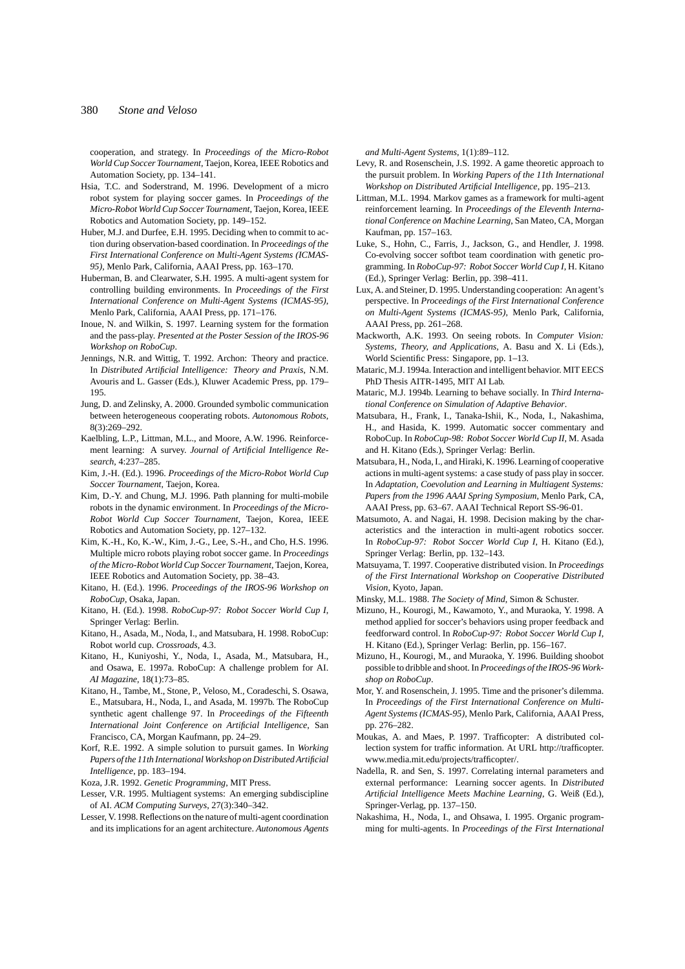#### 380 *Stone and Veloso*

cooperation, and strategy. In *Proceedings of the Micro-Robot World Cup Soccer Tournament*, Taejon, Korea, IEEE Robotics and Automation Society, pp. 134–141.

- Hsia, T.C. and Soderstrand, M. 1996. Development of a micro robot system for playing soccer games. In *Proceedings of the Micro-Robot World Cup Soccer Tournament*, Taejon, Korea, IEEE Robotics and Automation Society, pp. 149–152.
- Huber, M.J. and Durfee, E.H. 1995. Deciding when to commit to action during observation-based coordination. In *Proceedings of the First International Conference on Multi-Agent Systems (ICMAS-95)*, Menlo Park, California, AAAI Press, pp. 163–170.
- Huberman, B. and Clearwater, S.H. 1995. A multi-agent system for controlling building environments. In *Proceedings of the First International Conference on Multi-Agent Systems (ICMAS-95)*, Menlo Park, California, AAAI Press, pp. 171–176.

Inoue, N. and Wilkin, S. 1997. Learning system for the formation and the pass-play. *Presented at the Poster Session of the IROS-96 Workshop on RoboCup*.

- Jennings, N.R. and Wittig, T. 1992. Archon: Theory and practice. In *Distributed Artificial Intelligence: Theory and Praxis*, N.M. Avouris and L. Gasser (Eds.), Kluwer Academic Press, pp. 179– 195.
- Jung, D. and Zelinsky, A. 2000. Grounded symbolic communication between heterogeneous cooperating robots. *Autonomous Robots*, 8(3):269–292.
- Kaelbling, L.P., Littman, M.L., and Moore, A.W. 1996. Reinforcement learning: A survey. *Journal of Artificial Intelligence Research*, 4:237–285.
- Kim, J.-H. (Ed.). 1996. *Proceedings of the Micro-Robot World Cup Soccer Tournament*, Taejon, Korea.
- Kim, D.-Y. and Chung, M.J. 1996. Path planning for multi-mobile robots in the dynamic environment. In *Proceedings of the Micro-Robot World Cup Soccer Tournament*, Taejon, Korea, IEEE Robotics and Automation Society, pp. 127–132.
- Kim, K.-H., Ko, K.-W., Kim, J.-G., Lee, S.-H., and Cho, H.S. 1996. Multiple micro robots playing robot soccer game. In *Proceedings of the Micro-Robot World Cup Soccer Tournament*, Taejon, Korea, IEEE Robotics and Automation Society, pp. 38–43.
- Kitano, H. (Ed.). 1996. *Proceedings of the IROS-96 Workshop on RoboCup*, Osaka, Japan.
- Kitano, H. (Ed.). 1998. *RoboCup-97: Robot Soccer World Cup I*, Springer Verlag: Berlin.
- Kitano, H., Asada, M., Noda, I., and Matsubara, H. 1998. RoboCup: Robot world cup. *Crossroads*, 4.3.
- Kitano, H., Kuniyoshi, Y., Noda, I., Asada, M., Matsubara, H., and Osawa, E. 1997a. RoboCup: A challenge problem for AI. *AI Magazine*, 18(1):73–85.
- Kitano, H., Tambe, M., Stone, P., Veloso, M., Coradeschi, S. Osawa, E., Matsubara, H., Noda, I., and Asada, M. 1997b. The RoboCup synthetic agent challenge 97. In *Proceedings of the Fifteenth International Joint Conference on Artificial Intelligence*, San Francisco, CA, Morgan Kaufmann, pp. 24–29.
- Korf, R.E. 1992. A simple solution to pursuit games. In *Working Papers of the 11th International Workshop on Distributed Artificial Intelligence*, pp. 183–194.

Koza, J.R. 1992. *Genetic Programming*, MIT Press.

- Lesser, V.R. 1995. Multiagent systems: An emerging subdiscipline of AI. *ACM Computing Surveys*, 27(3):340–342.
- Lesser, V. 1998. Reflections on the nature of multi-agent coordination and its implications for an agent architecture. *Autonomous Agents*

*and Multi-Agent Systems*, 1(1):89–112.

- Levy, R. and Rosenschein, J.S. 1992. A game theoretic approach to the pursuit problem. In *Working Papers of the 11th International Workshop on Distributed Artificial Intelligence*, pp. 195–213.
- Littman, M.L. 1994. Markov games as a framework for multi-agent reinforcement learning. In *Proceedings of the Eleventh International Conference on Machine Learning*, San Mateo, CA, Morgan Kaufman, pp. 157–163.
- Luke, S., Hohn, C., Farris, J., Jackson, G., and Hendler, J. 1998. Co-evolving soccer softbot team coordination with genetic programming. In *RoboCup-97: Robot Soccer World Cup I*, H. Kitano (Ed.), Springer Verlag: Berlin, pp. 398–411.
- Lux, A. and Steiner, D. 1995. Understanding cooperation: An agent's perspective. In *Proceedings of the First International Conference on Multi-Agent Systems (ICMAS-95)*, Menlo Park, California, AAAI Press, pp. 261–268.
- Mackworth, A.K. 1993. On seeing robots. In *Computer Vision: Systems, Theory, and Applications*, A. Basu and X. Li (Eds.), World Scientific Press: Singapore, pp. 1–13.
- Mataric, M.J. 1994a. Interaction and intelligent behavior. MIT EECS PhD Thesis AITR-1495, MIT AI Lab.
- Mataric, M.J. 1994b. Learning to behave socially. In *Third International Conference on Simulation of Adaptive Behavior*.
- Matsubara, H., Frank, I., Tanaka-Ishii, K., Noda, I., Nakashima, H., and Hasida, K. 1999. Automatic soccer commentary and RoboCup. In *RoboCup-98: Robot Soccer World Cup II*, M. Asada and H. Kitano (Eds.), Springer Verlag: Berlin.
- Matsubara, H., Noda, I., and Hiraki, K. 1996. Learning of cooperative actions in multi-agent systems: a case study of pass play in soccer. In *Adaptation, Coevolution and Learning in Multiagent Systems: Papers from the 1996 AAAI Spring Symposium*, Menlo Park, CA, AAAI Press, pp. 63–67. AAAI Technical Report SS-96-01.
- Matsumoto, A. and Nagai, H. 1998. Decision making by the characteristics and the interaction in multi-agent robotics soccer. In *RoboCup-97: Robot Soccer World Cup I*, H. Kitano (Ed.), Springer Verlag: Berlin, pp. 132–143.
- Matsuyama, T. 1997. Cooperative distributed vision. In *Proceedings of the First International Workshop on Cooperative Distributed Vision*, Kyoto, Japan.
- Minsky, M.L. 1988. *The Society of Mind*, Simon & Schuster.
- Mizuno, H., Kourogi, M., Kawamoto, Y., and Muraoka, Y. 1998. A method applied for soccer's behaviors using proper feedback and feedforward control. In *RoboCup-97: Robot Soccer World Cup I*, H. Kitano (Ed.), Springer Verlag: Berlin, pp. 156–167.
- Mizuno, H., Kourogi, M., and Muraoka, Y. 1996. Building shoobot possible to dribble and shoot. In *Proceedings of the IROS-96 Workshop on RoboCup*.
- Mor, Y. and Rosenschein, J. 1995. Time and the prisoner's dilemma. In *Proceedings of the First International Conference on Multi-Agent Systems (ICMAS-95)*, Menlo Park, California, AAAI Press, pp. 276–282.
- Moukas, A. and Maes, P. 1997. Trafficopter: A distributed collection system for traffic information. At URL http://trafficopter. www.media.mit.edu/projects/trafficopter/.
- Nadella, R. and Sen, S. 1997. Correlating internal parameters and external performance: Learning soccer agents. In *Distributed Artificial Intelligence Meets Machine Learning*, G. Weiß (Ed.), Springer-Verlag, pp. 137–150.
- Nakashima, H., Noda, I., and Ohsawa, I. 1995. Organic programming for multi-agents. In *Proceedings of the First International*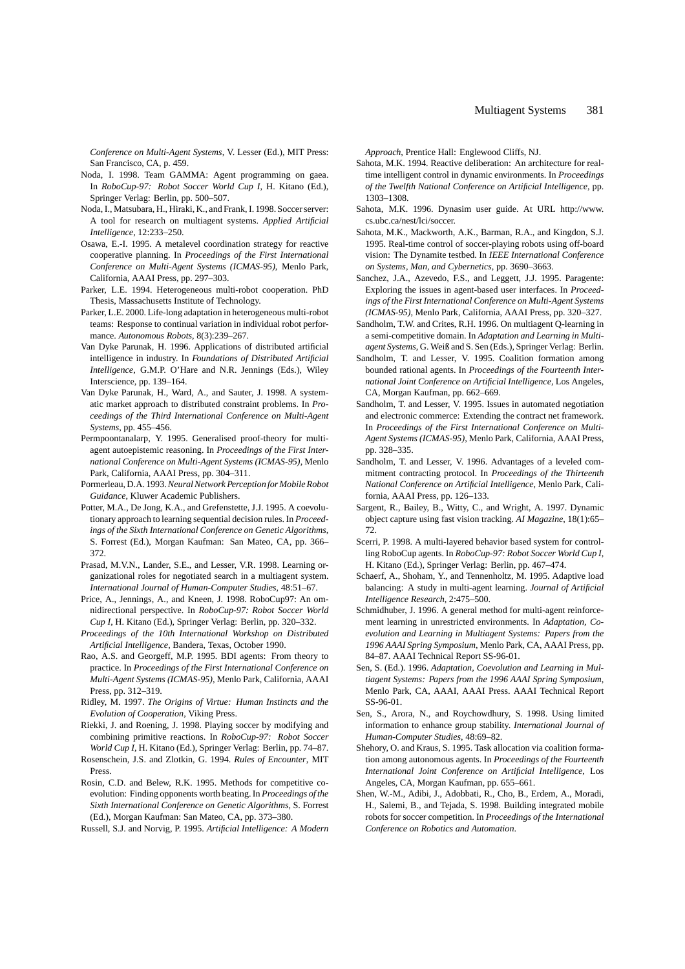*Conference on Multi-Agent Systems*, V. Lesser (Ed.), MIT Press: San Francisco, CA, p. 459.

- Noda, I. 1998. Team GAMMA: Agent programming on gaea. In *RoboCup-97: Robot Soccer World Cup I*, H. Kitano (Ed.), Springer Verlag: Berlin, pp. 500–507.
- Noda, I., Matsubara, H., Hiraki, K., and Frank, I. 1998. Soccer server: A tool for research on multiagent systems. *Applied Artificial Intelligence*, 12:233–250.
- Osawa, E.-I. 1995. A metalevel coordination strategy for reactive cooperative planning. In *Proceedings of the First International Conference on Multi-Agent Systems (ICMAS-95)*, Menlo Park, California, AAAI Press, pp. 297–303.
- Parker, L.E. 1994. Heterogeneous multi-robot cooperation. PhD Thesis, Massachusetts Institute of Technology.
- Parker, L.E. 2000. Life-long adaptation in heterogeneous multi-robot teams: Response to continual variation in individual robot performance. *Autonomous Robots*, 8(3):239–267.
- Van Dyke Parunak, H. 1996. Applications of distributed artificial intelligence in industry. In *Foundations of Distributed Artificial Intelligence*, G.M.P. O'Hare and N.R. Jennings (Eds.), Wiley Interscience, pp. 139–164.
- Van Dyke Parunak, H., Ward, A., and Sauter, J. 1998. A systematic market approach to distributed constraint problems. In *Proceedings of the Third International Conference on Multi-Agent Systems*, pp. 455–456.
- Permpoontanalarp, Y. 1995. Generalised proof-theory for multiagent autoepistemic reasoning. In *Proceedings of the First International Conference on Multi-Agent Systems (ICMAS-95)*, Menlo Park, California, AAAI Press, pp. 304–311.
- Pormerleau, D.A. 1993.*Neural Network Perception for Mobile Robot Guidance*, Kluwer Academic Publishers.
- Potter, M.A., De Jong, K.A., and Grefenstette, J.J. 1995. A coevolutionary approach to learning sequential decision rules. In *Proceedings of the Sixth International Conference on Genetic Algorithms*, S. Forrest (Ed.), Morgan Kaufman: San Mateo, CA, pp. 366– 372.
- Prasad, M.V.N., Lander, S.E., and Lesser, V.R. 1998. Learning organizational roles for negotiated search in a multiagent system. *International Journal of Human-Computer Studies*, 48:51–67.
- Price, A., Jennings, A., and Kneen, J. 1998. RoboCup97: An omnidirectional perspective. In *RoboCup-97: Robot Soccer World Cup I*, H. Kitano (Ed.), Springer Verlag: Berlin, pp. 320–332.
- *Proceedings of the 10th International Workshop on Distributed Artificial Intelligence*, Bandera, Texas, October 1990.
- Rao, A.S. and Georgeff, M.P. 1995. BDI agents: From theory to practice. In *Proceedings of the First International Conference on Multi-Agent Systems (ICMAS-95)*, Menlo Park, California, AAAI Press, pp. 312–319.
- Ridley, M. 1997. *The Origins of Virtue: Human Instincts and the Evolution of Cooperation*, Viking Press.
- Riekki, J. and Roening, J. 1998. Playing soccer by modifying and combining primitive reactions. In *RoboCup-97: Robot Soccer World Cup I*, H. Kitano (Ed.), Springer Verlag: Berlin, pp. 74–87.
- Rosenschein, J.S. and Zlotkin, G. 1994. *Rules of Encounter*, MIT Press.
- Rosin, C.D. and Belew, R.K. 1995. Methods for competitive coevolution: Finding opponents worth beating. In *Proceedings of the Sixth International Conference on Genetic Algorithms*, S. Forrest (Ed.), Morgan Kaufman: San Mateo, CA, pp. 373–380.
- Russell, S.J. and Norvig, P. 1995. *Artificial Intelligence: A Modern*

*Approach*, Prentice Hall: Englewood Cliffs, NJ.

- Sahota, M.K. 1994. Reactive deliberation: An architecture for realtime intelligent control in dynamic environments. In *Proceedings of the Twelfth National Conference on Artificial Intelligence*, pp. 1303–1308.
- Sahota, M.K. 1996. Dynasim user guide. At URL http://www. cs.ubc.ca/nest/lci/soccer.
- Sahota, M.K., Mackworth, A.K., Barman, R.A., and Kingdon, S.J. 1995. Real-time control of soccer-playing robots using off-board vision: The Dynamite testbed. In *IEEE International Conference on Systems, Man, and Cybernetics*, pp. 3690–3663.
- Sanchez, J.A., Azevedo, F.S., and Leggett, J.J. 1995. Paragente: Exploring the issues in agent-based user interfaces. In *Proceedings of the First International Conference on Multi-Agent Systems (ICMAS-95)*, Menlo Park, California, AAAI Press, pp. 320–327.
- Sandholm, T.W. and Crites, R.H. 1996. On multiagent Q-learning in a semi-competitive domain. In *Adaptation and Learning in Multiagent Systems*, G. Weiß and S. Sen (Eds.), Springer Verlag: Berlin.
- Sandholm, T. and Lesser, V. 1995. Coalition formation among bounded rational agents. In *Proceedings of the Fourteenth International Joint Conference on Artificial Intelligence*, Los Angeles, CA, Morgan Kaufman, pp. 662–669.
- Sandholm, T. and Lesser, V. 1995. Issues in automated negotiation and electronic commerce: Extending the contract net framework. In *Proceedings of the First International Conference on Multi-Agent Systems (ICMAS-95)*, Menlo Park, California, AAAI Press, pp. 328–335.
- Sandholm, T. and Lesser, V. 1996. Advantages of a leveled commitment contracting protocol. In *Proceedings of the Thirteenth National Conference on Artificial Intelligence*, Menlo Park, California, AAAI Press, pp. 126–133.
- Sargent, R., Bailey, B., Witty, C., and Wright, A. 1997. Dynamic object capture using fast vision tracking. *AI Magazine*, 18(1):65– 72.
- Scerri, P. 1998. A multi-layered behavior based system for controlling RoboCup agents. In *RoboCup-97: Robot Soccer World Cup I*, H. Kitano (Ed.), Springer Verlag: Berlin, pp. 467–474.
- Schaerf, A., Shoham, Y., and Tennenholtz, M. 1995. Adaptive load balancing: A study in multi-agent learning. *Journal of Artificial Intelligence Research*, 2:475–500.
- Schmidhuber, J. 1996. A general method for multi-agent reinforcement learning in unrestricted environments. In *Adaptation, Coevolution and Learning in Multiagent Systems: Papers from the 1996 AAAI Spring Symposium*, Menlo Park, CA, AAAI Press, pp. 84–87. AAAI Technical Report SS-96-01.
- Sen, S. (Ed.). 1996. *Adaptation, Coevolution and Learning in Multiagent Systems: Papers from the 1996 AAAI Spring Symposium*, Menlo Park, CA, AAAI, AAAI Press. AAAI Technical Report SS-96-01.
- Sen, S., Arora, N., and Roychowdhury, S. 1998. Using limited information to enhance group stability. *International Journal of Human-Computer Studies*, 48:69–82.
- Shehory, O. and Kraus, S. 1995. Task allocation via coalition formation among autonomous agents. In *Proceedings of the Fourteenth International Joint Conference on Artificial Intelligence*, Los Angeles, CA, Morgan Kaufman, pp. 655–661.
- Shen, W.-M., Adibi, J., Adobbati, R., Cho, B., Erdem, A., Moradi, H., Salemi, B., and Tejada, S. 1998. Building integrated mobile robots for soccer competition. In *Proceedings of the International Conference on Robotics and Automation*.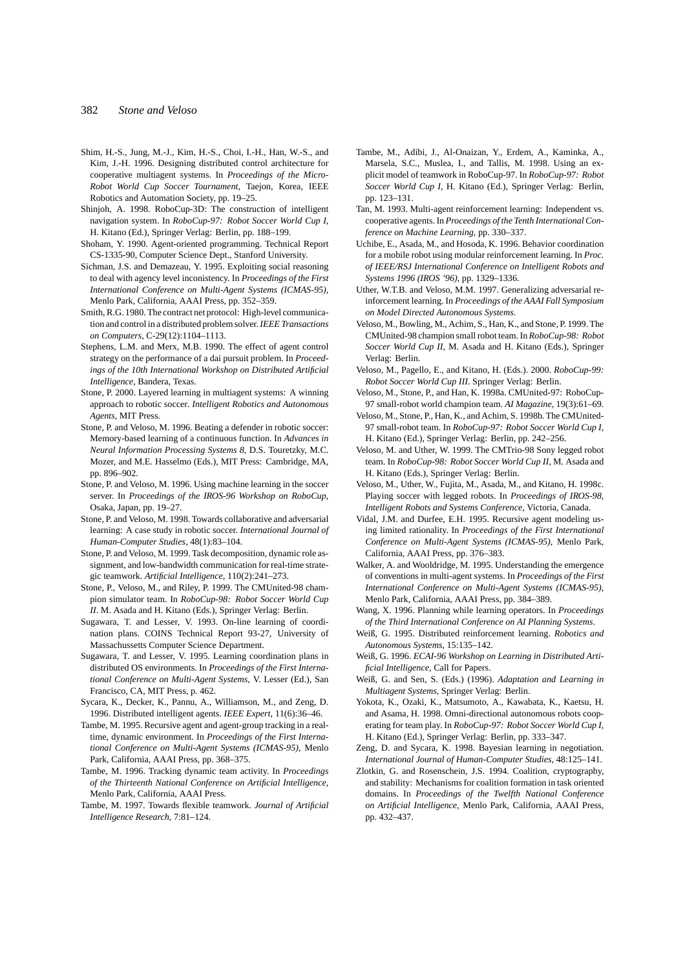#### 382 *Stone and Veloso*

- Shim, H.-S., Jung, M.-J., Kim, H.-S., Choi, I.-H., Han, W.-S., and Kim, J.-H. 1996. Designing distributed control architecture for cooperative multiagent systems. In *Proceedings of the Micro-Robot World Cup Soccer Tournament*, Taejon, Korea, IEEE Robotics and Automation Society, pp. 19–25.
- Shinjoh, A. 1998. RoboCup-3D: The construction of intelligent navigation system. In *RoboCup-97: Robot Soccer World Cup I*, H. Kitano (Ed.), Springer Verlag: Berlin, pp. 188–199.
- Shoham, Y. 1990. Agent-oriented programming. Technical Report CS-1335-90, Computer Science Dept., Stanford University.
- Sichman, J.S. and Demazeau, Y. 1995. Exploiting social reasoning to deal with agency level inconistency. In *Proceedings of the First International Conference on Multi-Agent Systems (ICMAS-95)*, Menlo Park, California, AAAI Press, pp. 352–359.
- Smith, R.G. 1980. The contract net protocol: High-level communication and control in a distributed problem solver.*IEEE Transactions on Computers*, C-29(12):1104–1113.
- Stephens, L.M. and Merx, M.B. 1990. The effect of agent control strategy on the performance of a dai pursuit problem. In *Proceedings of the 10th International Workshop on Distributed Artificial Intelligence*, Bandera, Texas.
- Stone, P. 2000. Layered learning in multiagent systems: A winning approach to robotic soccer. *Intelligent Robotics and Autonomous Agents*, MIT Press.
- Stone, P. and Veloso, M. 1996. Beating a defender in robotic soccer: Memory-based learning of a continuous function. In *Advances in Neural Information Processing Systems 8*, D.S. Touretzky, M.C. Mozer, and M.E. Hasselmo (Eds.), MIT Press: Cambridge, MA, pp. 896–902.
- Stone, P. and Veloso, M. 1996. Using machine learning in the soccer server. In *Proceedings of the IROS-96 Workshop on RoboCup*, Osaka, Japan, pp. 19–27.
- Stone, P. and Veloso, M. 1998. Towards collaborative and adversarial learning: A case study in robotic soccer. *International Journal of Human-Computer Studies*, 48(1):83–104.
- Stone, P. and Veloso, M. 1999. Task decomposition, dynamic role assignment, and low-bandwidth communication for real-time strategic teamwork. *Artificial Intelligence*, 110(2):241–273.
- Stone, P., Veloso, M., and Riley, P. 1999. The CMUnited-98 champion simulator team. In *RoboCup-98: Robot Soccer World Cup II*. M. Asada and H. Kitano (Eds.), Springer Verlag: Berlin.
- Sugawara, T. and Lesser, V. 1993. On-line learning of coordination plans. COINS Technical Report 93-27, University of Massachussetts Computer Science Department.
- Sugawara, T. and Lesser, V. 1995. Learning coordination plans in distributed OS environments. In *Proceedings of the First International Conference on Multi-Agent Systems*, V. Lesser (Ed.), San Francisco, CA, MIT Press, p. 462.
- Sycara, K., Decker, K., Pannu, A., Williamson, M., and Zeng, D. 1996. Distributed intelligent agents. *IEEE Expert*, 11(6):36–46.
- Tambe, M. 1995. Recursive agent and agent-group tracking in a realtime, dynamic environment. In *Proceedings of the First International Conference on Multi-Agent Systems (ICMAS-95)*, Menlo Park, California, AAAI Press, pp. 368–375.
- Tambe, M. 1996. Tracking dynamic team activity. In *Proceedings of the Thirteenth National Conference on Artificial Intelligence*, Menlo Park, California, AAAI Press.
- Tambe, M. 1997. Towards flexible teamwork. *Journal of Artificial Intelligence Research*, 7:81–124.
- Tambe, M., Adibi, J., Al-Onaizan, Y., Erdem, A., Kaminka, A., Marsela, S.C., Muslea, I., and Tallis, M. 1998. Using an explicit model of teamwork in RoboCup-97. In *RoboCup-97: Robot Soccer World Cup I*, H. Kitano (Ed.), Springer Verlag: Berlin, pp. 123–131.
- Tan, M. 1993. Multi-agent reinforcement learning: Independent vs. cooperative agents. In *Proceedings of the Tenth International Conference on Machine Learning*, pp. 330–337.
- Uchibe, E., Asada, M., and Hosoda, K. 1996. Behavior coordination for a mobile robot using modular reinforcement learning. In *Proc. of IEEE/RSJ International Conference on Intelligent Robots and Systems 1996 (IROS '96)*, pp. 1329–1336.
- Uther, W.T.B. and Veloso, M.M. 1997. Generalizing adversarial reinforcement learning. In *Proceedings of the AAAI Fall Symposium on Model Directed Autonomous Systems*.
- Veloso, M., Bowling, M., Achim, S., Han, K., and Stone, P. 1999. The CMUnited-98 champion small robot team. In *RoboCup-98: Robot Soccer World Cup II*, M. Asada and H. Kitano (Eds.), Springer Verlag: Berlin.
- Veloso, M., Pagello, E., and Kitano, H. (Eds.). 2000. *RoboCup-99: Robot Soccer World Cup III*. Springer Verlag: Berlin.
- Veloso, M., Stone, P., and Han, K. 1998a. CMUnited-97: RoboCup-97 small-robot world champion team. *AI Magazine*, 19(3):61–69.
- Veloso, M., Stone, P., Han, K., and Achim, S. 1998b. The CMUnited-97 small-robot team. In *RoboCup-97: Robot Soccer World Cup I*, H. Kitano (Ed.), Springer Verlag: Berlin, pp. 242–256.
- Veloso, M. and Uther, W. 1999. The CMTrio-98 Sony legged robot team. In *RoboCup-98: Robot Soccer World Cup II*, M. Asada and H. Kitano (Eds.), Springer Verlag: Berlin.
- Veloso, M., Uther, W., Fujita, M., Asada, M., and Kitano, H. 1998c. Playing soccer with legged robots. In *Proceedings of IROS-98, Intelligent Robots and Systems Conference*, Victoria, Canada.
- Vidal, J.M. and Durfee, E.H. 1995. Recursive agent modeling using limited rationality. In *Proceedings of the First International Conference on Multi-Agent Systems (ICMAS-95)*, Menlo Park, California, AAAI Press, pp. 376–383.
- Walker, A. and Wooldridge, M. 1995. Understanding the emergence of conventions in multi-agent systems. In *Proceedings of the First International Conference on Multi-Agent Systems (ICMAS-95)*, Menlo Park, California, AAAI Press, pp. 384–389.
- Wang, X. 1996. Planning while learning operators. In *Proceedings of the Third International Conference on AI Planning Systems*.
- Weiß, G. 1995. Distributed reinforcement learning. *Robotics and Autonomous Systems*, 15:135–142.
- Weiß, G. 1996. *ECAI-96 Workshop on Learning in Distributed Artificial Intelligence*, Call for Papers.
- Weiß, G. and Sen, S. (Eds.) (1996). *Adaptation and Learning in Multiagent Systems*, Springer Verlag: Berlin.
- Yokota, K., Ozaki, K., Matsumoto, A., Kawabata, K., Kaetsu, H. and Asama, H. 1998. Omni-directional autonomous robots cooperating for team play. In *RoboCup-97: Robot Soccer World Cup I*, H. Kitano (Ed.), Springer Verlag: Berlin, pp. 333–347.
- Zeng, D. and Sycara, K. 1998. Bayesian learning in negotiation. *International Journal of Human-Computer Studies*, 48:125–141.
- Zlotkin, G. and Rosenschein, J.S. 1994. Coalition, cryptography, and stability: Mechanisms for coalition formation in task oriented domains. In *Proceedings of the Twelfth National Conference on Artificial Intelligence*, Menlo Park, California, AAAI Press, pp. 432–437.